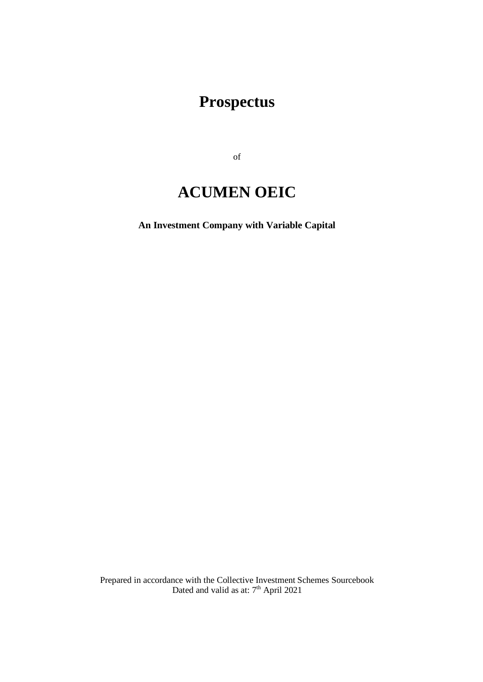# **Prospectus**

of

# **ACUMEN OEIC**

**An Investment Company with Variable Capital**

Prepared in accordance with the Collective Investment Schemes Sourcebook Dated and valid as at: 7<sup>th</sup> April 2021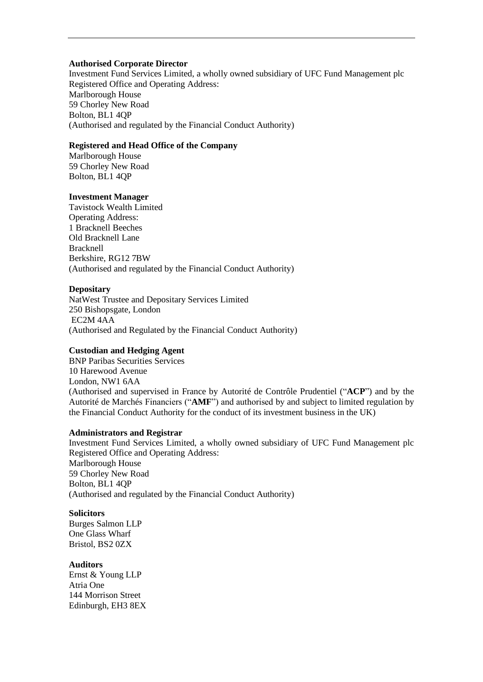#### **Authorised Corporate Director**

Investment Fund Services Limited, a wholly owned subsidiary of UFC Fund Management plc Registered Office and Operating Address: Marlborough House 59 Chorley New Road Bolton, BL1 4QP (Authorised and regulated by the Financial Conduct Authority)

## **Registered and Head Office of the Company**

Marlborough House 59 Chorley New Road Bolton, BL1 4QP

## **Investment Manager**

Tavistock Wealth Limited Operating Address: 1 Bracknell Beeches Old Bracknell Lane Bracknell Berkshire, RG12 7BW (Authorised and regulated by the Financial Conduct Authority)

## **Depositary**

NatWest Trustee and Depositary Services Limited 250 Bishopsgate, London EC2M 4AA (Authorised and Regulated by the Financial Conduct Authority)

## **Custodian and Hedging Agent**

BNP Paribas Securities Services 10 Harewood Avenue London, NW1 6AA (Authorised and supervised in France by Autorité de Contrôle Prudentiel ("**ACP**") and by the Autorité de Marchés Financiers ("**AMF**") and authorised by and subject to limited regulation by the Financial Conduct Authority for the conduct of its investment business in the UK)

## **Administrators and Registrar**

Investment Fund Services Limited, a wholly owned subsidiary of UFC Fund Management plc Registered Office and Operating Address: Marlborough House 59 Chorley New Road Bolton, BL1 4QP (Authorised and regulated by the Financial Conduct Authority)

## **Solicitors**

Burges Salmon LLP One Glass Wharf Bristol, BS2 0ZX

## **Auditors**

Ernst & Young LLP Atria One 144 Morrison Street Edinburgh, EH3 8EX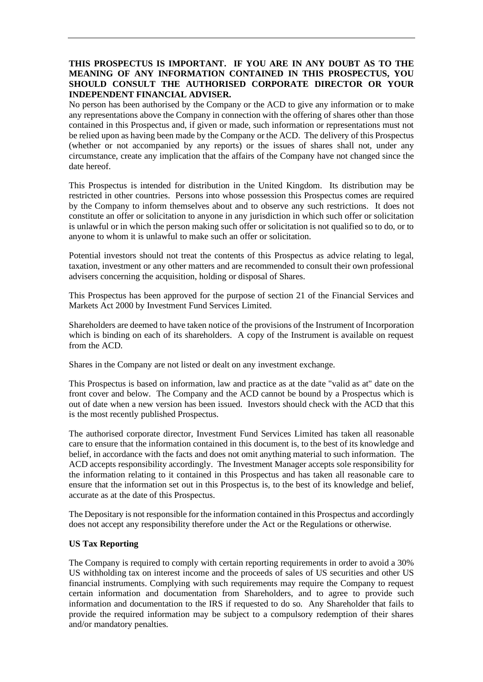## **THIS PROSPECTUS IS IMPORTANT. IF YOU ARE IN ANY DOUBT AS TO THE MEANING OF ANY INFORMATION CONTAINED IN THIS PROSPECTUS, YOU SHOULD CONSULT THE AUTHORISED CORPORATE DIRECTOR OR YOUR INDEPENDENT FINANCIAL ADVISER.**

No person has been authorised by the Company or the ACD to give any information or to make any representations above the Company in connection with the offering of shares other than those contained in this Prospectus and, if given or made, such information or representations must not be relied upon as having been made by the Company or the ACD. The delivery of this Prospectus (whether or not accompanied by any reports) or the issues of shares shall not, under any circumstance, create any implication that the affairs of the Company have not changed since the date hereof.

This Prospectus is intended for distribution in the United Kingdom. Its distribution may be restricted in other countries. Persons into whose possession this Prospectus comes are required by the Company to inform themselves about and to observe any such restrictions. It does not constitute an offer or solicitation to anyone in any jurisdiction in which such offer or solicitation is unlawful or in which the person making such offer or solicitation is not qualified so to do, or to anyone to whom it is unlawful to make such an offer or solicitation.

Potential investors should not treat the contents of this Prospectus as advice relating to legal, taxation, investment or any other matters and are recommended to consult their own professional advisers concerning the acquisition, holding or disposal of Shares.

This Prospectus has been approved for the purpose of section 21 of the Financial Services and Markets Act 2000 by Investment Fund Services Limited.

Shareholders are deemed to have taken notice of the provisions of the Instrument of Incorporation which is binding on each of its shareholders. A copy of the Instrument is available on request from the ACD.

Shares in the Company are not listed or dealt on any investment exchange.

This Prospectus is based on information, law and practice as at the date "valid as at" date on the front cover and below. The Company and the ACD cannot be bound by a Prospectus which is out of date when a new version has been issued. Investors should check with the ACD that this is the most recently published Prospectus.

The authorised corporate director, Investment Fund Services Limited has taken all reasonable care to ensure that the information contained in this document is, to the best of its knowledge and belief, in accordance with the facts and does not omit anything material to such information. The ACD accepts responsibility accordingly. The Investment Manager accepts sole responsibility for the information relating to it contained in this Prospectus and has taken all reasonable care to ensure that the information set out in this Prospectus is, to the best of its knowledge and belief, accurate as at the date of this Prospectus.

The Depositary is not responsible for the information contained in this Prospectus and accordingly does not accept any responsibility therefore under the Act or the Regulations or otherwise.

## **US Tax Reporting**

The Company is required to comply with certain reporting requirements in order to avoid a 30% US withholding tax on interest income and the proceeds of sales of US securities and other US financial instruments. Complying with such requirements may require the Company to request certain information and documentation from Shareholders, and to agree to provide such information and documentation to the IRS if requested to do so. Any Shareholder that fails to provide the required information may be subject to a compulsory redemption of their shares and/or mandatory penalties.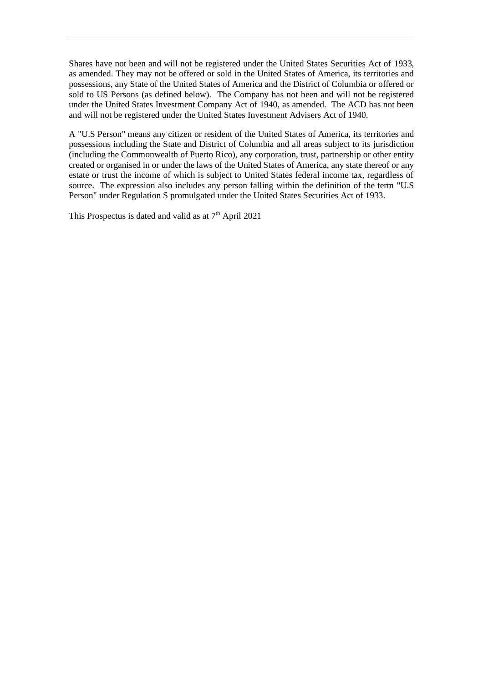Shares have not been and will not be registered under the United States Securities Act of 1933, as amended. They may not be offered or sold in the United States of America, its territories and possessions, any State of the United States of America and the District of Columbia or offered or sold to US Persons (as defined below). The Company has not been and will not be registered under the United States Investment Company Act of 1940, as amended. The ACD has not been and will not be registered under the United States Investment Advisers Act of 1940.

A "U.S Person" means any citizen or resident of the United States of America, its territories and possessions including the State and District of Columbia and all areas subject to its jurisdiction (including the Commonwealth of Puerto Rico), any corporation, trust, partnership or other entity created or organised in or under the laws of the United States of America, any state thereof or any estate or trust the income of which is subject to United States federal income tax, regardless of source. The expression also includes any person falling within the definition of the term "U.S Person" under Regulation S promulgated under the United States Securities Act of 1933.

This Prospectus is dated and valid as at  $7<sup>th</sup>$  April 2021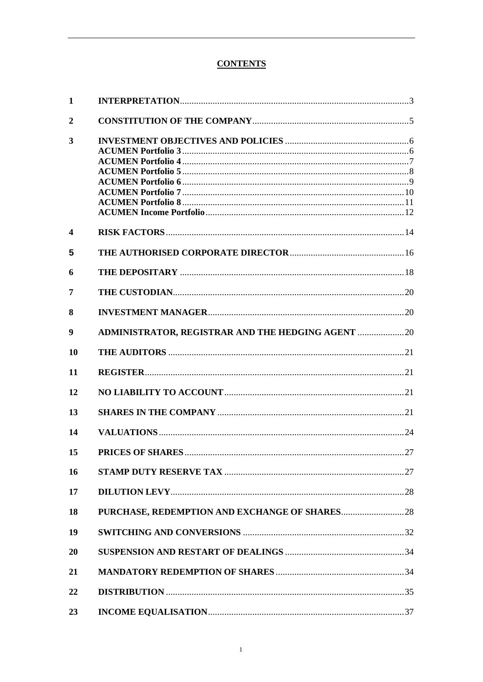# **CONTENTS**

| $\mathbf{1}$     |                                                    |  |
|------------------|----------------------------------------------------|--|
| $\overline{2}$   |                                                    |  |
| 3                |                                                    |  |
|                  |                                                    |  |
|                  |                                                    |  |
|                  |                                                    |  |
|                  |                                                    |  |
|                  |                                                    |  |
|                  |                                                    |  |
|                  |                                                    |  |
| $\boldsymbol{4}$ |                                                    |  |
| 5                |                                                    |  |
| 6                |                                                    |  |
| 7                |                                                    |  |
| 8                |                                                    |  |
| 9                | ADMINISTRATOR, REGISTRAR AND THE HEDGING AGENT  20 |  |
| <b>10</b>        |                                                    |  |
| 11               |                                                    |  |
| 12               |                                                    |  |
| 13               |                                                    |  |
| 14               |                                                    |  |
| 15               |                                                    |  |
| <b>16</b>        |                                                    |  |
| 17               |                                                    |  |
| 18               |                                                    |  |
| 19               |                                                    |  |
| 20               |                                                    |  |
| 21               |                                                    |  |
| 22               |                                                    |  |
| 23               |                                                    |  |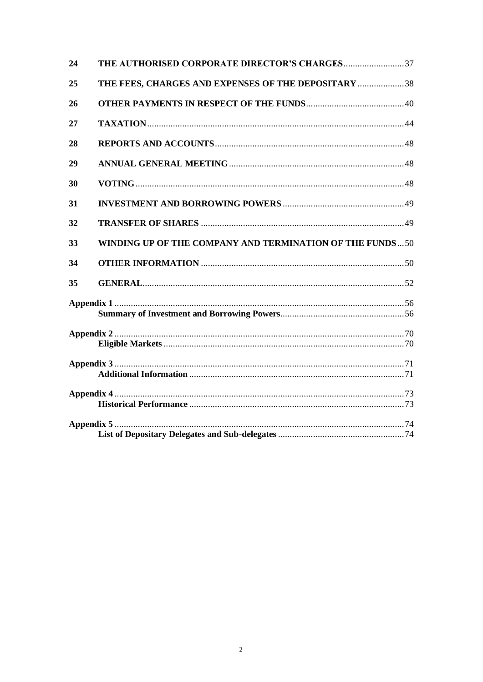| 24 |                                                          |  |
|----|----------------------------------------------------------|--|
| 25 | THE FEES, CHARGES AND EXPENSES OF THE DEPOSITARY 38      |  |
| 26 |                                                          |  |
| 27 |                                                          |  |
| 28 |                                                          |  |
| 29 |                                                          |  |
| 30 |                                                          |  |
| 31 |                                                          |  |
| 32 |                                                          |  |
| 33 | WINDING UP OF THE COMPANY AND TERMINATION OF THE FUNDS50 |  |
| 34 |                                                          |  |
| 35 |                                                          |  |
|    |                                                          |  |
|    |                                                          |  |
|    |                                                          |  |
|    |                                                          |  |
|    |                                                          |  |
|    |                                                          |  |
|    |                                                          |  |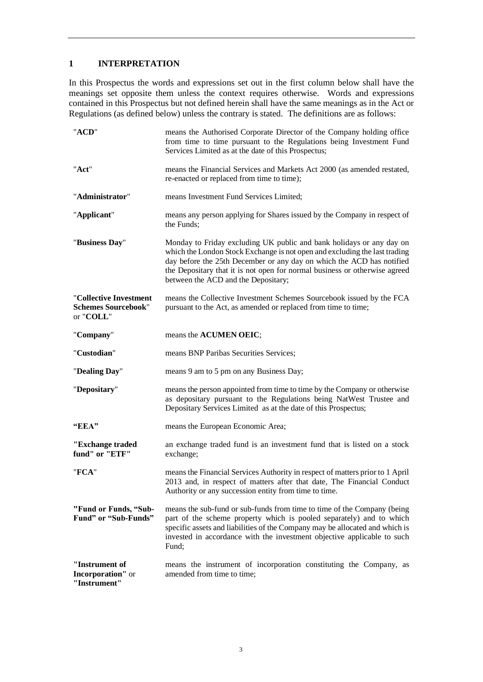## <span id="page-6-0"></span>**1 INTERPRETATION**

In this Prospectus the words and expressions set out in the first column below shall have the meanings set opposite them unless the context requires otherwise. Words and expressions contained in this Prospectus but not defined herein shall have the same meanings as in the Act or Regulations (as defined below) unless the contrary is stated. The definitions are as follows:

| "ACD"                                                             | means the Authorised Corporate Director of the Company holding office<br>from time to time pursuant to the Regulations being Investment Fund<br>Services Limited as at the date of this Prospectus;                                                                                                                                              |
|-------------------------------------------------------------------|--------------------------------------------------------------------------------------------------------------------------------------------------------------------------------------------------------------------------------------------------------------------------------------------------------------------------------------------------|
| "Act"                                                             | means the Financial Services and Markets Act 2000 (as amended restated,<br>re-enacted or replaced from time to time);                                                                                                                                                                                                                            |
| "Administrator"                                                   | means Investment Fund Services Limited;                                                                                                                                                                                                                                                                                                          |
| "Applicant"                                                       | means any person applying for Shares issued by the Company in respect of<br>the Funds;                                                                                                                                                                                                                                                           |
| "Business Day"                                                    | Monday to Friday excluding UK public and bank holidays or any day on<br>which the London Stock Exchange is not open and excluding the last trading<br>day before the 25th December or any day on which the ACD has notified<br>the Depositary that it is not open for normal business or otherwise agreed<br>between the ACD and the Depositary; |
| "Collective Investment<br><b>Schemes Sourcebook"</b><br>or "COLL" | means the Collective Investment Schemes Sourcebook issued by the FCA<br>pursuant to the Act, as amended or replaced from time to time;                                                                                                                                                                                                           |
| "Company"                                                         | means the ACUMEN OEIC;                                                                                                                                                                                                                                                                                                                           |
| "Custodian"                                                       | means BNP Paribas Securities Services;                                                                                                                                                                                                                                                                                                           |
| "Dealing Day"                                                     | means 9 am to 5 pm on any Business Day;                                                                                                                                                                                                                                                                                                          |
| "Depositary"                                                      | means the person appointed from time to time by the Company or otherwise<br>as depositary pursuant to the Regulations being NatWest Trustee and<br>Depositary Services Limited as at the date of this Prospectus;                                                                                                                                |
| "EEA"                                                             | means the European Economic Area;                                                                                                                                                                                                                                                                                                                |
| "Exchange traded<br>fund" or "ETF"                                | an exchange traded fund is an investment fund that is listed on a stock<br>exchange;                                                                                                                                                                                                                                                             |
| "FCA"                                                             | means the Financial Services Authority in respect of matters prior to 1 April<br>2013 and, in respect of matters after that date, The Financial Conduct<br>Authority or any succession entity from time to time.                                                                                                                                 |
| "Fund or Funds, "Sub-<br>Fund" or "Sub-Funds"                     | means the sub-fund or sub-funds from time to time of the Company (being<br>part of the scheme property which is pooled separately) and to which<br>specific assets and liabilities of the Company may be allocated and which is<br>invested in accordance with the investment objective applicable to such<br>Fund:                              |
| "Instrument of<br>Incorporation" or<br>"Instrument"               | means the instrument of incorporation constituting the Company, as<br>amended from time to time;                                                                                                                                                                                                                                                 |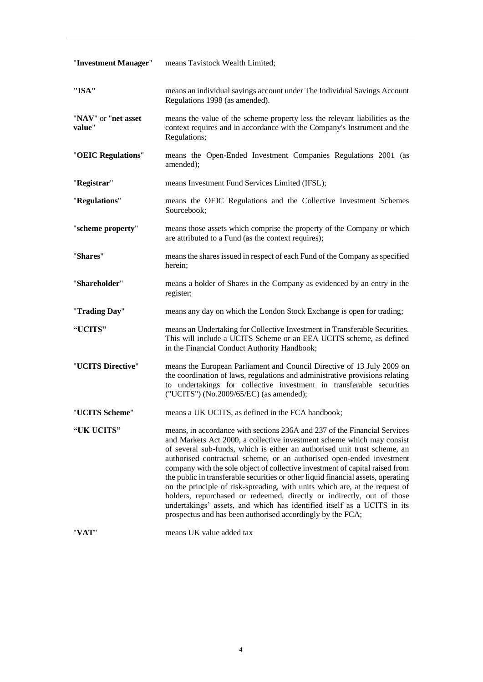| "Investment Manager"          | means Tavistock Wealth Limited;                                                                                                                                                                                                                                                                                                                                                                                                                                                                                                                                                                                                                                                                                                                                                  |
|-------------------------------|----------------------------------------------------------------------------------------------------------------------------------------------------------------------------------------------------------------------------------------------------------------------------------------------------------------------------------------------------------------------------------------------------------------------------------------------------------------------------------------------------------------------------------------------------------------------------------------------------------------------------------------------------------------------------------------------------------------------------------------------------------------------------------|
| "ISA"                         | means an individual savings account under The Individual Savings Account<br>Regulations 1998 (as amended).                                                                                                                                                                                                                                                                                                                                                                                                                                                                                                                                                                                                                                                                       |
| "NAV" or "net asset<br>value" | means the value of the scheme property less the relevant liabilities as the<br>context requires and in accordance with the Company's Instrument and the<br>Regulations;                                                                                                                                                                                                                                                                                                                                                                                                                                                                                                                                                                                                          |
| "OEIC Regulations"            | means the Open-Ended Investment Companies Regulations 2001 (as<br>amended);                                                                                                                                                                                                                                                                                                                                                                                                                                                                                                                                                                                                                                                                                                      |
| "Registrar"                   | means Investment Fund Services Limited (IFSL);                                                                                                                                                                                                                                                                                                                                                                                                                                                                                                                                                                                                                                                                                                                                   |
| "Regulations"                 | means the OEIC Regulations and the Collective Investment Schemes<br>Sourcebook;                                                                                                                                                                                                                                                                                                                                                                                                                                                                                                                                                                                                                                                                                                  |
| "scheme property"             | means those assets which comprise the property of the Company or which<br>are attributed to a Fund (as the context requires);                                                                                                                                                                                                                                                                                                                                                                                                                                                                                                                                                                                                                                                    |
| "Shares"                      | means the shares issued in respect of each Fund of the Company as specified<br>herein;                                                                                                                                                                                                                                                                                                                                                                                                                                                                                                                                                                                                                                                                                           |
| "Shareholder"                 | means a holder of Shares in the Company as evidenced by an entry in the<br>register;                                                                                                                                                                                                                                                                                                                                                                                                                                                                                                                                                                                                                                                                                             |
| "Trading Day"                 | means any day on which the London Stock Exchange is open for trading;                                                                                                                                                                                                                                                                                                                                                                                                                                                                                                                                                                                                                                                                                                            |
| "UCITS"                       | means an Undertaking for Collective Investment in Transferable Securities.<br>This will include a UCITS Scheme or an EEA UCITS scheme, as defined<br>in the Financial Conduct Authority Handbook;                                                                                                                                                                                                                                                                                                                                                                                                                                                                                                                                                                                |
| "UCITS Directive"             | means the European Parliament and Council Directive of 13 July 2009 on<br>the coordination of laws, regulations and administrative provisions relating<br>to undertakings for collective investment in transferable securities<br>("UCITS") (No.2009/65/EC) (as amended);                                                                                                                                                                                                                                                                                                                                                                                                                                                                                                        |
| "UCITS Scheme"                | means a UK UCITS, as defined in the FCA handbook;                                                                                                                                                                                                                                                                                                                                                                                                                                                                                                                                                                                                                                                                                                                                |
| "UK UCITS"                    | means, in accordance with sections 236A and 237 of the Financial Services<br>and Markets Act 2000, a collective investment scheme which may consist<br>of several sub-funds, which is either an authorised unit trust scheme, an<br>authorised contractual scheme, or an authorised open-ended investment<br>company with the sole object of collective investment of capital raised from<br>the public in transferable securities or other liquid financial assets, operating<br>on the principle of risk-spreading, with units which are, at the request of<br>holders, repurchased or redeemed, directly or indirectly, out of those<br>undertakings' assets, and which has identified itself as a UCITS in its<br>prospectus and has been authorised accordingly by the FCA; |

"**VAT**" means UK value added tax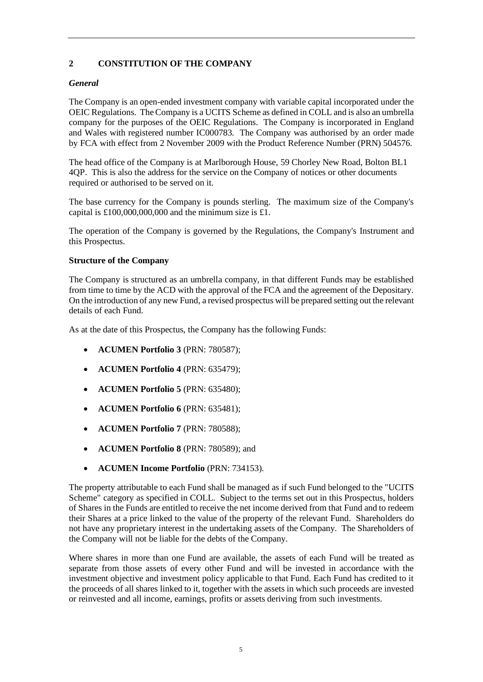# <span id="page-8-0"></span>**2 CONSTITUTION OF THE COMPANY**

## *General*

The Company is an open-ended investment company with variable capital incorporated under the OEIC Regulations. The Company is a UCITS Scheme as defined in COLL and is also an umbrella company for the purposes of the OEIC Regulations. The Company is incorporated in England and Wales with registered number IC000783. The Company was authorised by an order made by FCA with effect from 2 November 2009 with the Product Reference Number (PRN) 504576.

The head office of the Company is at Marlborough House, 59 Chorley New Road, Bolton BL1 4QP. This is also the address for the service on the Company of notices or other documents required or authorised to be served on it.

The base currency for the Company is pounds sterling. The maximum size of the Company's capital is  $£100,000,000,000$  and the minimum size is £1.

The operation of the Company is governed by the Regulations, the Company's Instrument and this Prospectus.

## **Structure of the Company**

The Company is structured as an umbrella company, in that different Funds may be established from time to time by the ACD with the approval of the FCA and the agreement of the Depositary. On the introduction of any new Fund, a revised prospectus will be prepared setting out the relevant details of each Fund.

As at the date of this Prospectus, the Company has the following Funds:

- **ACUMEN Portfolio 3** (PRN: 780587);
- **ACUMEN Portfolio 4** (PRN: 635479);
- **ACUMEN Portfolio 5** (PRN: 635480);
- **ACUMEN Portfolio 6** (PRN: 635481);
- **ACUMEN Portfolio 7** (PRN: 780588);
- **ACUMEN Portfolio 8** (PRN: 780589); and
- **ACUMEN Income Portfolio** (PRN: 734153).

The property attributable to each Fund shall be managed as if such Fund belonged to the "UCITS Scheme" category as specified in COLL. Subject to the terms set out in this Prospectus, holders of Shares in the Funds are entitled to receive the net income derived from that Fund and to redeem their Shares at a price linked to the value of the property of the relevant Fund. Shareholders do not have any proprietary interest in the undertaking assets of the Company. The Shareholders of the Company will not be liable for the debts of the Company.

Where shares in more than one Fund are available, the assets of each Fund will be treated as separate from those assets of every other Fund and will be invested in accordance with the investment objective and investment policy applicable to that Fund. Each Fund has credited to it the proceeds of all shares linked to it, together with the assets in which such proceeds are invested or reinvested and all income, earnings, profits or assets deriving from such investments.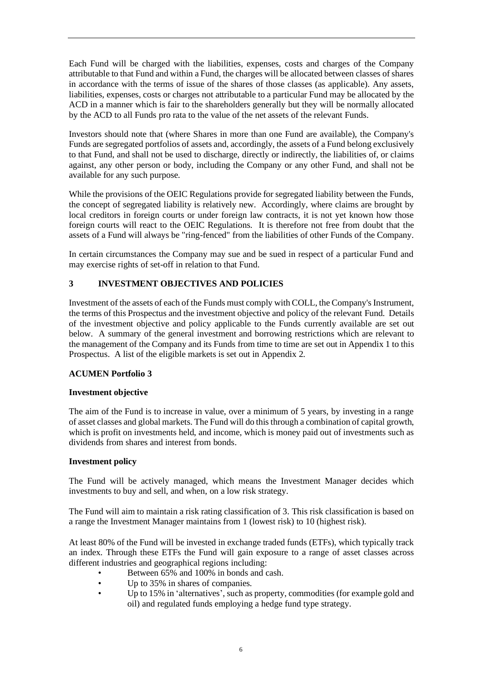Each Fund will be charged with the liabilities, expenses, costs and charges of the Company attributable to that Fund and within a Fund, the charges will be allocated between classes of shares in accordance with the terms of issue of the shares of those classes (as applicable). Any assets, liabilities, expenses, costs or charges not attributable to a particular Fund may be allocated by the ACD in a manner which is fair to the shareholders generally but they will be normally allocated by the ACD to all Funds pro rata to the value of the net assets of the relevant Funds.

Investors should note that (where Shares in more than one Fund are available), the Company's Funds are segregated portfolios of assets and, accordingly, the assets of a Fund belong exclusively to that Fund, and shall not be used to discharge, directly or indirectly, the liabilities of, or claims against, any other person or body, including the Company or any other Fund, and shall not be available for any such purpose.

While the provisions of the OEIC Regulations provide for segregated liability between the Funds, the concept of segregated liability is relatively new. Accordingly, where claims are brought by local creditors in foreign courts or under foreign law contracts, it is not yet known how those foreign courts will react to the OEIC Regulations. It is therefore not free from doubt that the assets of a Fund will always be "ring-fenced" from the liabilities of other Funds of the Company.

In certain circumstances the Company may sue and be sued in respect of a particular Fund and may exercise rights of set-off in relation to that Fund.

# <span id="page-9-0"></span>**3 INVESTMENT OBJECTIVES AND POLICIES**

Investment of the assets of each of the Funds must comply with COLL, the Company's Instrument, the terms of this Prospectus and the investment objective and policy of the relevant Fund. Details of the investment objective and policy applicable to the Funds currently available are set out below. A summary of the general investment and borrowing restrictions which are relevant to the management of the Company and its Funds from time to time are set out in Appendix 1 to this Prospectus. A list of the eligible markets is set out in Appendix 2.

# <span id="page-9-1"></span>**ACUMEN Portfolio 3**

## **Investment objective**

The aim of the Fund is to increase in value, over a minimum of 5 years, by investing in a range of asset classes and global markets. The Fund will do this through a combination of capital growth, which is profit on investments held, and income, which is money paid out of investments such as dividends from shares and interest from bonds.

## **Investment policy**

The Fund will be actively managed, which means the Investment Manager decides which investments to buy and sell, and when, on a low risk strategy.

The Fund will aim to maintain a risk rating classification of 3. This risk classification is based on a range the Investment Manager maintains from 1 (lowest risk) to 10 (highest risk).

At least 80% of the Fund will be invested in exchange traded funds (ETFs), which typically track an index. Through these ETFs the Fund will gain exposure to a range of asset classes across different industries and geographical regions including:

- Between 65% and 100% in bonds and cash.
- Up to 35% in shares of companies.
- Up to 15% in 'alternatives', such as property, commodities (for example gold and oil) and regulated funds employing a hedge fund type strategy.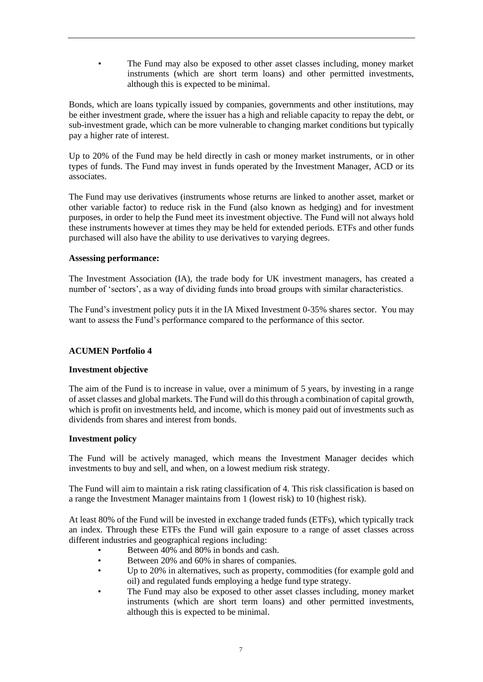• The Fund may also be exposed to other asset classes including, money market instruments (which are short term loans) and other permitted investments, although this is expected to be minimal.

Bonds, which are loans typically issued by companies, governments and other institutions, may be either investment grade, where the issuer has a high and reliable capacity to repay the debt, or sub-investment grade, which can be more vulnerable to changing market conditions but typically pay a higher rate of interest.

Up to 20% of the Fund may be held directly in cash or money market instruments, or in other types of funds. The Fund may invest in funds operated by the Investment Manager, ACD or its associates.

The Fund may use derivatives (instruments whose returns are linked to another asset, market or other variable factor) to reduce risk in the Fund (also known as hedging) and for investment purposes, in order to help the Fund meet its investment objective. The Fund will not always hold these instruments however at times they may be held for extended periods. ETFs and other funds purchased will also have the ability to use derivatives to varying degrees.

## **Assessing performance:**

The Investment Association (IA), the trade body for UK investment managers, has created a number of 'sectors', as a way of dividing funds into broad groups with similar characteristics.

The Fund's investment policy puts it in the IA Mixed Investment 0-35% shares sector. You may want to assess the Fund's performance compared to the performance of this sector.

## <span id="page-10-0"></span>**ACUMEN Portfolio 4**

## **Investment objective**

The aim of the Fund is to increase in value, over a minimum of 5 years, by investing in a range of asset classes and global markets. The Fund will do this through a combination of capital growth, which is profit on investments held, and income, which is money paid out of investments such as dividends from shares and interest from bonds.

## **Investment policy**

The Fund will be actively managed, which means the Investment Manager decides which investments to buy and sell, and when, on a lowest medium risk strategy.

The Fund will aim to maintain a risk rating classification of 4. This risk classification is based on a range the Investment Manager maintains from 1 (lowest risk) to 10 (highest risk).

At least 80% of the Fund will be invested in exchange traded funds (ETFs), which typically track an index. Through these ETFs the Fund will gain exposure to a range of asset classes across different industries and geographical regions including:

- Between 40% and 80% in bonds and cash.
- Between 20% and 60% in shares of companies.
- Up to 20% in alternatives, such as property, commodities (for example gold and oil) and regulated funds employing a hedge fund type strategy.
- The Fund may also be exposed to other asset classes including, money market instruments (which are short term loans) and other permitted investments, although this is expected to be minimal.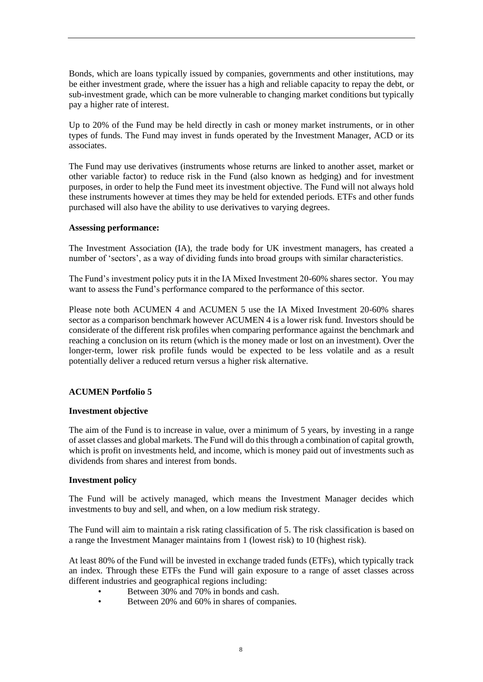Bonds, which are loans typically issued by companies, governments and other institutions, may be either investment grade, where the issuer has a high and reliable capacity to repay the debt, or sub-investment grade, which can be more vulnerable to changing market conditions but typically pay a higher rate of interest.

Up to 20% of the Fund may be held directly in cash or money market instruments, or in other types of funds. The Fund may invest in funds operated by the Investment Manager, ACD or its associates.

The Fund may use derivatives (instruments whose returns are linked to another asset, market or other variable factor) to reduce risk in the Fund (also known as hedging) and for investment purposes, in order to help the Fund meet its investment objective. The Fund will not always hold these instruments however at times they may be held for extended periods. ETFs and other funds purchased will also have the ability to use derivatives to varying degrees.

## **Assessing performance:**

The Investment Association (IA), the trade body for UK investment managers, has created a number of 'sectors', as a way of dividing funds into broad groups with similar characteristics.

The Fund's investment policy puts it in the IA Mixed Investment 20-60% shares sector. You may want to assess the Fund's performance compared to the performance of this sector.

Please note both ACUMEN 4 and ACUMEN 5 use the IA Mixed Investment 20-60% shares sector as a comparison benchmark however ACUMEN 4 is a lower risk fund. Investors should be considerate of the different risk profiles when comparing performance against the benchmark and reaching a conclusion on its return (which is the money made or lost on an investment). Over the longer-term, lower risk profile funds would be expected to be less volatile and as a result potentially deliver a reduced return versus a higher risk alternative.

## <span id="page-11-0"></span>**ACUMEN Portfolio 5**

## **Investment objective**

The aim of the Fund is to increase in value, over a minimum of 5 years, by investing in a range of asset classes and global markets. The Fund will do this through a combination of capital growth, which is profit on investments held, and income, which is money paid out of investments such as dividends from shares and interest from bonds.

## **Investment policy**

The Fund will be actively managed, which means the Investment Manager decides which investments to buy and sell, and when, on a low medium risk strategy.

The Fund will aim to maintain a risk rating classification of 5. The risk classification is based on a range the Investment Manager maintains from 1 (lowest risk) to 10 (highest risk).

At least 80% of the Fund will be invested in exchange traded funds (ETFs), which typically track an index. Through these ETFs the Fund will gain exposure to a range of asset classes across different industries and geographical regions including:

- Between 30% and 70% in bonds and cash.
- Between 20% and 60% in shares of companies.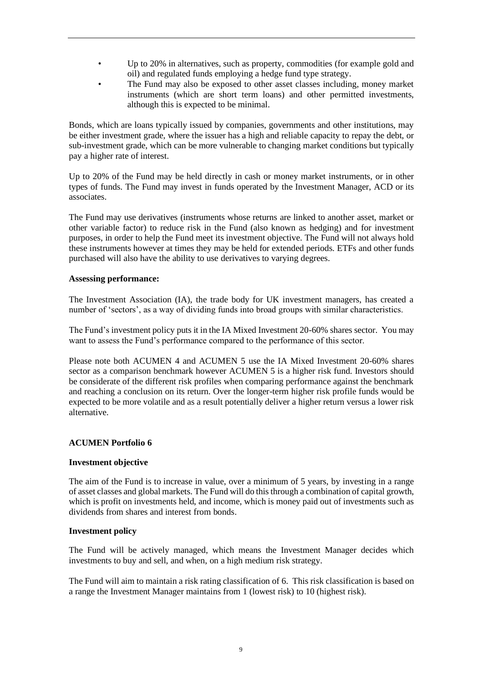- Up to 20% in alternatives, such as property, commodities (for example gold and oil) and regulated funds employing a hedge fund type strategy.
- The Fund may also be exposed to other asset classes including, money market instruments (which are short term loans) and other permitted investments, although this is expected to be minimal.

Bonds, which are loans typically issued by companies, governments and other institutions, may be either investment grade, where the issuer has a high and reliable capacity to repay the debt, or sub-investment grade, which can be more vulnerable to changing market conditions but typically pay a higher rate of interest.

Up to 20% of the Fund may be held directly in cash or money market instruments, or in other types of funds. The Fund may invest in funds operated by the Investment Manager, ACD or its associates.

The Fund may use derivatives (instruments whose returns are linked to another asset, market or other variable factor) to reduce risk in the Fund (also known as hedging) and for investment purposes, in order to help the Fund meet its investment objective. The Fund will not always hold these instruments however at times they may be held for extended periods. ETFs and other funds purchased will also have the ability to use derivatives to varying degrees.

## **Assessing performance:**

The Investment Association (IA), the trade body for UK investment managers, has created a number of 'sectors', as a way of dividing funds into broad groups with similar characteristics.

The Fund's investment policy puts it in the IA Mixed Investment 20-60% shares sector. You may want to assess the Fund's performance compared to the performance of this sector.

Please note both ACUMEN 4 and ACUMEN 5 use the IA Mixed Investment 20-60% shares sector as a comparison benchmark however ACUMEN 5 is a higher risk fund. Investors should be considerate of the different risk profiles when comparing performance against the benchmark and reaching a conclusion on its return. Over the longer-term higher risk profile funds would be expected to be more volatile and as a result potentially deliver a higher return versus a lower risk alternative.

## <span id="page-12-0"></span>**ACUMEN Portfolio 6**

## **Investment objective**

The aim of the Fund is to increase in value, over a minimum of 5 years, by investing in a range of asset classes and global markets. The Fund will do this through a combination of capital growth, which is profit on investments held, and income, which is money paid out of investments such as dividends from shares and interest from bonds.

## **Investment policy**

The Fund will be actively managed, which means the Investment Manager decides which investments to buy and sell, and when, on a high medium risk strategy.

The Fund will aim to maintain a risk rating classification of 6. This risk classification is based on a range the Investment Manager maintains from 1 (lowest risk) to 10 (highest risk).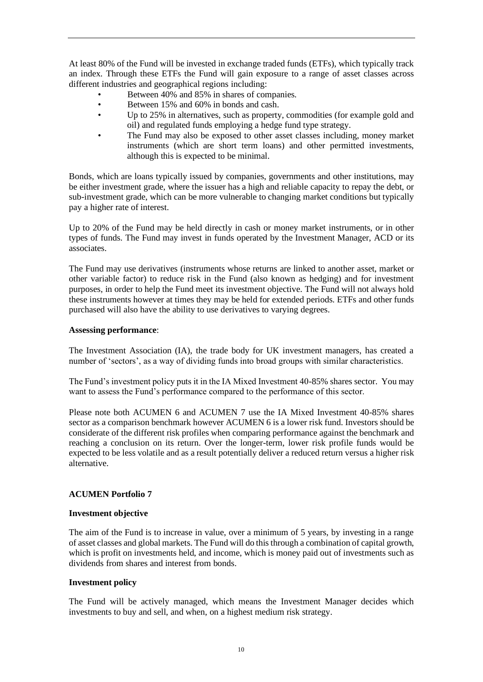At least 80% of the Fund will be invested in exchange traded funds (ETFs), which typically track an index. Through these ETFs the Fund will gain exposure to a range of asset classes across different industries and geographical regions including:

- Between 40% and 85% in shares of companies.
- Between 15% and 60% in bonds and cash.
- Up to 25% in alternatives, such as property, commodities (for example gold and oil) and regulated funds employing a hedge fund type strategy.
- The Fund may also be exposed to other asset classes including, money market instruments (which are short term loans) and other permitted investments, although this is expected to be minimal.

Bonds, which are loans typically issued by companies, governments and other institutions, may be either investment grade, where the issuer has a high and reliable capacity to repay the debt, or sub-investment grade, which can be more vulnerable to changing market conditions but typically pay a higher rate of interest.

Up to 20% of the Fund may be held directly in cash or money market instruments, or in other types of funds. The Fund may invest in funds operated by the Investment Manager, ACD or its associates.

The Fund may use derivatives (instruments whose returns are linked to another asset, market or other variable factor) to reduce risk in the Fund (also known as hedging) and for investment purposes, in order to help the Fund meet its investment objective. The Fund will not always hold these instruments however at times they may be held for extended periods. ETFs and other funds purchased will also have the ability to use derivatives to varying degrees.

## **Assessing performance**:

The Investment Association (IA), the trade body for UK investment managers, has created a number of 'sectors', as a way of dividing funds into broad groups with similar characteristics.

The Fund's investment policy puts it in the IA Mixed Investment 40-85% shares sector. You may want to assess the Fund's performance compared to the performance of this sector.

Please note both ACUMEN 6 and ACUMEN 7 use the IA Mixed Investment 40-85% shares sector as a comparison benchmark however ACUMEN 6 is a lower risk fund. Investors should be considerate of the different risk profiles when comparing performance against the benchmark and reaching a conclusion on its return. Over the longer-term, lower risk profile funds would be expected to be less volatile and as a result potentially deliver a reduced return versus a higher risk alternative.

## <span id="page-13-0"></span>**ACUMEN Portfolio 7**

## **Investment objective**

The aim of the Fund is to increase in value, over a minimum of 5 years, by investing in a range of asset classes and global markets. The Fund will do this through a combination of capital growth, which is profit on investments held, and income, which is money paid out of investments such as dividends from shares and interest from bonds.

## **Investment policy**

The Fund will be actively managed, which means the Investment Manager decides which investments to buy and sell, and when, on a highest medium risk strategy.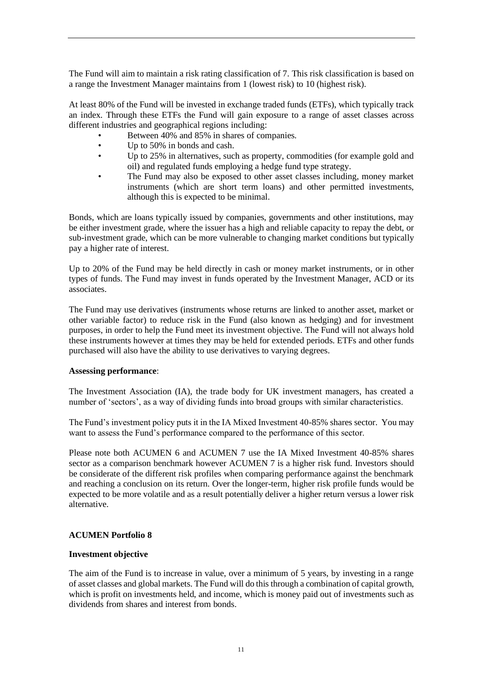The Fund will aim to maintain a risk rating classification of 7. This risk classification is based on a range the Investment Manager maintains from 1 (lowest risk) to 10 (highest risk).

At least 80% of the Fund will be invested in exchange traded funds (ETFs), which typically track an index. Through these ETFs the Fund will gain exposure to a range of asset classes across different industries and geographical regions including:

- Between 40% and 85% in shares of companies.
- Up to 50% in bonds and cash.
- Up to 25% in alternatives, such as property, commodities (for example gold and oil) and regulated funds employing a hedge fund type strategy.
- The Fund may also be exposed to other asset classes including, money market instruments (which are short term loans) and other permitted investments, although this is expected to be minimal.

Bonds, which are loans typically issued by companies, governments and other institutions, may be either investment grade, where the issuer has a high and reliable capacity to repay the debt, or sub-investment grade, which can be more vulnerable to changing market conditions but typically pay a higher rate of interest.

Up to 20% of the Fund may be held directly in cash or money market instruments, or in other types of funds. The Fund may invest in funds operated by the Investment Manager, ACD or its associates.

The Fund may use derivatives (instruments whose returns are linked to another asset, market or other variable factor) to reduce risk in the Fund (also known as hedging) and for investment purposes, in order to help the Fund meet its investment objective. The Fund will not always hold these instruments however at times they may be held for extended periods. ETFs and other funds purchased will also have the ability to use derivatives to varying degrees.

## **Assessing performance**:

The Investment Association (IA), the trade body for UK investment managers, has created a number of 'sectors', as a way of dividing funds into broad groups with similar characteristics.

The Fund's investment policy puts it in the IA Mixed Investment 40-85% shares sector. You may want to assess the Fund's performance compared to the performance of this sector.

Please note both ACUMEN 6 and ACUMEN 7 use the IA Mixed Investment 40-85% shares sector as a comparison benchmark however ACUMEN 7 is a higher risk fund. Investors should be considerate of the different risk profiles when comparing performance against the benchmark and reaching a conclusion on its return. Over the longer-term, higher risk profile funds would be expected to be more volatile and as a result potentially deliver a higher return versus a lower risk alternative.

## <span id="page-14-0"></span>**ACUMEN Portfolio 8**

## **Investment objective**

The aim of the Fund is to increase in value, over a minimum of 5 years, by investing in a range of asset classes and global markets. The Fund will do this through a combination of capital growth, which is profit on investments held, and income, which is money paid out of investments such as dividends from shares and interest from bonds.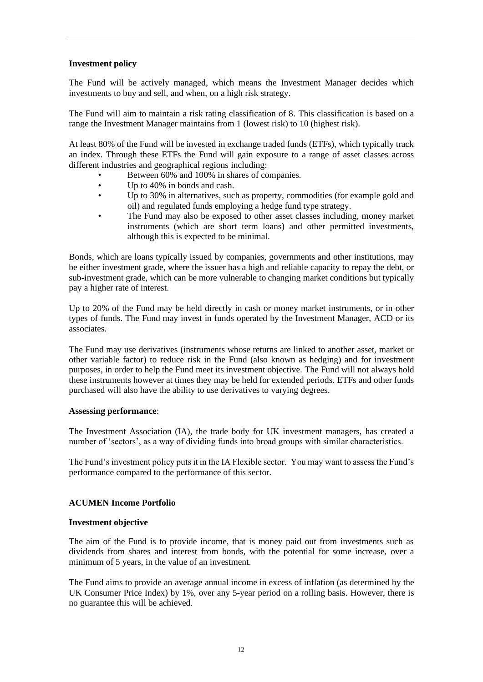## **Investment policy**

The Fund will be actively managed, which means the Investment Manager decides which investments to buy and sell, and when, on a high risk strategy.

The Fund will aim to maintain a risk rating classification of 8. This classification is based on a range the Investment Manager maintains from 1 (lowest risk) to 10 (highest risk).

At least 80% of the Fund will be invested in exchange traded funds (ETFs), which typically track an index. Through these ETFs the Fund will gain exposure to a range of asset classes across different industries and geographical regions including:

- Between 60% and 100% in shares of companies.
- Up to 40% in bonds and cash.
- Up to 30% in alternatives, such as property, commodities (for example gold and oil) and regulated funds employing a hedge fund type strategy.
- The Fund may also be exposed to other asset classes including, money market instruments (which are short term loans) and other permitted investments, although this is expected to be minimal.

Bonds, which are loans typically issued by companies, governments and other institutions, may be either investment grade, where the issuer has a high and reliable capacity to repay the debt, or sub-investment grade, which can be more vulnerable to changing market conditions but typically pay a higher rate of interest.

Up to 20% of the Fund may be held directly in cash or money market instruments, or in other types of funds. The Fund may invest in funds operated by the Investment Manager, ACD or its associates.

The Fund may use derivatives (instruments whose returns are linked to another asset, market or other variable factor) to reduce risk in the Fund (also known as hedging) and for investment purposes, in order to help the Fund meet its investment objective. The Fund will not always hold these instruments however at times they may be held for extended periods. ETFs and other funds purchased will also have the ability to use derivatives to varying degrees.

## **Assessing performance**:

The Investment Association (IA), the trade body for UK investment managers, has created a number of 'sectors', as a way of dividing funds into broad groups with similar characteristics.

The Fund's investment policy puts it in the IA Flexible sector. You may want to assess the Fund's performance compared to the performance of this sector.

## <span id="page-15-0"></span>**ACUMEN Income Portfolio**

#### **Investment objective**

The aim of the Fund is to provide income, that is money paid out from investments such as dividends from shares and interest from bonds, with the potential for some increase, over a minimum of 5 years, in the value of an investment.

The Fund aims to provide an average annual income in excess of inflation (as determined by the UK Consumer Price Index) by 1%, over any 5-year period on a rolling basis. However, there is no guarantee this will be achieved.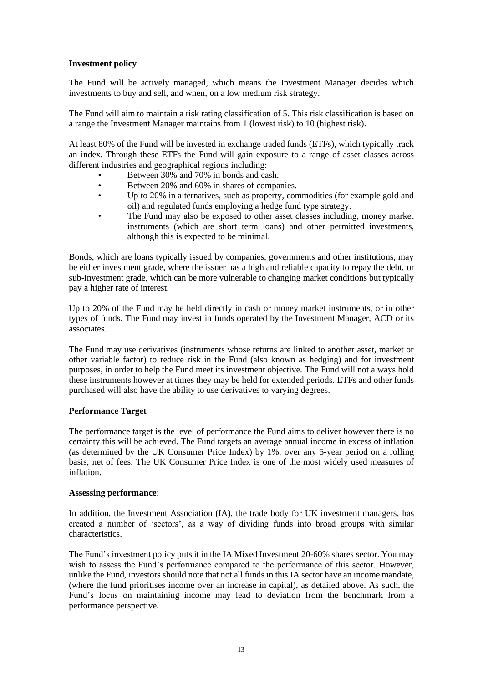## **Investment policy**

The Fund will be actively managed, which means the Investment Manager decides which investments to buy and sell, and when, on a low medium risk strategy.

The Fund will aim to maintain a risk rating classification of 5. This risk classification is based on a range the Investment Manager maintains from 1 (lowest risk) to 10 (highest risk).

At least 80% of the Fund will be invested in exchange traded funds (ETFs), which typically track an index. Through these ETFs the Fund will gain exposure to a range of asset classes across different industries and geographical regions including:

- Between 30% and 70% in bonds and cash.
- Between 20% and 60% in shares of companies.
- Up to 20% in alternatives, such as property, commodities (for example gold and oil) and regulated funds employing a hedge fund type strategy.
- The Fund may also be exposed to other asset classes including, money market instruments (which are short term loans) and other permitted investments, although this is expected to be minimal.

Bonds, which are loans typically issued by companies, governments and other institutions, may be either investment grade, where the issuer has a high and reliable capacity to repay the debt, or sub-investment grade, which can be more vulnerable to changing market conditions but typically pay a higher rate of interest.

Up to 20% of the Fund may be held directly in cash or money market instruments, or in other types of funds. The Fund may invest in funds operated by the Investment Manager, ACD or its associates.

The Fund may use derivatives (instruments whose returns are linked to another asset, market or other variable factor) to reduce risk in the Fund (also known as hedging) and for investment purposes, in order to help the Fund meet its investment objective. The Fund will not always hold these instruments however at times they may be held for extended periods. ETFs and other funds purchased will also have the ability to use derivatives to varying degrees.

## **Performance Target**

The performance target is the level of performance the Fund aims to deliver however there is no certainty this will be achieved. The Fund targets an average annual income in excess of inflation (as determined by the UK Consumer Price Index) by 1%, over any 5-year period on a rolling basis, net of fees. The UK Consumer Price Index is one of the most widely used measures of inflation.

## **Assessing performance**:

In addition, the Investment Association (IA), the trade body for UK investment managers, has created a number of 'sectors', as a way of dividing funds into broad groups with similar characteristics.

The Fund's investment policy puts it in the IA Mixed Investment 20-60% shares sector. You may wish to assess the Fund's performance compared to the performance of this sector. However, unlike the Fund, investors should note that not all funds in this IA sector have an income mandate, (where the fund prioritises income over an increase in capital), as detailed above. As such, the Fund's focus on maintaining income may lead to deviation from the benchmark from a performance perspective.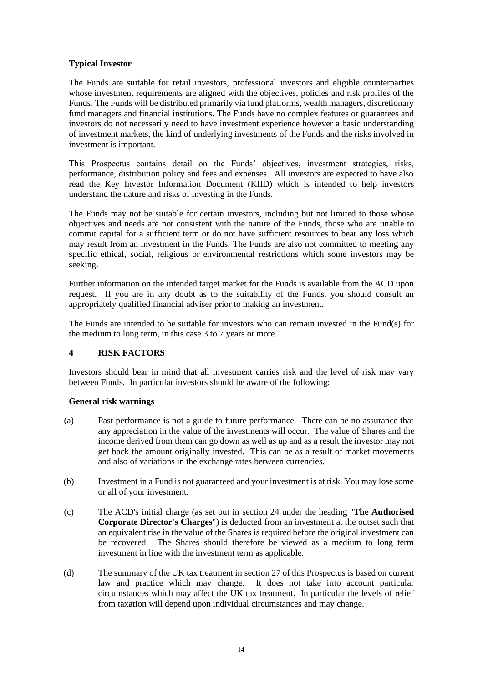## **Typical Investor**

The Funds are suitable for retail investors, professional investors and eligible counterparties whose investment requirements are aligned with the objectives, policies and risk profiles of the Funds. The Funds will be distributed primarily via fund platforms, wealth managers, discretionary fund managers and financial institutions. The Funds have no complex features or guarantees and investors do not necessarily need to have investment experience however a basic understanding of investment markets, the kind of underlying investments of the Funds and the risks involved in investment is important.

This Prospectus contains detail on the Funds' objectives, investment strategies, risks, performance, distribution policy and fees and expenses. All investors are expected to have also read the Key Investor Information Document (KIID) which is intended to help investors understand the nature and risks of investing in the Funds.

The Funds may not be suitable for certain investors, including but not limited to those whose objectives and needs are not consistent with the nature of the Funds, those who are unable to commit capital for a sufficient term or do not have sufficient resources to bear any loss which may result from an investment in the Funds. The Funds are also not committed to meeting any specific ethical, social, religious or environmental restrictions which some investors may be seeking.

Further information on the intended target market for the Funds is available from the ACD upon request. If you are in any doubt as to the suitability of the Funds, you should consult an appropriately qualified financial adviser prior to making an investment.

The Funds are intended to be suitable for investors who can remain invested in the Fund(s) for the medium to long term, in this case 3 to 7 years or more.

## <span id="page-17-0"></span>**4 RISK FACTORS**

Investors should bear in mind that all investment carries risk and the level of risk may vary between Funds. In particular investors should be aware of the following:

## **General risk warnings**

- (a) Past performance is not a guide to future performance. There can be no assurance that any appreciation in the value of the investments will occur. The value of Shares and the income derived from them can go down as well as up and as a result the investor may not get back the amount originally invested. This can be as a result of market movements and also of variations in the exchange rates between currencies.
- (b) Investment in a Fund is not guaranteed and your investment is at risk. You may lose some or all of your investment.
- (c) The ACD's initial charge (as set out in section 24 under the heading "**The Authorised Corporate Director's Charges**") is deducted from an investment at the outset such that an equivalent rise in the value of the Shares is required before the original investment can be recovered. The Shares should therefore be viewed as a medium to long term investment in line with the investment term as applicable.
- (d) The summary of the UK tax treatment in section 27 of this Prospectus is based on current law and practice which may change. It does not take into account particular circumstances which may affect the UK tax treatment. In particular the levels of relief from taxation will depend upon individual circumstances and may change.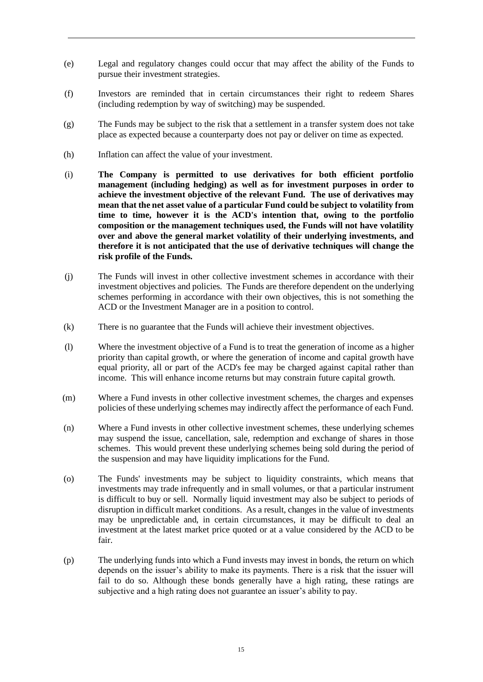- (e) Legal and regulatory changes could occur that may affect the ability of the Funds to pursue their investment strategies.
- (f) Investors are reminded that in certain circumstances their right to redeem Shares (including redemption by way of switching) may be suspended.
- (g) The Funds may be subject to the risk that a settlement in a transfer system does not take place as expected because a counterparty does not pay or deliver on time as expected.
- (h) Inflation can affect the value of your investment.
- (i) **The Company is permitted to use derivatives for both efficient portfolio management (including hedging) as well as for investment purposes in order to achieve the investment objective of the relevant Fund. The use of derivatives may mean that the net asset value of a particular Fund could be subject to volatility from time to time, however it is the ACD's intention that, owing to the portfolio composition or the management techniques used, the Funds will not have volatility over and above the general market volatility of their underlying investments, and therefore it is not anticipated that the use of derivative techniques will change the risk profile of the Funds.**
- (j) The Funds will invest in other collective investment schemes in accordance with their investment objectives and policies. The Funds are therefore dependent on the underlying schemes performing in accordance with their own objectives, this is not something the ACD or the Investment Manager are in a position to control.
- (k) There is no guarantee that the Funds will achieve their investment objectives.
- (l) Where the investment objective of a Fund is to treat the generation of income as a higher priority than capital growth, or where the generation of income and capital growth have equal priority, all or part of the ACD's fee may be charged against capital rather than income. This will enhance income returns but may constrain future capital growth.
- (m) Where a Fund invests in other collective investment schemes, the charges and expenses policies of these underlying schemes may indirectly affect the performance of each Fund.
- (n) Where a Fund invests in other collective investment schemes, these underlying schemes may suspend the issue, cancellation, sale, redemption and exchange of shares in those schemes. This would prevent these underlying schemes being sold during the period of the suspension and may have liquidity implications for the Fund.
- (o) The Funds' investments may be subject to liquidity constraints, which means that investments may trade infrequently and in small volumes, or that a particular instrument is difficult to buy or sell. Normally liquid investment may also be subject to periods of disruption in difficult market conditions. As a result, changes in the value of investments may be unpredictable and, in certain circumstances, it may be difficult to deal an investment at the latest market price quoted or at a value considered by the ACD to be fair.
- (p) The underlying funds into which a Fund invests may invest in bonds, the return on which depends on the issuer's ability to make its payments. There is a risk that the issuer will fail to do so. Although these bonds generally have a high rating, these ratings are subjective and a high rating does not guarantee an issuer's ability to pay.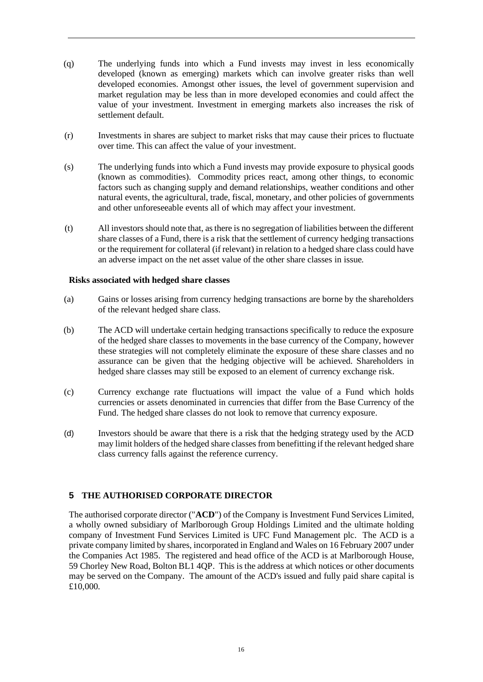- (q) The underlying funds into which a Fund invests may invest in less economically developed (known as emerging) markets which can involve greater risks than well developed economies. Amongst other issues, the level of government supervision and market regulation may be less than in more developed economies and could affect the value of your investment. Investment in emerging markets also increases the risk of settlement default.
- (r) Investments in shares are subject to market risks that may cause their prices to fluctuate over time. This can affect the value of your investment.
- (s) The underlying funds into which a Fund invests may provide exposure to physical goods (known as commodities). Commodity prices react, among other things, to economic factors such as changing supply and demand relationships, weather conditions and other natural events, the agricultural, trade, fiscal, monetary, and other policies of governments and other unforeseeable events all of which may affect your investment.
- (t) All investors should note that, as there is no segregation of liabilities between the different share classes of a Fund, there is a risk that the settlement of currency hedging transactions or the requirement for collateral (if relevant) in relation to a hedged share class could have an adverse impact on the net asset value of the other share classes in issue.

#### **Risks associated with hedged share classes**

- (a) Gains or losses arising from currency hedging transactions are borne by the shareholders of the relevant hedged share class.
- (b) The ACD will undertake certain hedging transactions specifically to reduce the exposure of the hedged share classes to movements in the base currency of the Company, however these strategies will not completely eliminate the exposure of these share classes and no assurance can be given that the hedging objective will be achieved. Shareholders in hedged share classes may still be exposed to an element of currency exchange risk.
- (c) Currency exchange rate fluctuations will impact the value of a Fund which holds currencies or assets denominated in currencies that differ from the Base Currency of the Fund. The hedged share classes do not look to remove that currency exposure.
- (d) Investors should be aware that there is a risk that the hedging strategy used by the ACD may limit holders of the hedged share classes from benefitting if the relevant hedged share class currency falls against the reference currency.

## <span id="page-19-0"></span>**5 THE AUTHORISED CORPORATE DIRECTOR**

The authorised corporate director ("**ACD**") of the Company is Investment Fund Services Limited, a wholly owned subsidiary of Marlborough Group Holdings Limited and the ultimate holding company of Investment Fund Services Limited is UFC Fund Management plc. The ACD is a private company limited by shares, incorporated in England and Wales on 16 February 2007 under the Companies Act 1985. The registered and head office of the ACD is at Marlborough House, 59 Chorley New Road, Bolton BL1 4QP. This is the address at which notices or other documents may be served on the Company. The amount of the ACD's issued and fully paid share capital is £10,000.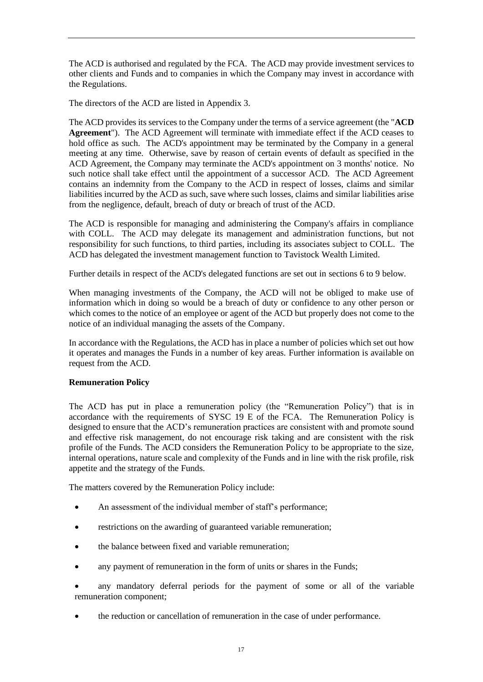The ACD is authorised and regulated by the FCA. The ACD may provide investment services to other clients and Funds and to companies in which the Company may invest in accordance with the Regulations.

The directors of the ACD are listed in Appendix 3.

The ACD provides its services to the Company under the terms of a service agreement (the "**ACD Agreement**"). The ACD Agreement will terminate with immediate effect if the ACD ceases to hold office as such. The ACD's appointment may be terminated by the Company in a general meeting at any time. Otherwise, save by reason of certain events of default as specified in the ACD Agreement, the Company may terminate the ACD's appointment on 3 months' notice. No such notice shall take effect until the appointment of a successor ACD. The ACD Agreement contains an indemnity from the Company to the ACD in respect of losses, claims and similar liabilities incurred by the ACD as such, save where such losses, claims and similar liabilities arise from the negligence, default, breach of duty or breach of trust of the ACD.

The ACD is responsible for managing and administering the Company's affairs in compliance with COLL. The ACD may delegate its management and administration functions, but not responsibility for such functions, to third parties, including its associates subject to COLL. The ACD has delegated the investment management function to Tavistock Wealth Limited.

Further details in respect of the ACD's delegated functions are set out in sections 6 to 9 below.

When managing investments of the Company, the ACD will not be obliged to make use of information which in doing so would be a breach of duty or confidence to any other person or which comes to the notice of an employee or agent of the ACD but properly does not come to the notice of an individual managing the assets of the Company.

In accordance with the Regulations, the ACD has in place a number of policies which set out how it operates and manages the Funds in a number of key areas. Further information is available on request from the ACD.

## **Remuneration Policy**

The ACD has put in place a remuneration policy (the "Remuneration Policy") that is in accordance with the requirements of SYSC 19 E of the FCA. The Remuneration Policy is designed to ensure that the ACD's remuneration practices are consistent with and promote sound and effective risk management, do not encourage risk taking and are consistent with the risk profile of the Funds. The ACD considers the Remuneration Policy to be appropriate to the size, internal operations, nature scale and complexity of the Funds and in line with the risk profile, risk appetite and the strategy of the Funds.

The matters covered by the Remuneration Policy include:

- An assessment of the individual member of staff's performance;
- restrictions on the awarding of guaranteed variable remuneration;
- the balance between fixed and variable remuneration;
- any payment of remuneration in the form of units or shares in the Funds;
- any mandatory deferral periods for the payment of some or all of the variable remuneration component;
- the reduction or cancellation of remuneration in the case of under performance.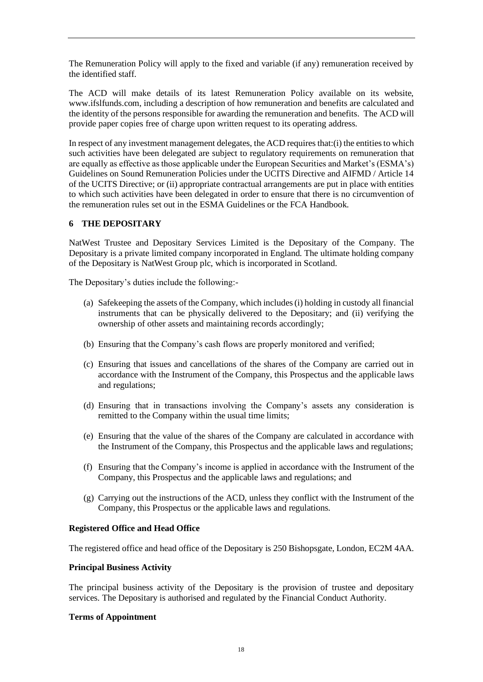The Remuneration Policy will apply to the fixed and variable (if any) remuneration received by the identified staff.

The ACD will make details of its latest Remuneration Policy available on its website, www.ifslfunds.com, including a description of how remuneration and benefits are calculated and the identity of the persons responsible for awarding the remuneration and benefits. The ACD will provide paper copies free of charge upon written request to its operating address.

In respect of any investment management delegates, the ACD requires that: $(i)$  the entities to which such activities have been delegated are subject to regulatory requirements on remuneration that are equally as effective as those applicable under the European Securities and Market's (ESMA's) Guidelines on Sound Remuneration Policies under the UCITS Directive and AIFMD / Article 14 of the UCITS Directive; or (ii) appropriate contractual arrangements are put in place with entities to which such activities have been delegated in order to ensure that there is no circumvention of the remuneration rules set out in the ESMA Guidelines or the FCA Handbook.

## <span id="page-21-0"></span>**6 THE DEPOSITARY**

NatWest Trustee and Depositary Services Limited is the Depositary of the Company. The Depositary is a private limited company incorporated in England. The ultimate holding company of the Depositary is NatWest Group plc, which is incorporated in Scotland.

The Depositary's duties include the following:-

- (a) Safekeeping the assets of the Company, which includes (i) holding in custody all financial instruments that can be physically delivered to the Depositary; and (ii) verifying the ownership of other assets and maintaining records accordingly;
- (b) Ensuring that the Company's cash flows are properly monitored and verified;
- (c) Ensuring that issues and cancellations of the shares of the Company are carried out in accordance with the Instrument of the Company, this Prospectus and the applicable laws and regulations;
- (d) Ensuring that in transactions involving the Company's assets any consideration is remitted to the Company within the usual time limits;
- (e) Ensuring that the value of the shares of the Company are calculated in accordance with the Instrument of the Company, this Prospectus and the applicable laws and regulations;
- (f) Ensuring that the Company's income is applied in accordance with the Instrument of the Company, this Prospectus and the applicable laws and regulations; and
- (g) Carrying out the instructions of the ACD, unless they conflict with the Instrument of the Company, this Prospectus or the applicable laws and regulations.

## **Registered Office and Head Office**

The registered office and head office of the Depositary is 250 Bishopsgate, London, EC2M 4AA.

#### **Principal Business Activity**

The principal business activity of the Depositary is the provision of trustee and depositary services. The Depositary is authorised and regulated by the Financial Conduct Authority.

#### **Terms of Appointment**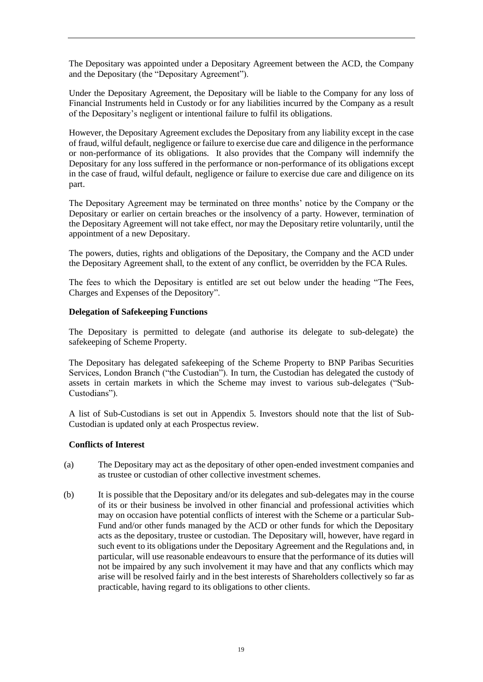The Depositary was appointed under a Depositary Agreement between the ACD, the Company and the Depositary (the "Depositary Agreement").

Under the Depositary Agreement, the Depositary will be liable to the Company for any loss of Financial Instruments held in Custody or for any liabilities incurred by the Company as a result of the Depositary's negligent or intentional failure to fulfil its obligations.

However, the Depositary Agreement excludes the Depositary from any liability except in the case of fraud, wilful default, negligence or failure to exercise due care and diligence in the performance or non-performance of its obligations. It also provides that the Company will indemnify the Depositary for any loss suffered in the performance or non-performance of its obligations except in the case of fraud, wilful default, negligence or failure to exercise due care and diligence on its part.

The Depositary Agreement may be terminated on three months' notice by the Company or the Depositary or earlier on certain breaches or the insolvency of a party. However, termination of the Depositary Agreement will not take effect, nor may the Depositary retire voluntarily, until the appointment of a new Depositary.

The powers, duties, rights and obligations of the Depositary, the Company and the ACD under the Depositary Agreement shall, to the extent of any conflict, be overridden by the FCA Rules.

The fees to which the Depositary is entitled are set out below under the heading "The Fees, Charges and Expenses of the Depository".

## **Delegation of Safekeeping Functions**

The Depositary is permitted to delegate (and authorise its delegate to sub-delegate) the safekeeping of Scheme Property.

The Depositary has delegated safekeeping of the Scheme Property to BNP Paribas Securities Services, London Branch ("the Custodian"). In turn, the Custodian has delegated the custody of assets in certain markets in which the Scheme may invest to various sub-delegates ("Sub-Custodians").

A list of Sub-Custodians is set out in Appendix 5. Investors should note that the list of Sub-Custodian is updated only at each Prospectus review.

## **Conflicts of Interest**

- (a) The Depositary may act as the depositary of other open-ended investment companies and as trustee or custodian of other collective investment schemes.
- (b) It is possible that the Depositary and/or its delegates and sub-delegates may in the course of its or their business be involved in other financial and professional activities which may on occasion have potential conflicts of interest with the Scheme or a particular Sub-Fund and/or other funds managed by the ACD or other funds for which the Depositary acts as the depositary, trustee or custodian. The Depositary will, however, have regard in such event to its obligations under the Depositary Agreement and the Regulations and, in particular, will use reasonable endeavours to ensure that the performance of its duties will not be impaired by any such involvement it may have and that any conflicts which may arise will be resolved fairly and in the best interests of Shareholders collectively so far as practicable, having regard to its obligations to other clients.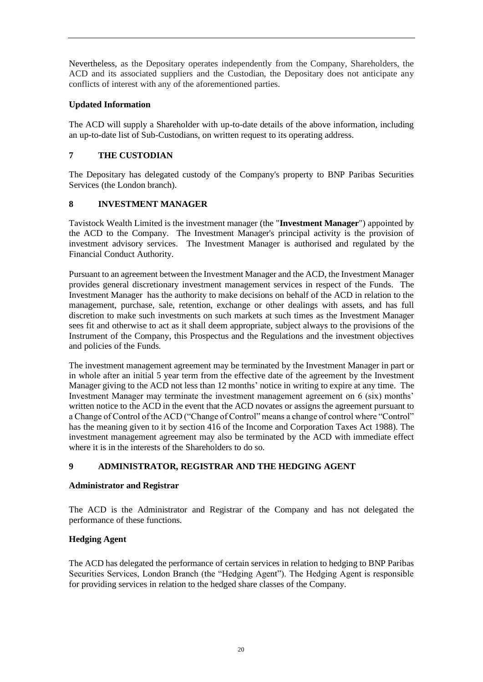Nevertheless, as the Depositary operates independently from the Company, Shareholders, the ACD and its associated suppliers and the Custodian, the Depositary does not anticipate any conflicts of interest with any of the aforementioned parties.

# **Updated Information**

The ACD will supply a Shareholder with up-to-date details of the above information, including an up-to-date list of Sub-Custodians, on written request to its operating address.

# <span id="page-23-0"></span>**7 THE CUSTODIAN**

The Depositary has delegated custody of the Company's property to BNP Paribas Securities Services (the London branch).

# <span id="page-23-1"></span>**8 INVESTMENT MANAGER**

Tavistock Wealth Limited is the investment manager (the "**Investment Manager**") appointed by the ACD to the Company. The Investment Manager's principal activity is the provision of investment advisory services. The Investment Manager is authorised and regulated by the Financial Conduct Authority.

Pursuant to an agreement between the Investment Manager and the ACD, the Investment Manager provides general discretionary investment management services in respect of the Funds. The Investment Manager has the authority to make decisions on behalf of the ACD in relation to the management, purchase, sale, retention, exchange or other dealings with assets, and has full discretion to make such investments on such markets at such times as the Investment Manager sees fit and otherwise to act as it shall deem appropriate, subject always to the provisions of the Instrument of the Company, this Prospectus and the Regulations and the investment objectives and policies of the Funds.

The investment management agreement may be terminated by the Investment Manager in part or in whole after an initial 5 year term from the effective date of the agreement by the Investment Manager giving to the ACD not less than 12 months' notice in writing to expire at any time. The Investment Manager may terminate the investment management agreement on 6 (six) months' written notice to the ACD in the event that the ACD novates or assigns the agreement pursuant to a Change of Control of the ACD ("Change of Control" means a change of control where "Control" has the meaning given to it by section 416 of the Income and Corporation Taxes Act 1988). The investment management agreement may also be terminated by the ACD with immediate effect where it is in the interests of the Shareholders to do so.

# <span id="page-23-2"></span>**9 ADMINISTRATOR, REGISTRAR AND THE HEDGING AGENT**

## **Administrator and Registrar**

The ACD is the Administrator and Registrar of the Company and has not delegated the performance of these functions.

## **Hedging Agent**

The ACD has delegated the performance of certain services in relation to hedging to BNP Paribas Securities Services, London Branch (the "Hedging Agent"). The Hedging Agent is responsible for providing services in relation to the hedged share classes of the Company.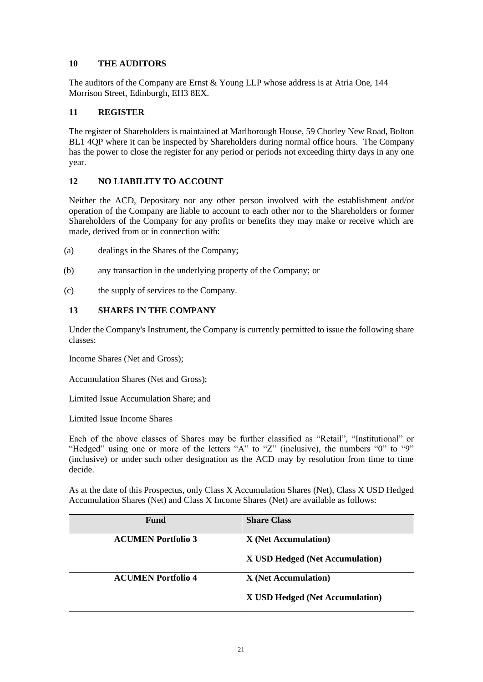## <span id="page-24-0"></span>**10 THE AUDITORS**

The auditors of the Company are Ernst & Young LLP whose address is at Atria One, 144 Morrison Street, Edinburgh, EH3 8EX.

## <span id="page-24-1"></span>**11 REGISTER**

The register of Shareholders is maintained at Marlborough House, 59 Chorley New Road, Bolton BL1 4QP where it can be inspected by Shareholders during normal office hours. The Company has the power to close the register for any period or periods not exceeding thirty days in any one year.

# <span id="page-24-2"></span>**12 NO LIABILITY TO ACCOUNT**

Neither the ACD, Depositary nor any other person involved with the establishment and/or operation of the Company are liable to account to each other nor to the Shareholders or former Shareholders of the Company for any profits or benefits they may make or receive which are made, derived from or in connection with:

- (a) dealings in the Shares of the Company;
- (b) any transaction in the underlying property of the Company; or
- (c) the supply of services to the Company.

## <span id="page-24-3"></span>**13 SHARES IN THE COMPANY**

Under the Company's Instrument, the Company is currently permitted to issue the following share classes:

Income Shares (Net and Gross);

Accumulation Shares (Net and Gross);

Limited Issue Accumulation Share; and

Limited Issue Income Shares

Each of the above classes of Shares may be further classified as "Retail", "Institutional" or "Hedged" using one or more of the letters "A" to "Z" (inclusive), the numbers "0" to "9" (inclusive) or under such other designation as the ACD may by resolution from time to time decide.

As at the date of this Prospectus, only Class X Accumulation Shares (Net), Class X USD Hedged Accumulation Shares (Net) and Class X Income Shares (Net) are available as follows:

| <b>Fund</b>               | <b>Share Class</b>              |
|---------------------------|---------------------------------|
| <b>ACUMEN Portfolio 3</b> | <b>X</b> (Net Accumulation)     |
|                           | X USD Hedged (Net Accumulation) |
| <b>ACUMEN Portfolio 4</b> | <b>X</b> (Net Accumulation)     |
|                           | X USD Hedged (Net Accumulation) |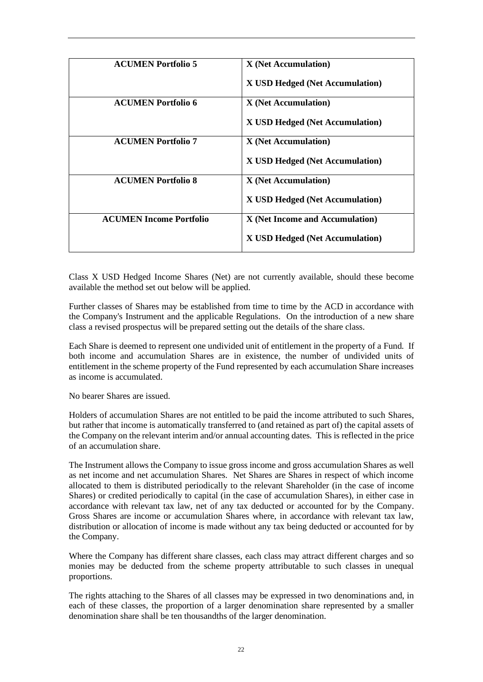| <b>ACUMEN Portfolio 5</b>      | <b>X</b> (Net Accumulation)     |
|--------------------------------|---------------------------------|
|                                | X USD Hedged (Net Accumulation) |
|                                |                                 |
| <b>ACUMEN Portfolio 6</b>      | <b>X</b> (Net Accumulation)     |
|                                | X USD Hedged (Net Accumulation) |
| <b>ACUMEN Portfolio 7</b>      | <b>X</b> (Net Accumulation)     |
|                                | X USD Hedged (Net Accumulation) |
| <b>ACUMEN Portfolio 8</b>      | <b>X</b> (Net Accumulation)     |
|                                | X USD Hedged (Net Accumulation) |
| <b>ACUMEN Income Portfolio</b> | X (Net Income and Accumulation) |
|                                | X USD Hedged (Net Accumulation) |

Class X USD Hedged Income Shares (Net) are not currently available, should these become available the method set out below will be applied.

Further classes of Shares may be established from time to time by the ACD in accordance with the Company's Instrument and the applicable Regulations. On the introduction of a new share class a revised prospectus will be prepared setting out the details of the share class.

Each Share is deemed to represent one undivided unit of entitlement in the property of a Fund. If both income and accumulation Shares are in existence, the number of undivided units of entitlement in the scheme property of the Fund represented by each accumulation Share increases as income is accumulated.

No bearer Shares are issued.

Holders of accumulation Shares are not entitled to be paid the income attributed to such Shares, but rather that income is automatically transferred to (and retained as part of) the capital assets of the Company on the relevant interim and/or annual accounting dates. This is reflected in the price of an accumulation share.

The Instrument allows the Company to issue gross income and gross accumulation Shares as well as net income and net accumulation Shares. Net Shares are Shares in respect of which income allocated to them is distributed periodically to the relevant Shareholder (in the case of income Shares) or credited periodically to capital (in the case of accumulation Shares), in either case in accordance with relevant tax law, net of any tax deducted or accounted for by the Company. Gross Shares are income or accumulation Shares where, in accordance with relevant tax law, distribution or allocation of income is made without any tax being deducted or accounted for by the Company.

Where the Company has different share classes, each class may attract different charges and so monies may be deducted from the scheme property attributable to such classes in unequal proportions.

The rights attaching to the Shares of all classes may be expressed in two denominations and, in each of these classes, the proportion of a larger denomination share represented by a smaller denomination share shall be ten thousandths of the larger denomination.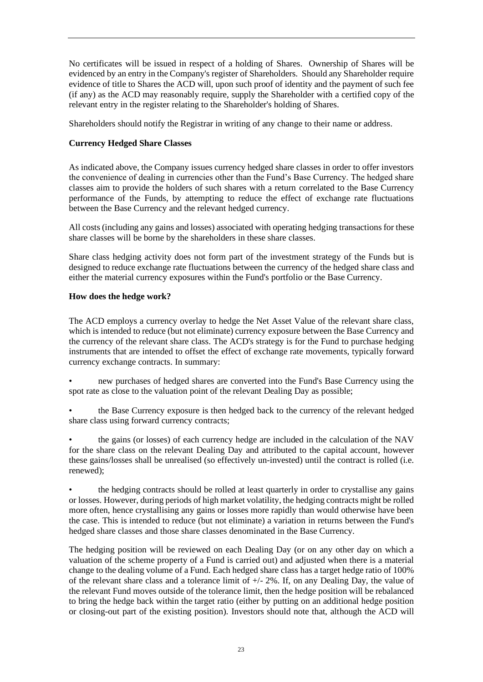No certificates will be issued in respect of a holding of Shares. Ownership of Shares will be evidenced by an entry in the Company's register of Shareholders. Should any Shareholder require evidence of title to Shares the ACD will, upon such proof of identity and the payment of such fee  $(i)$  any) as the ACD may reasonably require, supply the Shareholder with a certified copy of the relevant entry in the register relating to the Shareholder's holding of Shares.

Shareholders should notify the Registrar in writing of any change to their name or address.

## **Currency Hedged Share Classes**

As indicated above, the Company issues currency hedged share classes in order to offer investors the convenience of dealing in currencies other than the Fund's Base Currency. The hedged share classes aim to provide the holders of such shares with a return correlated to the Base Currency performance of the Funds, by attempting to reduce the effect of exchange rate fluctuations between the Base Currency and the relevant hedged currency.

All costs (including any gains and losses) associated with operating hedging transactions for these share classes will be borne by the shareholders in these share classes.

Share class hedging activity does not form part of the investment strategy of the Funds but is designed to reduce exchange rate fluctuations between the currency of the hedged share class and either the material currency exposures within the Fund's portfolio or the Base Currency.

## **How does the hedge work?**

The ACD employs a currency overlay to hedge the Net Asset Value of the relevant share class, which is intended to reduce (but not eliminate) currency exposure between the Base Currency and the currency of the relevant share class. The ACD's strategy is for the Fund to purchase hedging instruments that are intended to offset the effect of exchange rate movements, typically forward currency exchange contracts. In summary:

• new purchases of hedged shares are converted into the Fund's Base Currency using the spot rate as close to the valuation point of the relevant Dealing Day as possible;

• the Base Currency exposure is then hedged back to the currency of the relevant hedged share class using forward currency contracts;

• the gains (or losses) of each currency hedge are included in the calculation of the NAV for the share class on the relevant Dealing Day and attributed to the capital account, however these gains/losses shall be unrealised (so effectively un-invested) until the contract is rolled (i.e. renewed);

• the hedging contracts should be rolled at least quarterly in order to crystallise any gains or losses. However, during periods of high market volatility, the hedging contracts might be rolled more often, hence crystallising any gains or losses more rapidly than would otherwise have been the case. This is intended to reduce (but not eliminate) a variation in returns between the Fund's hedged share classes and those share classes denominated in the Base Currency.

The hedging position will be reviewed on each Dealing Day (or on any other day on which a valuation of the scheme property of a Fund is carried out) and adjusted when there is a material change to the dealing volume of a Fund. Each hedged share class has a target hedge ratio of 100% of the relevant share class and a tolerance limit of +/- 2%. If, on any Dealing Day, the value of the relevant Fund moves outside of the tolerance limit, then the hedge position will be rebalanced to bring the hedge back within the target ratio (either by putting on an additional hedge position or closing-out part of the existing position). Investors should note that, although the ACD will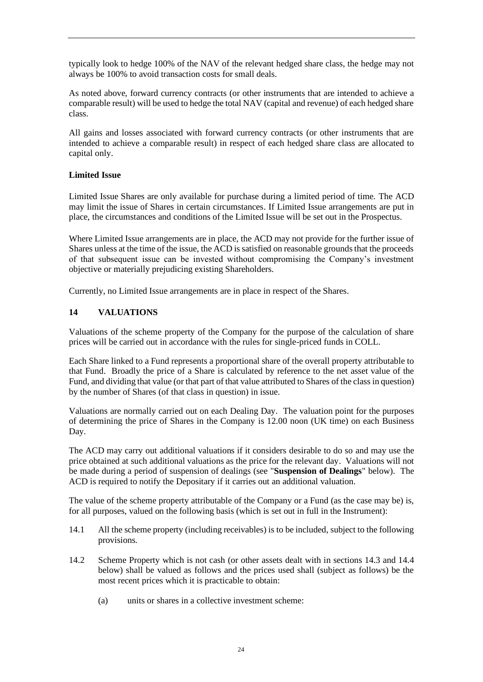typically look to hedge 100% of the NAV of the relevant hedged share class, the hedge may not always be 100% to avoid transaction costs for small deals.

As noted above, forward currency contracts (or other instruments that are intended to achieve a comparable result) will be used to hedge the total NAV (capital and revenue) of each hedged share class.

All gains and losses associated with forward currency contracts (or other instruments that are intended to achieve a comparable result) in respect of each hedged share class are allocated to capital only.

## **Limited Issue**

Limited Issue Shares are only available for purchase during a limited period of time. The ACD may limit the issue of Shares in certain circumstances. If Limited Issue arrangements are put in place, the circumstances and conditions of the Limited Issue will be set out in the Prospectus.

Where Limited Issue arrangements are in place, the ACD may not provide for the further issue of Shares unless at the time of the issue, the ACD is satisfied on reasonable grounds that the proceeds of that subsequent issue can be invested without compromising the Company's investment objective or materially prejudicing existing Shareholders.

Currently, no Limited Issue arrangements are in place in respect of the Shares.

## <span id="page-27-0"></span>**14 VALUATIONS**

Valuations of the scheme property of the Company for the purpose of the calculation of share prices will be carried out in accordance with the rules for single-priced funds in COLL.

Each Share linked to a Fund represents a proportional share of the overall property attributable to that Fund. Broadly the price of a Share is calculated by reference to the net asset value of the Fund, and dividing that value (or that part of that value attributed to Shares of the class in question) by the number of Shares (of that class in question) in issue.

Valuations are normally carried out on each Dealing Day. The valuation point for the purposes of determining the price of Shares in the Company is 12.00 noon (UK time) on each Business Day.

The ACD may carry out additional valuations if it considers desirable to do so and may use the price obtained at such additional valuations as the price for the relevant day. Valuations will not be made during a period of suspension of dealings (see "**Suspension of Dealings**" below). The ACD is required to notify the Depositary if it carries out an additional valuation.

The value of the scheme property attributable of the Company or a Fund (as the case may be) is, for all purposes, valued on the following basis (which is set out in full in the Instrument):

- 14.1 All the scheme property (including receivables) is to be included, subject to the following provisions.
- 14.2 Scheme Property which is not cash (or other assets dealt with in sections 14.3 and 14.4 below) shall be valued as follows and the prices used shall (subject as follows) be the most recent prices which it is practicable to obtain:
	- (a) units or shares in a collective investment scheme: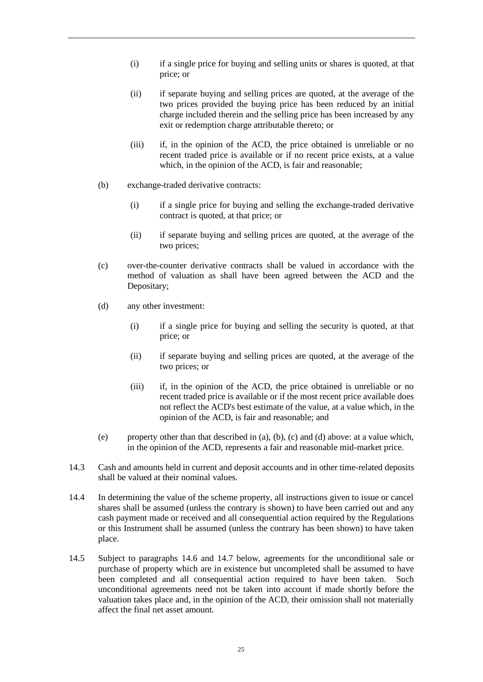- (i) if a single price for buying and selling units or shares is quoted, at that price; or
- (ii) if separate buying and selling prices are quoted, at the average of the two prices provided the buying price has been reduced by an initial charge included therein and the selling price has been increased by any exit or redemption charge attributable thereto; or
- (iii) if, in the opinion of the ACD, the price obtained is unreliable or no recent traded price is available or if no recent price exists, at a value which, in the opinion of the ACD, is fair and reasonable;
- (b) exchange-traded derivative contracts:
	- (i) if a single price for buying and selling the exchange-traded derivative contract is quoted, at that price; or
	- (ii) if separate buying and selling prices are quoted, at the average of the two prices;
- (c) over-the-counter derivative contracts shall be valued in accordance with the method of valuation as shall have been agreed between the ACD and the Depositary;
- (d) any other investment:
	- (i) if a single price for buying and selling the security is quoted, at that price; or
	- (ii) if separate buying and selling prices are quoted, at the average of the two prices; or
	- (iii) if, in the opinion of the ACD, the price obtained is unreliable or no recent traded price is available or if the most recent price available does not reflect the ACD's best estimate of the value, at a value which, in the opinion of the ACD, is fair and reasonable; and
- (e) property other than that described in (a), (b), (c) and (d) above: at a value which, in the opinion of the ACD, represents a fair and reasonable mid-market price.
- 14.3 Cash and amounts held in current and deposit accounts and in other time-related deposits shall be valued at their nominal values.
- 14.4 In determining the value of the scheme property, all instructions given to issue or cancel shares shall be assumed (unless the contrary is shown) to have been carried out and any cash payment made or received and all consequential action required by the Regulations or this Instrument shall be assumed (unless the contrary has been shown) to have taken place.
- <span id="page-28-0"></span>14.5 Subject to paragraphs [14.6](#page-29-0) and [14.7](#page-29-1) below, agreements for the unconditional sale or purchase of property which are in existence but uncompleted shall be assumed to have been completed and all consequential action required to have been taken. Such unconditional agreements need not be taken into account if made shortly before the valuation takes place and, in the opinion of the ACD, their omission shall not materially affect the final net asset amount.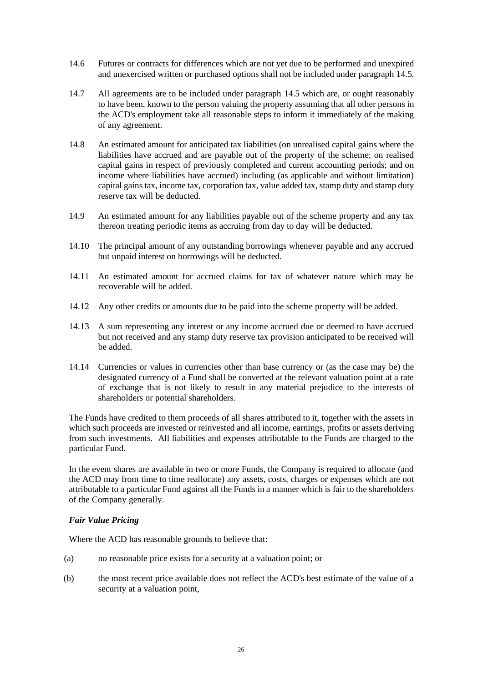- <span id="page-29-0"></span>14.6 Futures or contracts for differences which are not yet due to be performed and unexpired and unexercised written or purchased options shall not be included under paragraph [14.5.](#page-28-0)
- <span id="page-29-1"></span>14.7 All agreements are to be included under paragraph [14.5](#page-28-0) which are, or ought reasonably to have been, known to the person valuing the property assuming that all other persons in the ACD's employment take all reasonable steps to inform it immediately of the making of any agreement.
- 14.8 An estimated amount for anticipated tax liabilities (on unrealised capital gains where the liabilities have accrued and are payable out of the property of the scheme; on realised capital gains in respect of previously completed and current accounting periods; and on income where liabilities have accrued) including (as applicable and without limitation) capital gains tax, income tax, corporation tax, value added tax, stamp duty and stamp duty reserve tax will be deducted.
- 14.9 An estimated amount for any liabilities payable out of the scheme property and any tax thereon treating periodic items as accruing from day to day will be deducted.
- 14.10 The principal amount of any outstanding borrowings whenever payable and any accrued but unpaid interest on borrowings will be deducted.
- 14.11 An estimated amount for accrued claims for tax of whatever nature which may be recoverable will be added.
- 14.12 Any other credits or amounts due to be paid into the scheme property will be added.
- 14.13 A sum representing any interest or any income accrued due or deemed to have accrued but not received and any stamp duty reserve tax provision anticipated to be received will be added.
- 14.14 Currencies or values in currencies other than base currency or (as the case may be) the designated currency of a Fund shall be converted at the relevant valuation point at a rate of exchange that is not likely to result in any material prejudice to the interests of shareholders or potential shareholders.

The Funds have credited to them proceeds of all shares attributed to it, together with the assets in which such proceeds are invested or reinvested and all income, earnings, profits or assets deriving from such investments. All liabilities and expenses attributable to the Funds are charged to the particular Fund.

In the event shares are available in two or more Funds, the Company is required to allocate (and the ACD may from time to time reallocate) any assets, costs, charges or expenses which are not attributable to a particular Fund against all the Funds in a manner which is fair to the shareholders of the Company generally.

## *Fair Value Pricing*

Where the ACD has reasonable grounds to believe that:

- (a) no reasonable price exists for a security at a valuation point; or
- (b) the most recent price available does not reflect the ACD's best estimate of the value of a security at a valuation point,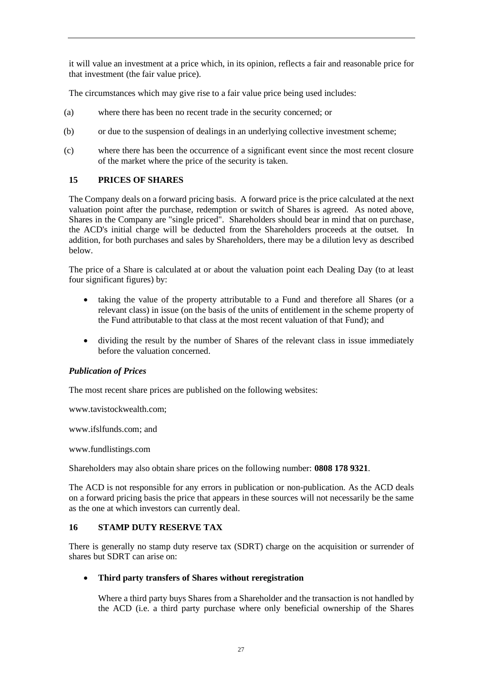it will value an investment at a price which, in its opinion, reflects a fair and reasonable price for that investment (the fair value price).

The circumstances which may give rise to a fair value price being used includes:

- (a) where there has been no recent trade in the security concerned; or
- (b) or due to the suspension of dealings in an underlying collective investment scheme;
- (c) where there has been the occurrence of a significant event since the most recent closure of the market where the price of the security is taken.

## <span id="page-30-0"></span>**15 PRICES OF SHARES**

The Company deals on a forward pricing basis. A forward price is the price calculated at the next valuation point after the purchase, redemption or switch of Shares is agreed. As noted above, Shares in the Company are "single priced". Shareholders should bear in mind that on purchase, the ACD's initial charge will be deducted from the Shareholders proceeds at the outset. In addition, for both purchases and sales by Shareholders, there may be a dilution levy as described below.

The price of a Share is calculated at or about the valuation point each Dealing Day (to at least four significant figures) by:

- taking the value of the property attributable to a Fund and therefore all Shares (or a relevant class) in issue (on the basis of the units of entitlement in the scheme property of the Fund attributable to that class at the most recent valuation of that Fund); and
- dividing the result by the number of Shares of the relevant class in issue immediately before the valuation concerned.

## *Publication of Prices*

The most recent share prices are published on the following websites:

www.tavistockwealth.com;

www.ifslfunds.com; and

www.fundlistings.com

Shareholders may also obtain share prices on the following number: **0808 178 9321**.

The ACD is not responsible for any errors in publication or non-publication. As the ACD deals on a forward pricing basis the price that appears in these sources will not necessarily be the same as the one at which investors can currently deal.

## <span id="page-30-1"></span>**16 STAMP DUTY RESERVE TAX**

There is generally no stamp duty reserve tax (SDRT) charge on the acquisition or surrender of shares but SDRT can arise on:

## • **Third party transfers of Shares without reregistration**

Where a third party buys Shares from a Shareholder and the transaction is not handled by the ACD (i.e. a third party purchase where only beneficial ownership of the Shares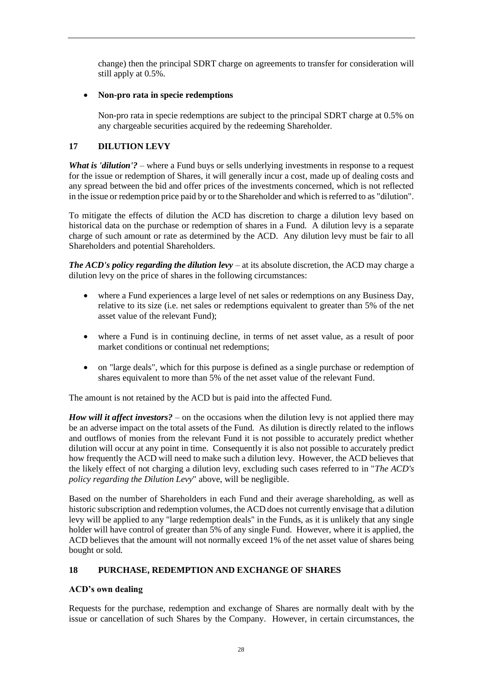change) then the principal SDRT charge on agreements to transfer for consideration will still apply at 0.5%.

## • **Non-pro rata in specie redemptions**

Non-pro rata in specie redemptions are subject to the principal SDRT charge at 0.5% on any chargeable securities acquired by the redeeming Shareholder.

# <span id="page-31-0"></span>**17 DILUTION LEVY**

*What is 'dilution'?* – where a Fund buys or sells underlying investments in response to a request for the issue or redemption of Shares, it will generally incur a cost, made up of dealing costs and any spread between the bid and offer prices of the investments concerned, which is not reflected in the issue or redemption price paid by or to the Shareholder and which is referred to as "dilution".

To mitigate the effects of dilution the ACD has discretion to charge a dilution levy based on historical data on the purchase or redemption of shares in a Fund. A dilution levy is a separate charge of such amount or rate as determined by the ACD. Any dilution levy must be fair to all Shareholders and potential Shareholders.

*The ACD's policy regarding the dilution levy* – at its absolute discretion, the ACD may charge a dilution levy on the price of shares in the following circumstances:

- where a Fund experiences a large level of net sales or redemptions on any Business Day, relative to its size (i.e. net sales or redemptions equivalent to greater than 5% of the net asset value of the relevant Fund);
- where a Fund is in continuing decline, in terms of net asset value, as a result of poor market conditions or continual net redemptions;
- on "large deals", which for this purpose is defined as a single purchase or redemption of shares equivalent to more than 5% of the net asset value of the relevant Fund.

The amount is not retained by the ACD but is paid into the affected Fund.

*How will it affect investors?* – on the occasions when the dilution levy is not applied there may be an adverse impact on the total assets of the Fund. As dilution is directly related to the inflows and outflows of monies from the relevant Fund it is not possible to accurately predict whether dilution will occur at any point in time. Consequently it is also not possible to accurately predict how frequently the ACD will need to make such a dilution levy. However, the ACD believes that the likely effect of not charging a dilution levy, excluding such cases referred to in "*The ACD's policy regarding the Dilution Levy*" above, will be negligible.

Based on the number of Shareholders in each Fund and their average shareholding, as well as historic subscription and redemption volumes, the ACD does not currently envisage that a dilution levy will be applied to any "large redemption deals" in the Funds, as it is unlikely that any single holder will have control of greater than 5% of any single Fund. However, where it is applied, the ACD believes that the amount will not normally exceed 1% of the net asset value of shares being bought or sold.

## <span id="page-31-1"></span>**18 PURCHASE, REDEMPTION AND EXCHANGE OF SHARES**

## **ACD's own dealing**

Requests for the purchase, redemption and exchange of Shares are normally dealt with by the issue or cancellation of such Shares by the Company. However, in certain circumstances, the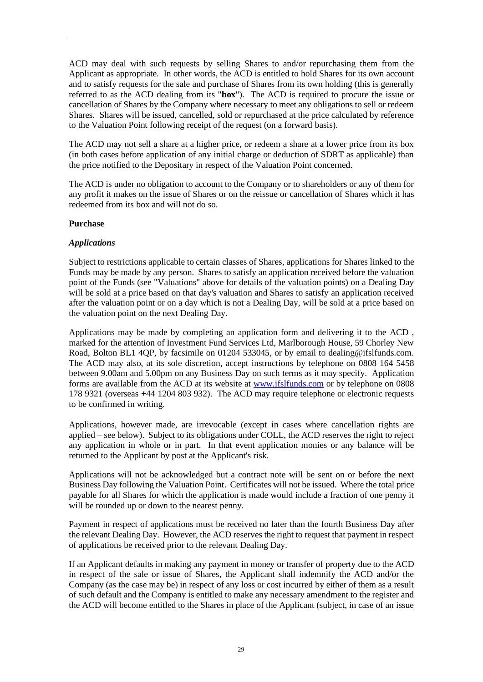ACD may deal with such requests by selling Shares to and/or repurchasing them from the Applicant as appropriate. In other words, the ACD is entitled to hold Shares for its own account and to satisfy requests for the sale and purchase of Shares from its own holding (this is generally referred to as the ACD dealing from its "**box**"). The ACD is required to procure the issue or cancellation of Shares by the Company where necessary to meet any obligations to sell or redeem Shares. Shares will be issued, cancelled, sold or repurchased at the price calculated by reference to the Valuation Point following receipt of the request (on a forward basis).

The ACD may not sell a share at a higher price, or redeem a share at a lower price from its box (in both cases before application of any initial charge or deduction of SDRT as applicable) than the price notified to the Depositary in respect of the Valuation Point concerned.

The ACD is under no obligation to account to the Company or to shareholders or any of them for any profit it makes on the issue of Shares or on the reissue or cancellation of Shares which it has redeemed from its box and will not do so.

## **Purchase**

## *Applications*

Subject to restrictions applicable to certain classes of Shares, applications for Shares linked to the Funds may be made by any person. Shares to satisfy an application received before the valuation point of the Funds (see "Valuations" above for details of the valuation points) on a Dealing Day will be sold at a price based on that day's valuation and Shares to satisfy an application received after the valuation point or on a day which is not a Dealing Day, will be sold at a price based on the valuation point on the next Dealing Day.

Applications may be made by completing an application form and delivering it to the ACD , marked for the attention of Investment Fund Services Ltd, Marlborough House, 59 Chorley New Road, Bolton BL1 4QP, by facsimile on 01204 533045, or by email to dealing@ifslfunds.com. The ACD may also, at its sole discretion, accept instructions by telephone on 0808 164 5458 between 9.00am and 5.00pm on any Business Day on such terms as it may specify. Application forms are available from the ACD at its website at [www.ifslfunds.com](http://www.ifslfunds.com/) or by telephone on 0808 178 9321 (overseas +44 1204 803 932). The ACD may require telephone or electronic requests to be confirmed in writing.

Applications, however made, are irrevocable (except in cases where cancellation rights are applied – see below). Subject to its obligations under COLL, the ACD reserves the right to reject any application in whole or in part. In that event application monies or any balance will be returned to the Applicant by post at the Applicant's risk.

Applications will not be acknowledged but a contract note will be sent on or before the next Business Day following the Valuation Point. Certificates will not be issued. Where the total price payable for all Shares for which the application is made would include a fraction of one penny it will be rounded up or down to the nearest penny.

Payment in respect of applications must be received no later than the fourth Business Day after the relevant Dealing Day. However, the ACD reserves the right to request that payment in respect of applications be received prior to the relevant Dealing Day.

If an Applicant defaults in making any payment in money or transfer of property due to the ACD in respect of the sale or issue of Shares, the Applicant shall indemnify the ACD and/or the Company (as the case may be) in respect of any loss or cost incurred by either of them as a result of such default and the Company is entitled to make any necessary amendment to the register and the ACD will become entitled to the Shares in place of the Applicant (subject, in case of an issue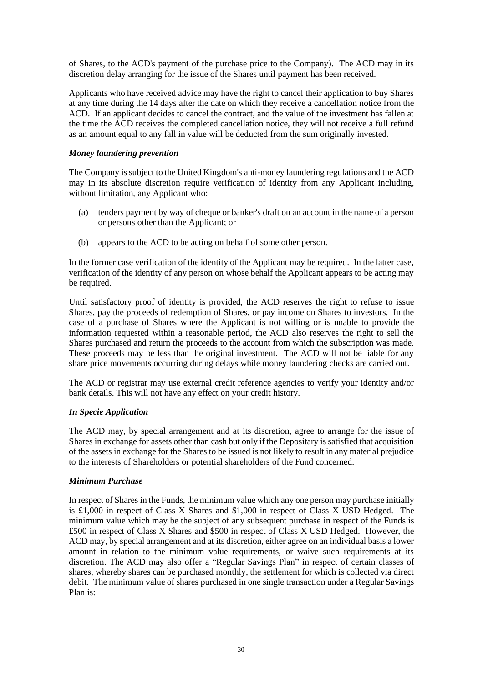of Shares, to the ACD's payment of the purchase price to the Company). The ACD may in its discretion delay arranging for the issue of the Shares until payment has been received.

Applicants who have received advice may have the right to cancel their application to buy Shares at any time during the 14 days after the date on which they receive a cancellation notice from the ACD. If an applicant decides to cancel the contract, and the value of the investment has fallen at the time the ACD receives the completed cancellation notice, they will not receive a full refund as an amount equal to any fall in value will be deducted from the sum originally invested.

## *Money laundering prevention*

The Company is subject to the United Kingdom's anti-money laundering regulations and the ACD may in its absolute discretion require verification of identity from any Applicant including, without limitation, any Applicant who:

- (a) tenders payment by way of cheque or banker's draft on an account in the name of a person or persons other than the Applicant; or
- (b) appears to the ACD to be acting on behalf of some other person.

In the former case verification of the identity of the Applicant may be required. In the latter case, verification of the identity of any person on whose behalf the Applicant appears to be acting may be required.

Until satisfactory proof of identity is provided, the ACD reserves the right to refuse to issue Shares, pay the proceeds of redemption of Shares, or pay income on Shares to investors. In the case of a purchase of Shares where the Applicant is not willing or is unable to provide the information requested within a reasonable period, the ACD also reserves the right to sell the Shares purchased and return the proceeds to the account from which the subscription was made. These proceeds may be less than the original investment. The ACD will not be liable for any share price movements occurring during delays while money laundering checks are carried out.

The ACD or registrar may use external credit reference agencies to verify your identity and/or bank details. This will not have any effect on your credit history.

## *In Specie Application*

The ACD may, by special arrangement and at its discretion, agree to arrange for the issue of Shares in exchange for assets other than cash but only if the Depositary is satisfied that acquisition of the assets in exchange for the Shares to be issued is not likely to result in any material prejudice to the interests of Shareholders or potential shareholders of the Fund concerned.

## *Minimum Purchase*

In respect of Shares in the Funds, the minimum value which any one person may purchase initially is £1,000 in respect of Class X Shares and \$1,000 in respect of Class X USD Hedged. The minimum value which may be the subject of any subsequent purchase in respect of the Funds is £500 in respect of Class X Shares and \$500 in respect of Class X USD Hedged. However, the ACD may, by special arrangement and at its discretion, either agree on an individual basis a lower amount in relation to the minimum value requirements, or waive such requirements at its discretion. The ACD may also offer a "Regular Savings Plan" in respect of certain classes of shares, whereby shares can be purchased monthly, the settlement for which is collected via direct debit. The minimum value of shares purchased in one single transaction under a Regular Savings Plan is: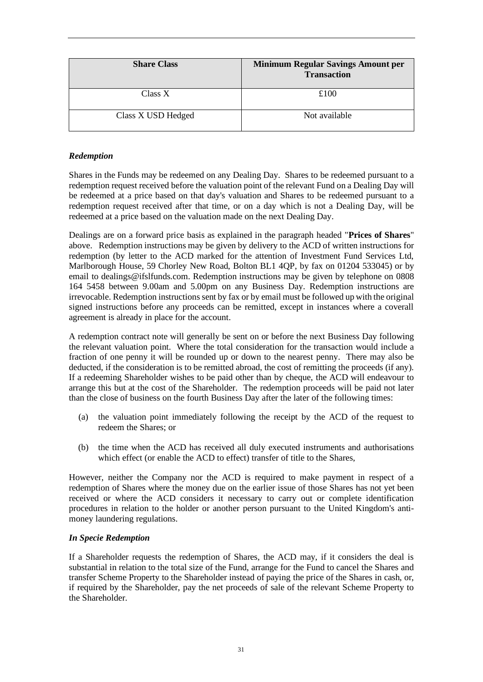| <b>Share Class</b> | <b>Minimum Regular Savings Amount per</b><br><b>Transaction</b> |
|--------------------|-----------------------------------------------------------------|
| Class X            | £100                                                            |
| Class X USD Hedged | Not available                                                   |

## *Redemption*

Shares in the Funds may be redeemed on any Dealing Day. Shares to be redeemed pursuant to a redemption request received before the valuation point of the relevant Fund on a Dealing Day will be redeemed at a price based on that day's valuation and Shares to be redeemed pursuant to a redemption request received after that time, or on a day which is not a Dealing Day, will be redeemed at a price based on the valuation made on the next Dealing Day.

Dealings are on a forward price basis as explained in the paragraph headed "**Prices of Shares**" above. Redemption instructions may be given by delivery to the ACD of written instructions for redemption (by letter to the ACD marked for the attention of Investment Fund Services Ltd, Marlborough House, 59 Chorley New Road, Bolton BL1 4QP, by fax on 01204 533045) or by email to dealings@ifslfunds.com. Redemption instructions may be given by telephone on 0808 164 5458 between 9.00am and 5.00pm on any Business Day. Redemption instructions are irrevocable. Redemption instructions sent by fax or by email must be followed up with the original signed instructions before any proceeds can be remitted, except in instances where a coverall agreement is already in place for the account.

A redemption contract note will generally be sent on or before the next Business Day following the relevant valuation point. Where the total consideration for the transaction would include a fraction of one penny it will be rounded up or down to the nearest penny. There may also be deducted, if the consideration is to be remitted abroad, the cost of remitting the proceeds (if any). If a redeeming Shareholder wishes to be paid other than by cheque, the ACD will endeavour to arrange this but at the cost of the Shareholder. The redemption proceeds will be paid not later than the close of business on the fourth Business Day after the later of the following times:

- (a) the valuation point immediately following the receipt by the ACD of the request to redeem the Shares; or
- (b) the time when the ACD has received all duly executed instruments and authorisations which effect (or enable the ACD to effect) transfer of title to the Shares,

However, neither the Company nor the ACD is required to make payment in respect of a redemption of Shares where the money due on the earlier issue of those Shares has not yet been received or where the ACD considers it necessary to carry out or complete identification procedures in relation to the holder or another person pursuant to the United Kingdom's antimoney laundering regulations.

## *In Specie Redemption*

If a Shareholder requests the redemption of Shares, the ACD may, if it considers the deal is substantial in relation to the total size of the Fund, arrange for the Fund to cancel the Shares and transfer Scheme Property to the Shareholder instead of paying the price of the Shares in cash, or, if required by the Shareholder, pay the net proceeds of sale of the relevant Scheme Property to the Shareholder.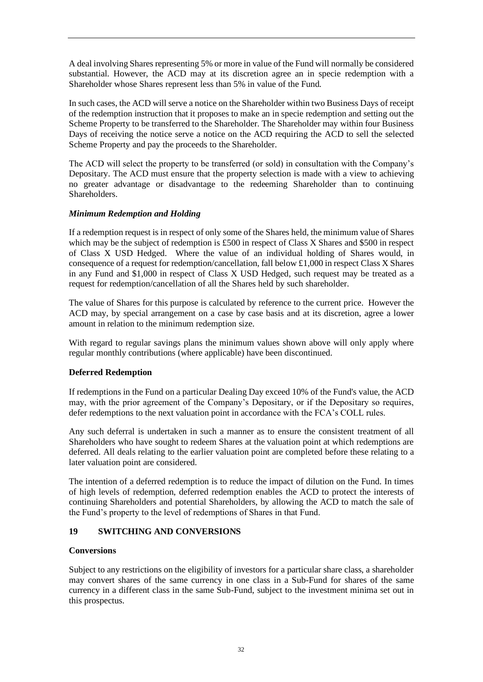A deal involving Shares representing 5% or more in value of the Fund will normally be considered substantial. However, the ACD may at its discretion agree an in specie redemption with a Shareholder whose Shares represent less than 5% in value of the Fund.

In such cases, the ACD will serve a notice on the Shareholder within two Business Days of receipt of the redemption instruction that it proposes to make an in specie redemption and setting out the Scheme Property to be transferred to the Shareholder. The Shareholder may within four Business Days of receiving the notice serve a notice on the ACD requiring the ACD to sell the selected Scheme Property and pay the proceeds to the Shareholder.

The ACD will select the property to be transferred (or sold) in consultation with the Company's Depositary. The ACD must ensure that the property selection is made with a view to achieving no greater advantage or disadvantage to the redeeming Shareholder than to continuing Shareholders.

## *Minimum Redemption and Holding*

If a redemption request is in respect of only some of the Shares held, the minimum value of Shares which may be the subject of redemption is £500 in respect of Class X Shares and \$500 in respect of Class X USD Hedged. Where the value of an individual holding of Shares would, in consequence of a request for redemption/cancellation, fall below £1,000 in respect Class X Shares in any Fund and \$1,000 in respect of Class X USD Hedged, such request may be treated as a request for redemption/cancellation of all the Shares held by such shareholder.

The value of Shares for this purpose is calculated by reference to the current price. However the ACD may, by special arrangement on a case by case basis and at its discretion, agree a lower amount in relation to the minimum redemption size.

With regard to regular savings plans the minimum values shown above will only apply where regular monthly contributions (where applicable) have been discontinued.

## **Deferred Redemption**

If redemptions in the Fund on a particular Dealing Day exceed 10% of the Fund's value, the ACD may, with the prior agreement of the Company's Depositary, or if the Depositary so requires, defer redemptions to the next valuation point in accordance with the FCA's COLL rules.

Any such deferral is undertaken in such a manner as to ensure the consistent treatment of all Shareholders who have sought to redeem Shares at the valuation point at which redemptions are deferred. All deals relating to the earlier valuation point are completed before these relating to a later valuation point are considered.

The intention of a deferred redemption is to reduce the impact of dilution on the Fund. In times of high levels of redemption, deferred redemption enables the ACD to protect the interests of continuing Shareholders and potential Shareholders, by allowing the ACD to match the sale of the Fund's property to the level of redemptions of Shares in that Fund.

## <span id="page-35-0"></span>**19 SWITCHING AND CONVERSIONS**

## **Conversions**

Subject to any restrictions on the eligibility of investors for a particular share class, a shareholder may convert shares of the same currency in one class in a Sub-Fund for shares of the same currency in a different class in the same Sub-Fund, subject to the investment minima set out in this prospectus.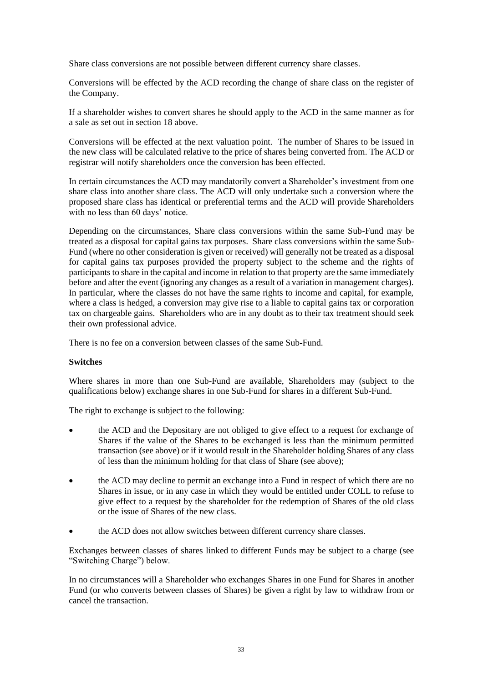Share class conversions are not possible between different currency share classes.

Conversions will be effected by the ACD recording the change of share class on the register of the Company.

If a shareholder wishes to convert shares he should apply to the ACD in the same manner as for a sale as set out in section 18 above.

Conversions will be effected at the next valuation point. The number of Shares to be issued in the new class will be calculated relative to the price of shares being converted from. The ACD or registrar will notify shareholders once the conversion has been effected.

In certain circumstances the ACD may mandatorily convert a Shareholder's investment from one share class into another share class. The ACD will only undertake such a conversion where the proposed share class has identical or preferential terms and the ACD will provide Shareholders with no less than 60 days' notice.

Depending on the circumstances, Share class conversions within the same Sub-Fund may be treated as a disposal for capital gains tax purposes. Share class conversions within the same Sub-Fund (where no other consideration is given or received) will generally not be treated as a disposal for capital gains tax purposes provided the property subject to the scheme and the rights of participants to share in the capital and income in relation to that property are the same immediately before and after the event (ignoring any changes as a result of a variation in management charges). In particular, where the classes do not have the same rights to income and capital, for example, where a class is hedged, a conversion may give rise to a liable to capital gains tax or corporation tax on chargeable gains. Shareholders who are in any doubt as to their tax treatment should seek their own professional advice.

There is no fee on a conversion between classes of the same Sub-Fund.

#### **Switches**

Where shares in more than one Sub-Fund are available, Shareholders may (subject to the qualifications below) exchange shares in one Sub-Fund for shares in a different Sub-Fund.

The right to exchange is subject to the following:

- the ACD and the Depositary are not obliged to give effect to a request for exchange of Shares if the value of the Shares to be exchanged is less than the minimum permitted transaction (see above) or if it would result in the Shareholder holding Shares of any class of less than the minimum holding for that class of Share (see above);
- the ACD may decline to permit an exchange into a Fund in respect of which there are no Shares in issue, or in any case in which they would be entitled under COLL to refuse to give effect to a request by the shareholder for the redemption of Shares of the old class or the issue of Shares of the new class.
- the ACD does not allow switches between different currency share classes.

Exchanges between classes of shares linked to different Funds may be subject to a charge (see "Switching Charge") below.

In no circumstances will a Shareholder who exchanges Shares in one Fund for Shares in another Fund (or who converts between classes of Shares) be given a right by law to withdraw from or cancel the transaction.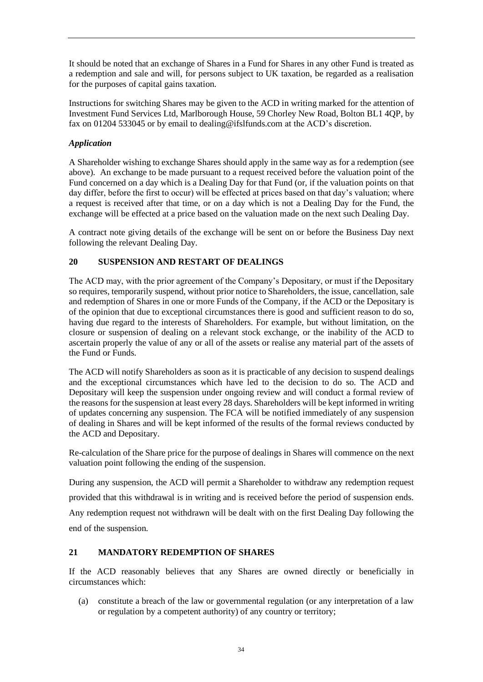It should be noted that an exchange of Shares in a Fund for Shares in any other Fund is treated as a redemption and sale and will, for persons subject to UK taxation, be regarded as a realisation for the purposes of capital gains taxation.

Instructions for switching Shares may be given to the ACD in writing marked for the attention of Investment Fund Services Ltd, Marlborough House, 59 Chorley New Road, Bolton BL1 4QP, by fax on 01204 533045 or by email to dealing@ifslfunds.com at the ACD's discretion.

## *Application*

A Shareholder wishing to exchange Shares should apply in the same way as for a redemption (see above). An exchange to be made pursuant to a request received before the valuation point of the Fund concerned on a day which is a Dealing Day for that Fund (or, if the valuation points on that day differ, before the first to occur) will be effected at prices based on that day's valuation; where a request is received after that time, or on a day which is not a Dealing Day for the Fund, the exchange will be effected at a price based on the valuation made on the next such Dealing Day.

A contract note giving details of the exchange will be sent on or before the Business Day next following the relevant Dealing Day.

# **20 SUSPENSION AND RESTART OF DEALINGS**

The ACD may, with the prior agreement of the Company's Depositary, or must if the Depositary so requires, temporarily suspend, without prior notice to Shareholders, the issue, cancellation, sale and redemption of Shares in one or more Funds of the Company, if the ACD or the Depositary is of the opinion that due to exceptional circumstances there is good and sufficient reason to do so, having due regard to the interests of Shareholders. For example, but without limitation, on the closure or suspension of dealing on a relevant stock exchange, or the inability of the ACD to ascertain properly the value of any or all of the assets or realise any material part of the assets of the Fund or Funds.

The ACD will notify Shareholders as soon as it is practicable of any decision to suspend dealings and the exceptional circumstances which have led to the decision to do so. The ACD and Depositary will keep the suspension under ongoing review and will conduct a formal review of the reasons for the suspension at least every 28 days. Shareholders will be kept informed in writing of updates concerning any suspension. The FCA will be notified immediately of any suspension of dealing in Shares and will be kept informed of the results of the formal reviews conducted by the ACD and Depositary.

Re-calculation of the Share price for the purpose of dealings in Shares will commence on the next valuation point following the ending of the suspension.

During any suspension, the ACD will permit a Shareholder to withdraw any redemption request provided that this withdrawal is in writing and is received before the period of suspension ends. Any redemption request not withdrawn will be dealt with on the first Dealing Day following the end of the suspension.

## **21 MANDATORY REDEMPTION OF SHARES**

If the ACD reasonably believes that any Shares are owned directly or beneficially in circumstances which:

(a) constitute a breach of the law or governmental regulation (or any interpretation of a law or regulation by a competent authority) of any country or territory;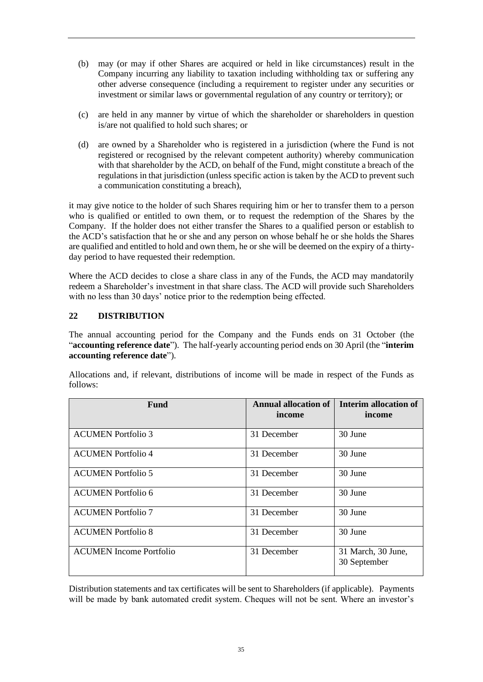- (b) may (or may if other Shares are acquired or held in like circumstances) result in the Company incurring any liability to taxation including withholding tax or suffering any other adverse consequence (including a requirement to register under any securities or investment or similar laws or governmental regulation of any country or territory); or
- (c) are held in any manner by virtue of which the shareholder or shareholders in question is/are not qualified to hold such shares; or
- (d) are owned by a Shareholder who is registered in a jurisdiction (where the Fund is not registered or recognised by the relevant competent authority) whereby communication with that shareholder by the ACD, on behalf of the Fund, might constitute a breach of the regulations in that jurisdiction (unless specific action is taken by the ACD to prevent such a communication constituting a breach),

it may give notice to the holder of such Shares requiring him or her to transfer them to a person who is qualified or entitled to own them, or to request the redemption of the Shares by the Company. If the holder does not either transfer the Shares to a qualified person or establish to the ACD's satisfaction that he or she and any person on whose behalf he or she holds the Shares are qualified and entitled to hold and own them, he or she will be deemed on the expiry of a thirtyday period to have requested their redemption.

Where the ACD decides to close a share class in any of the Funds, the ACD may mandatorily redeem a Shareholder's investment in that share class. The ACD will provide such Shareholders with no less than 30 days' notice prior to the redemption being effected.

## **22 DISTRIBUTION**

The annual accounting period for the Company and the Funds ends on 31 October (the "**accounting reference date**"). The half-yearly accounting period ends on 30 April (the "**interim accounting reference date**").

Allocations and, if relevant, distributions of income will be made in respect of the Funds as follows:

| <b>Fund</b>                    | <b>Annual allocation of</b><br>income | Interim allocation of<br>income    |
|--------------------------------|---------------------------------------|------------------------------------|
| <b>ACUMEN</b> Portfolio 3      | 31 December                           | 30 June                            |
| <b>ACUMEN</b> Portfolio 4      | 31 December                           | 30 June                            |
| <b>ACUMEN</b> Portfolio 5      | 31 December                           | 30 June                            |
| <b>ACUMEN</b> Portfolio 6      | 31 December                           | 30 June                            |
| <b>ACUMEN Portfolio 7</b>      | 31 December                           | 30 June                            |
| <b>ACUMEN Portfolio 8</b>      | 31 December                           | 30 June                            |
| <b>ACUMEN</b> Income Portfolio | 31 December                           | 31 March, 30 June,<br>30 September |

Distribution statements and tax certificates will be sent to Shareholders (if applicable). Payments will be made by bank automated credit system. Cheques will not be sent. Where an investor's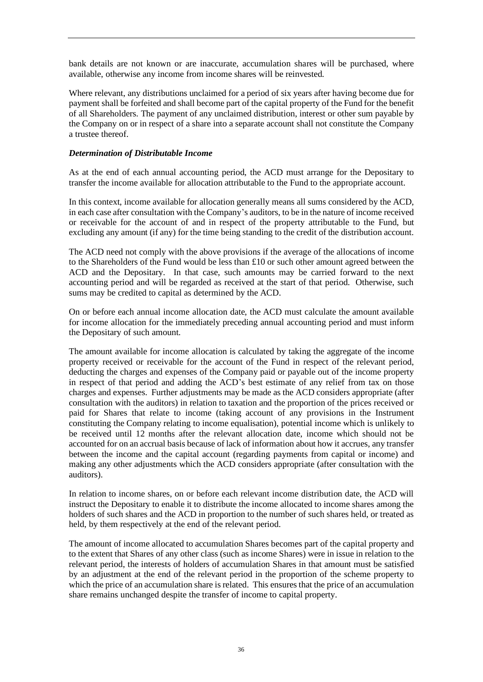bank details are not known or are inaccurate, accumulation shares will be purchased, where available, otherwise any income from income shares will be reinvested.

Where relevant, any distributions unclaimed for a period of six years after having become due for payment shall be forfeited and shall become part of the capital property of the Fund for the benefit of all Shareholders. The payment of any unclaimed distribution, interest or other sum payable by the Company on or in respect of a share into a separate account shall not constitute the Company a trustee thereof.

### *Determination of Distributable Income*

As at the end of each annual accounting period, the ACD must arrange for the Depositary to transfer the income available for allocation attributable to the Fund to the appropriate account.

In this context, income available for allocation generally means all sums considered by the ACD, in each case after consultation with the Company's auditors, to be in the nature of income received or receivable for the account of and in respect of the property attributable to the Fund, but excluding any amount (if any) for the time being standing to the credit of the distribution account.

The ACD need not comply with the above provisions if the average of the allocations of income to the Shareholders of the Fund would be less than £10 or such other amount agreed between the ACD and the Depositary. In that case, such amounts may be carried forward to the next accounting period and will be regarded as received at the start of that period. Otherwise, such sums may be credited to capital as determined by the ACD.

On or before each annual income allocation date, the ACD must calculate the amount available for income allocation for the immediately preceding annual accounting period and must inform the Depositary of such amount.

The amount available for income allocation is calculated by taking the aggregate of the income property received or receivable for the account of the Fund in respect of the relevant period, deducting the charges and expenses of the Company paid or payable out of the income property in respect of that period and adding the ACD's best estimate of any relief from tax on those charges and expenses. Further adjustments may be made as the ACD considers appropriate (after consultation with the auditors) in relation to taxation and the proportion of the prices received or paid for Shares that relate to income (taking account of any provisions in the Instrument constituting the Company relating to income equalisation), potential income which is unlikely to be received until 12 months after the relevant allocation date, income which should not be accounted for on an accrual basis because of lack of information about how it accrues, any transfer between the income and the capital account (regarding payments from capital or income) and making any other adjustments which the ACD considers appropriate (after consultation with the auditors).

In relation to income shares, on or before each relevant income distribution date, the ACD will instruct the Depositary to enable it to distribute the income allocated to income shares among the holders of such shares and the ACD in proportion to the number of such shares held, or treated as held, by them respectively at the end of the relevant period.

The amount of income allocated to accumulation Shares becomes part of the capital property and to the extent that Shares of any other class (such as income Shares) were in issue in relation to the relevant period, the interests of holders of accumulation Shares in that amount must be satisfied by an adjustment at the end of the relevant period in the proportion of the scheme property to which the price of an accumulation share is related. This ensures that the price of an accumulation share remains unchanged despite the transfer of income to capital property.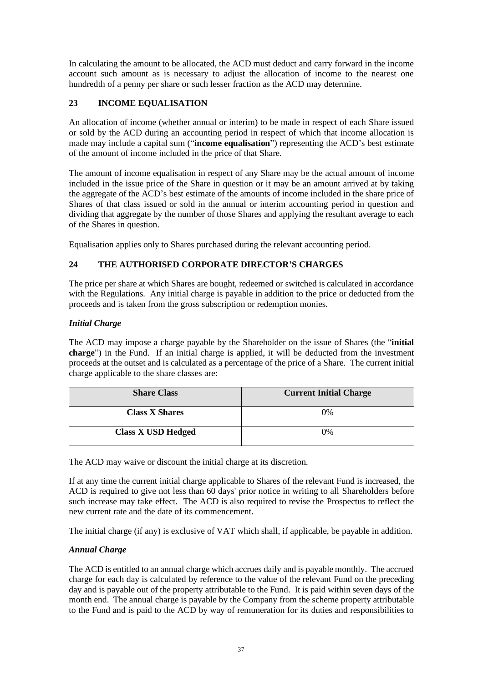In calculating the amount to be allocated, the ACD must deduct and carry forward in the income account such amount as is necessary to adjust the allocation of income to the nearest one hundredth of a penny per share or such lesser fraction as the ACD may determine.

# **23 INCOME EQUALISATION**

An allocation of income (whether annual or interim) to be made in respect of each Share issued or sold by the ACD during an accounting period in respect of which that income allocation is made may include a capital sum ("**income equalisation**") representing the ACD's best estimate of the amount of income included in the price of that Share.

The amount of income equalisation in respect of any Share may be the actual amount of income included in the issue price of the Share in question or it may be an amount arrived at by taking the aggregate of the ACD's best estimate of the amounts of income included in the share price of Shares of that class issued or sold in the annual or interim accounting period in question and dividing that aggregate by the number of those Shares and applying the resultant average to each of the Shares in question.

Equalisation applies only to Shares purchased during the relevant accounting period.

# **24 THE AUTHORISED CORPORATE DIRECTOR'S CHARGES**

The price per share at which Shares are bought, redeemed or switched is calculated in accordance with the Regulations. Any initial charge is payable in addition to the price or deducted from the proceeds and is taken from the gross subscription or redemption monies.

### *Initial Charge*

The ACD may impose a charge payable by the Shareholder on the issue of Shares (the "**initial charge**") in the Fund. If an initial charge is applied, it will be deducted from the investment proceeds at the outset and is calculated as a percentage of the price of a Share. The current initial charge applicable to the share classes are:

| <b>Share Class</b>        | <b>Current Initial Charge</b> |
|---------------------------|-------------------------------|
| <b>Class X Shares</b>     | $0\%$                         |
| <b>Class X USD Hedged</b> | $0\%$                         |

The ACD may waive or discount the initial charge at its discretion.

If at any time the current initial charge applicable to Shares of the relevant Fund is increased, the ACD is required to give not less than 60 days' prior notice in writing to all Shareholders before such increase may take effect. The ACD is also required to revise the Prospectus to reflect the new current rate and the date of its commencement.

The initial charge (if any) is exclusive of VAT which shall, if applicable, be payable in addition.

## *Annual Charge*

The ACD is entitled to an annual charge which accrues daily and is payable monthly. The accrued charge for each day is calculated by reference to the value of the relevant Fund on the preceding day and is payable out of the property attributable to the Fund. It is paid within seven days of the month end. The annual charge is payable by the Company from the scheme property attributable to the Fund and is paid to the ACD by way of remuneration for its duties and responsibilities to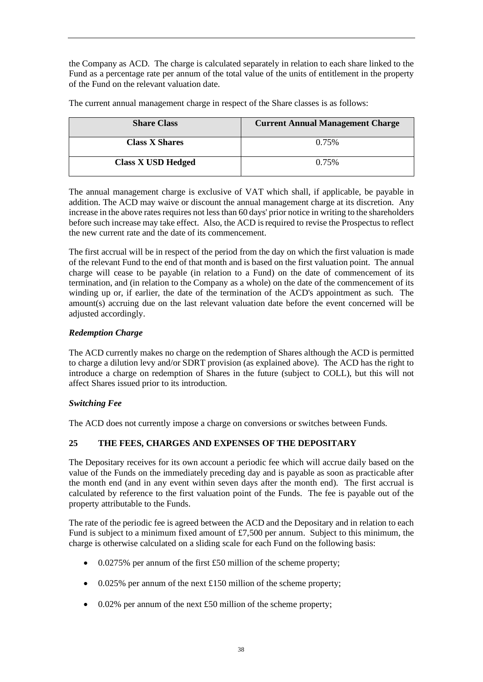the Company as ACD. The charge is calculated separately in relation to each share linked to the Fund as a percentage rate per annum of the total value of the units of entitlement in the property of the Fund on the relevant valuation date.

The current annual management charge in respect of the Share classes is as follows:

| <b>Share Class</b>        | <b>Current Annual Management Charge</b> |
|---------------------------|-----------------------------------------|
| <b>Class X Shares</b>     | 0.75%                                   |
| <b>Class X USD Hedged</b> | 0.75%                                   |

The annual management charge is exclusive of VAT which shall, if applicable, be payable in addition. The ACD may waive or discount the annual management charge at its discretion. Any increase in the above rates requires not less than 60 days' prior notice in writing to the shareholders before such increase may take effect. Also, the ACD is required to revise the Prospectus to reflect the new current rate and the date of its commencement.

The first accrual will be in respect of the period from the day on which the first valuation is made of the relevant Fund to the end of that month and is based on the first valuation point. The annual charge will cease to be payable (in relation to a Fund) on the date of commencement of its termination, and (in relation to the Company as a whole) on the date of the commencement of its winding up or, if earlier, the date of the termination of the ACD's appointment as such. The amount(s) accruing due on the last relevant valuation date before the event concerned will be adjusted accordingly.

# *Redemption Charge*

The ACD currently makes no charge on the redemption of Shares although the ACD is permitted to charge a dilution levy and/or SDRT provision (as explained above). The ACD has the right to introduce a charge on redemption of Shares in the future (subject to COLL), but this will not affect Shares issued prior to its introduction.

## *Switching Fee*

The ACD does not currently impose a charge on conversions or switches between Funds.

## **25 THE FEES, CHARGES AND EXPENSES OF THE DEPOSITARY**

The Depositary receives for its own account a periodic fee which will accrue daily based on the value of the Funds on the immediately preceding day and is payable as soon as practicable after the month end (and in any event within seven days after the month end). The first accrual is calculated by reference to the first valuation point of the Funds. The fee is payable out of the property attributable to the Funds.

The rate of the periodic fee is agreed between the ACD and the Depositary and in relation to each Fund is subject to a minimum fixed amount of £7,500 per annum. Subject to this minimum, the charge is otherwise calculated on a sliding scale for each Fund on the following basis:

- 0.0275% per annum of the first £50 million of the scheme property;
- 0.025% per annum of the next £150 million of the scheme property;
- 0.02% per annum of the next £50 million of the scheme property;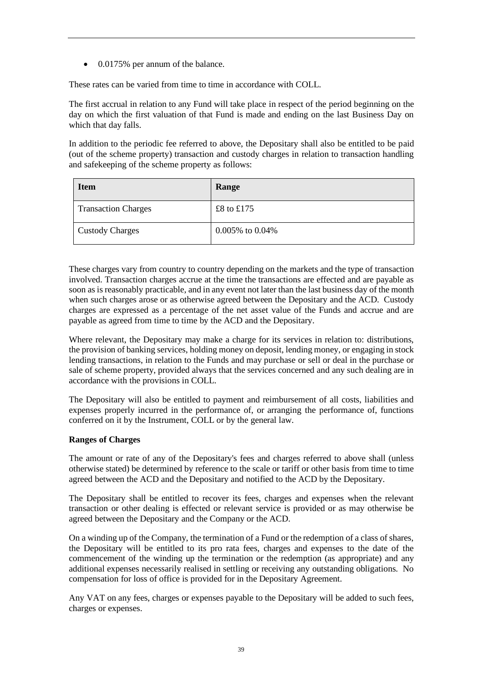• 0.0175% per annum of the balance.

These rates can be varied from time to time in accordance with COLL.

The first accrual in relation to any Fund will take place in respect of the period beginning on the day on which the first valuation of that Fund is made and ending on the last Business Day on which that day falls.

In addition to the periodic fee referred to above, the Depositary shall also be entitled to be paid (out of the scheme property) transaction and custody charges in relation to transaction handling and safekeeping of the scheme property as follows:

| <b>Item</b>                | Range                 |
|----------------------------|-----------------------|
| <b>Transaction Charges</b> | £8 to £175            |
| <b>Custody Charges</b>     | $0.005\%$ to $0.04\%$ |

These charges vary from country to country depending on the markets and the type of transaction involved. Transaction charges accrue at the time the transactions are effected and are payable as soon as is reasonably practicable, and in any event not later than the last business day of the month when such charges arose or as otherwise agreed between the Depositary and the ACD. Custody charges are expressed as a percentage of the net asset value of the Funds and accrue and are payable as agreed from time to time by the ACD and the Depositary.

Where relevant, the Depositary may make a charge for its services in relation to: distributions, the provision of banking services, holding money on deposit, lending money, or engaging in stock lending transactions, in relation to the Funds and may purchase or sell or deal in the purchase or sale of scheme property, provided always that the services concerned and any such dealing are in accordance with the provisions in COLL.

The Depositary will also be entitled to payment and reimbursement of all costs, liabilities and expenses properly incurred in the performance of, or arranging the performance of, functions conferred on it by the Instrument, COLL or by the general law.

### **Ranges of Charges**

The amount or rate of any of the Depositary's fees and charges referred to above shall (unless otherwise stated) be determined by reference to the scale or tariff or other basis from time to time agreed between the ACD and the Depositary and notified to the ACD by the Depositary.

The Depositary shall be entitled to recover its fees, charges and expenses when the relevant transaction or other dealing is effected or relevant service is provided or as may otherwise be agreed between the Depositary and the Company or the ACD.

On a winding up of the Company, the termination of a Fund or the redemption of a class of shares, the Depositary will be entitled to its pro rata fees, charges and expenses to the date of the commencement of the winding up the termination or the redemption (as appropriate) and any additional expenses necessarily realised in settling or receiving any outstanding obligations. No compensation for loss of office is provided for in the Depositary Agreement.

Any VAT on any fees, charges or expenses payable to the Depositary will be added to such fees, charges or expenses.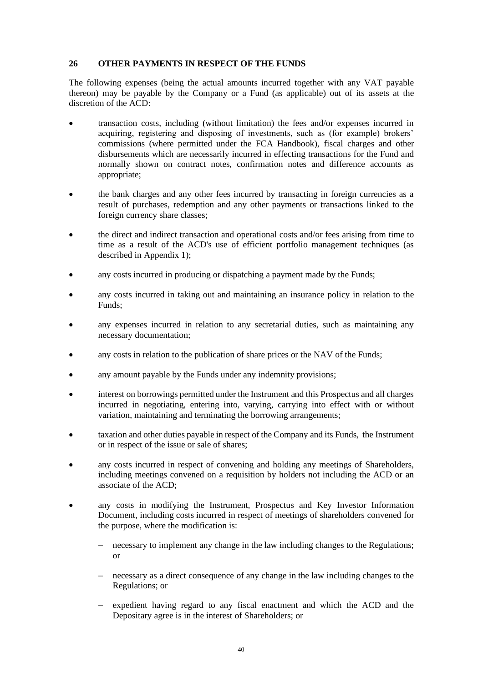## **26 OTHER PAYMENTS IN RESPECT OF THE FUNDS**

The following expenses (being the actual amounts incurred together with any VAT payable thereon) may be payable by the Company or a Fund (as applicable) out of its assets at the discretion of the ACD:

- transaction costs, including (without limitation) the fees and/or expenses incurred in acquiring, registering and disposing of investments, such as (for example) brokers' commissions (where permitted under the FCA Handbook), fiscal charges and other disbursements which are necessarily incurred in effecting transactions for the Fund and normally shown on contract notes, confirmation notes and difference accounts as appropriate;
- the bank charges and any other fees incurred by transacting in foreign currencies as a result of purchases, redemption and any other payments or transactions linked to the foreign currency share classes;
- the direct and indirect transaction and operational costs and/or fees arising from time to time as a result of the ACD's use of efficient portfolio management techniques (as described in Appendix 1);
- any costs incurred in producing or dispatching a payment made by the Funds:
- any costs incurred in taking out and maintaining an insurance policy in relation to the Funds;
- any expenses incurred in relation to any secretarial duties, such as maintaining any necessary documentation;
- any costs in relation to the publication of share prices or the NAV of the Funds;
- any amount payable by the Funds under any indemnity provisions;
- interest on borrowings permitted under the Instrument and this Prospectus and all charges incurred in negotiating, entering into, varying, carrying into effect with or without variation, maintaining and terminating the borrowing arrangements;
- taxation and other duties payable in respect of the Company and its Funds, the Instrument or in respect of the issue or sale of shares;
- any costs incurred in respect of convening and holding any meetings of Shareholders, including meetings convened on a requisition by holders not including the ACD or an associate of the ACD;
- any costs in modifying the Instrument, Prospectus and Key Investor Information Document, including costs incurred in respect of meetings of shareholders convened for the purpose, where the modification is:
	- necessary to implement any change in the law including changes to the Regulations; or
	- necessary as a direct consequence of any change in the law including changes to the Regulations; or
	- − expedient having regard to any fiscal enactment and which the ACD and the Depositary agree is in the interest of Shareholders; or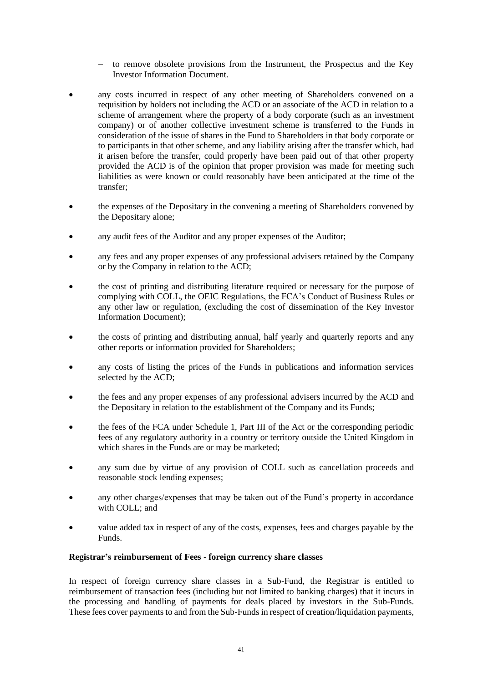- − to remove obsolete provisions from the Instrument, the Prospectus and the Key Investor Information Document.
- any costs incurred in respect of any other meeting of Shareholders convened on a requisition by holders not including the ACD or an associate of the ACD in relation to a scheme of arrangement where the property of a body corporate (such as an investment company) or of another collective investment scheme is transferred to the Funds in consideration of the issue of shares in the Fund to Shareholders in that body corporate or to participants in that other scheme, and any liability arising after the transfer which, had it arisen before the transfer, could properly have been paid out of that other property provided the ACD is of the opinion that proper provision was made for meeting such liabilities as were known or could reasonably have been anticipated at the time of the transfer;
- the expenses of the Depositary in the convening a meeting of Shareholders convened by the Depositary alone;
- any audit fees of the Auditor and any proper expenses of the Auditor;
- any fees and any proper expenses of any professional advisers retained by the Company or by the Company in relation to the ACD;
- the cost of printing and distributing literature required or necessary for the purpose of complying with COLL, the OEIC Regulations, the FCA's Conduct of Business Rules or any other law or regulation, (excluding the cost of dissemination of the Key Investor Information Document);
- the costs of printing and distributing annual, half yearly and quarterly reports and any other reports or information provided for Shareholders;
- any costs of listing the prices of the Funds in publications and information services selected by the ACD;
- the fees and any proper expenses of any professional advisers incurred by the ACD and the Depositary in relation to the establishment of the Company and its Funds;
- the fees of the FCA under Schedule 1, Part III of the Act or the corresponding periodic fees of any regulatory authority in a country or territory outside the United Kingdom in which shares in the Funds are or may be marketed;
- any sum due by virtue of any provision of COLL such as cancellation proceeds and reasonable stock lending expenses;
- any other charges/expenses that may be taken out of the Fund's property in accordance with COLL; and
- value added tax in respect of any of the costs, expenses, fees and charges payable by the Funds.

### **Registrar's reimbursement of Fees - foreign currency share classes**

In respect of foreign currency share classes in a Sub-Fund, the Registrar is entitled to reimbursement of transaction fees (including but not limited to banking charges) that it incurs in the processing and handling of payments for deals placed by investors in the Sub-Funds. These fees cover payments to and from the Sub-Funds in respect of creation/liquidation payments,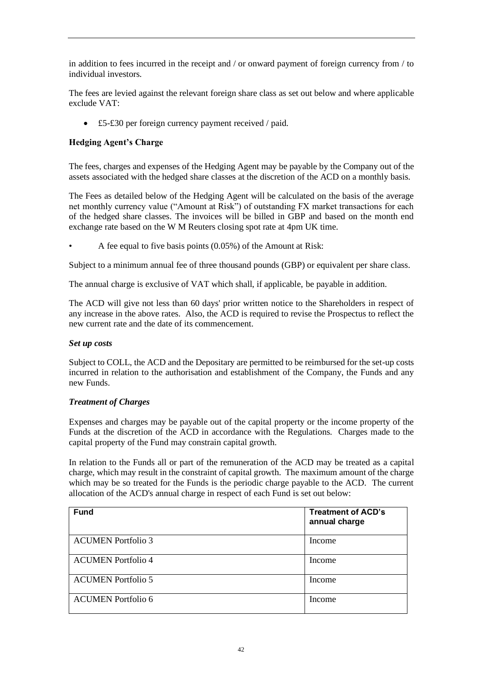in addition to fees incurred in the receipt and / or onward payment of foreign currency from / to individual investors.

The fees are levied against the relevant foreign share class as set out below and where applicable exclude VAT:

• £5-£30 per foreign currency payment received / paid.

## **Hedging Agent's Charge**

The fees, charges and expenses of the Hedging Agent may be payable by the Company out of the assets associated with the hedged share classes at the discretion of the ACD on a monthly basis.

The Fees as detailed below of the Hedging Agent will be calculated on the basis of the average net monthly currency value ("Amount at Risk") of outstanding FX market transactions for each of the hedged share classes. The invoices will be billed in GBP and based on the month end exchange rate based on the W M Reuters closing spot rate at 4pm UK time.

• A fee equal to five basis points (0.05%) of the Amount at Risk:

Subject to a minimum annual fee of three thousand pounds (GBP) or equivalent per share class.

The annual charge is exclusive of VAT which shall, if applicable, be payable in addition.

The ACD will give not less than 60 days' prior written notice to the Shareholders in respect of any increase in the above rates. Also, the ACD is required to revise the Prospectus to reflect the new current rate and the date of its commencement.

### *Set up costs*

Subject to COLL, the ACD and the Depositary are permitted to be reimbursed for the set-up costs incurred in relation to the authorisation and establishment of the Company, the Funds and any new Funds.

### *Treatment of Charges*

Expenses and charges may be payable out of the capital property or the income property of the Funds at the discretion of the ACD in accordance with the Regulations. Charges made to the capital property of the Fund may constrain capital growth.

In relation to the Funds all or part of the remuneration of the ACD may be treated as a capital charge, which may result in the constraint of capital growth. The maximum amount of the charge which may be so treated for the Funds is the periodic charge payable to the ACD. The current allocation of the ACD's annual charge in respect of each Fund is set out below:

| <b>Fund</b>               | <b>Treatment of ACD's</b><br>annual charge |
|---------------------------|--------------------------------------------|
| <b>ACUMEN Portfolio 3</b> | Income                                     |
| <b>ACUMEN</b> Portfolio 4 | Income                                     |
| <b>ACUMEN</b> Portfolio 5 | Income                                     |
| ACUMEN Portfolio 6        | Income                                     |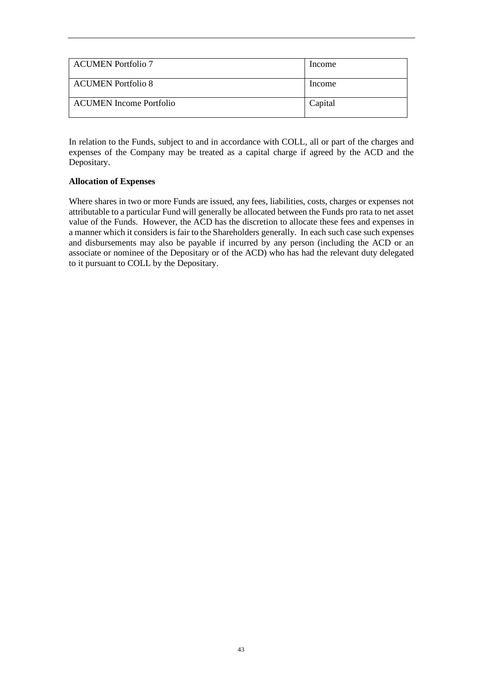| <b>ACUMEN</b> Portfolio 7 | Income  |
|---------------------------|---------|
| <b>ACUMEN Portfolio 8</b> | Income  |
| ACUMEN Income Portfolio   | Capital |

In relation to the Funds, subject to and in accordance with COLL, all or part of the charges and expenses of the Company may be treated as a capital charge if agreed by the ACD and the Depositary.

### **Allocation of Expenses**

Where shares in two or more Funds are issued, any fees, liabilities, costs, charges or expenses not attributable to a particular Fund will generally be allocated between the Funds pro rata to net asset value of the Funds. However, the ACD has the discretion to allocate these fees and expenses in a manner which it considers is fair to the Shareholders generally. In each such case such expenses and disbursements may also be payable if incurred by any person (including the ACD or an associate or nominee of the Depositary or of the ACD) who has had the relevant duty delegated to it pursuant to COLL by the Depositary.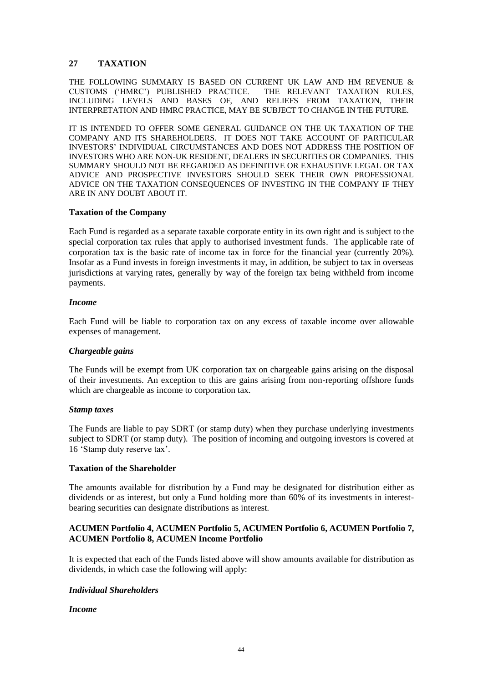## **27 TAXATION**

THE FOLLOWING SUMMARY IS BASED ON CURRENT UK LAW AND HM REVENUE & CUSTOMS ('HMRC') PUBLISHED PRACTICE. THE RELEVANT TAXATION RULES, INCLUDING LEVELS AND BASES OF, AND RELIEFS FROM TAXATION, THEIR INTERPRETATION AND HMRC PRACTICE, MAY BE SUBJECT TO CHANGE IN THE FUTURE.

IT IS INTENDED TO OFFER SOME GENERAL GUIDANCE ON THE UK TAXATION OF THE COMPANY AND ITS SHAREHOLDERS. IT DOES NOT TAKE ACCOUNT OF PARTICULAR INVESTORS' INDIVIDUAL CIRCUMSTANCES AND DOES NOT ADDRESS THE POSITION OF INVESTORS WHO ARE NON-UK RESIDENT, DEALERS IN SECURITIES OR COMPANIES. THIS SUMMARY SHOULD NOT BE REGARDED AS DEFINITIVE OR EXHAUSTIVE LEGAL OR TAX ADVICE AND PROSPECTIVE INVESTORS SHOULD SEEK THEIR OWN PROFESSIONAL ADVICE ON THE TAXATION CONSEQUENCES OF INVESTING IN THE COMPANY IF THEY ARE IN ANY DOUBT ABOUT IT.

### **Taxation of the Company**

Each Fund is regarded as a separate taxable corporate entity in its own right and is subject to the special corporation tax rules that apply to authorised investment funds. The applicable rate of corporation tax is the basic rate of income tax in force for the financial year (currently 20%). Insofar as a Fund invests in foreign investments it may, in addition, be subject to tax in overseas jurisdictions at varying rates, generally by way of the foreign tax being withheld from income payments.

### *Income*

Each Fund will be liable to corporation tax on any excess of taxable income over allowable expenses of management.

### *Chargeable gains*

The Funds will be exempt from UK corporation tax on chargeable gains arising on the disposal of their investments. An exception to this are gains arising from non-reporting offshore funds which are chargeable as income to corporation tax.

### *Stamp taxes*

The Funds are liable to pay SDRT (or stamp duty) when they purchase underlying investments subject to SDRT (or stamp duty). The position of incoming and outgoing investors is covered at 16 'Stamp duty reserve tax'.

### **Taxation of the Shareholder**

The amounts available for distribution by a Fund may be designated for distribution either as dividends or as interest, but only a Fund holding more than 60% of its investments in interestbearing securities can designate distributions as interest.

### **ACUMEN Portfolio 4, ACUMEN Portfolio 5, ACUMEN Portfolio 6, ACUMEN Portfolio 7, ACUMEN Portfolio 8, ACUMEN Income Portfolio**

It is expected that each of the Funds listed above will show amounts available for distribution as dividends, in which case the following will apply:

### *Individual Shareholders*

### *Income*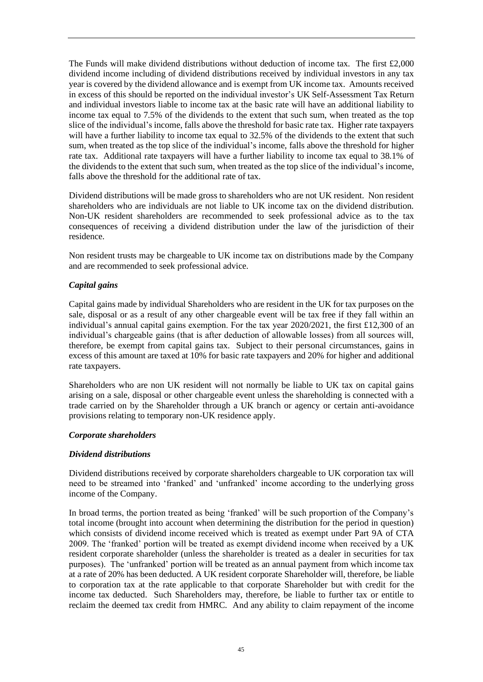The Funds will make dividend distributions without deduction of income tax. The first £2,000 dividend income including of dividend distributions received by individual investors in any tax year is covered by the dividend allowance and is exempt from UK income tax. Amounts received in excess of this should be reported on the individual investor's UK Self-Assessment Tax Return and individual investors liable to income tax at the basic rate will have an additional liability to income tax equal to 7.5% of the dividends to the extent that such sum, when treated as the top slice of the individual's income, falls above the threshold for basic rate tax. Higher rate taxpayers will have a further liability to income tax equal to 32.5% of the dividends to the extent that such sum, when treated as the top slice of the individual's income, falls above the threshold for higher rate tax. Additional rate taxpayers will have a further liability to income tax equal to 38.1% of the dividends to the extent that such sum, when treated as the top slice of the individual's income, falls above the threshold for the additional rate of tax.

Dividend distributions will be made gross to shareholders who are not UK resident. Non resident shareholders who are individuals are not liable to UK income tax on the dividend distribution. Non-UK resident shareholders are recommended to seek professional advice as to the tax consequences of receiving a dividend distribution under the law of the jurisdiction of their residence.

Non resident trusts may be chargeable to UK income tax on distributions made by the Company and are recommended to seek professional advice.

### *Capital gains*

Capital gains made by individual Shareholders who are resident in the UK for tax purposes on the sale, disposal or as a result of any other chargeable event will be tax free if they fall within an individual's annual capital gains exemption. For the tax year 2020/2021, the first £12,300 of an individual's chargeable gains (that is after deduction of allowable losses) from all sources will, therefore, be exempt from capital gains tax. Subject to their personal circumstances, gains in excess of this amount are taxed at 10% for basic rate taxpayers and 20% for higher and additional rate taxpayers.

Shareholders who are non UK resident will not normally be liable to UK tax on capital gains arising on a sale, disposal or other chargeable event unless the shareholding is connected with a trade carried on by the Shareholder through a UK branch or agency or certain anti-avoidance provisions relating to temporary non-UK residence apply.

### *Corporate shareholders*

### *Dividend distributions*

Dividend distributions received by corporate shareholders chargeable to UK corporation tax will need to be streamed into 'franked' and 'unfranked' income according to the underlying gross income of the Company.

In broad terms, the portion treated as being 'franked' will be such proportion of the Company's total income (brought into account when determining the distribution for the period in question) which consists of dividend income received which is treated as exempt under Part 9A of CTA 2009. The 'franked' portion will be treated as exempt dividend income when received by a UK resident corporate shareholder (unless the shareholder is treated as a dealer in securities for tax purposes). The 'unfranked' portion will be treated as an annual payment from which income tax at a rate of 20% has been deducted. A UK resident corporate Shareholder will, therefore, be liable to corporation tax at the rate applicable to that corporate Shareholder but with credit for the income tax deducted. Such Shareholders may, therefore, be liable to further tax or entitle to reclaim the deemed tax credit from HMRC. And any ability to claim repayment of the income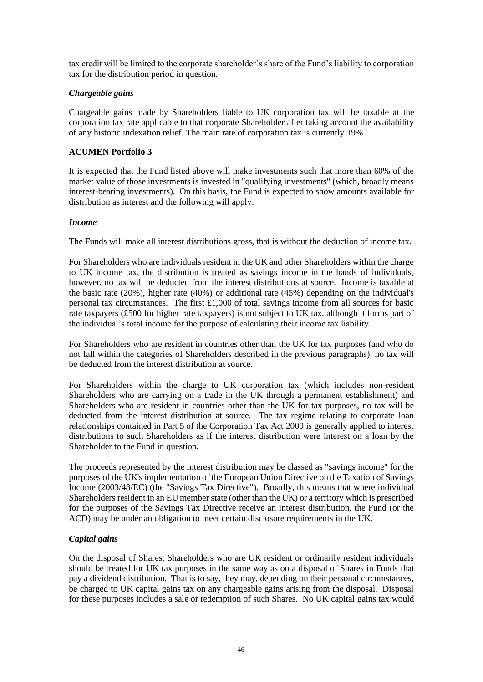tax credit will be limited to the corporate shareholder's share of the Fund's liability to corporation tax for the distribution period in question.

## *Chargeable gains*

Chargeable gains made by Shareholders liable to UK corporation tax will be taxable at the corporation tax rate applicable to that corporate Shareholder after taking account the availability of any historic indexation relief. The main rate of corporation tax is currently 19%.

### **ACUMEN Portfolio 3**

It is expected that the Fund listed above will make investments such that more than 60% of the market value of those investments is invested in "qualifying investments" (which, broadly means interest-bearing investments). On this basis, the Fund is expected to show amounts available for distribution as interest and the following will apply:

### *Income*

The Funds will make all interest distributions gross, that is without the deduction of income tax.

For Shareholders who are individuals resident in the UK and other Shareholders within the charge to UK income tax, the distribution is treated as savings income in the hands of individuals, however, no tax will be deducted from the interest distributions at source. Income is taxable at the basic rate (20%), higher rate (40%) or additional rate (45%) depending on the individual's personal tax circumstances. The first £1,000 of total savings income from all sources for basic rate taxpayers (£500 for higher rate taxpayers) is not subject to UK tax, although it forms part of the individual's total income for the purpose of calculating their income tax liability.

For Shareholders who are resident in countries other than the UK for tax purposes (and who do not fall within the categories of Shareholders described in the previous paragraphs), no tax will be deducted from the interest distribution at source.

For Shareholders within the charge to UK corporation tax (which includes non-resident Shareholders who are carrying on a trade in the UK through a permanent establishment) and Shareholders who are resident in countries other than the UK for tax purposes, no tax will be deducted from the interest distribution at source. The tax regime relating to corporate loan relationships contained in Part 5 of the Corporation Tax Act 2009 is generally applied to interest distributions to such Shareholders as if the interest distribution were interest on a loan by the Shareholder to the Fund in question.

The proceeds represented by the interest distribution may be classed as "savings income" for the purposes of the UK's implementation of the European Union Directive on the Taxation of Savings Income (2003/48/EC) (the "Savings Tax Directive"). Broadly, this means that where individual Shareholders resident in an EU member state (other than the UK) or a territory which is prescribed for the purposes of the Savings Tax Directive receive an interest distribution, the Fund (or the ACD) may be under an obligation to meet certain disclosure requirements in the UK.

### *Capital gains*

On the disposal of Shares, Shareholders who are UK resident or ordinarily resident individuals should be treated for UK tax purposes in the same way as on a disposal of Shares in Funds that pay a dividend distribution. That is to say, they may, depending on their personal circumstances, be charged to UK capital gains tax on any chargeable gains arising from the disposal. Disposal for these purposes includes a sale or redemption of such Shares. No UK capital gains tax would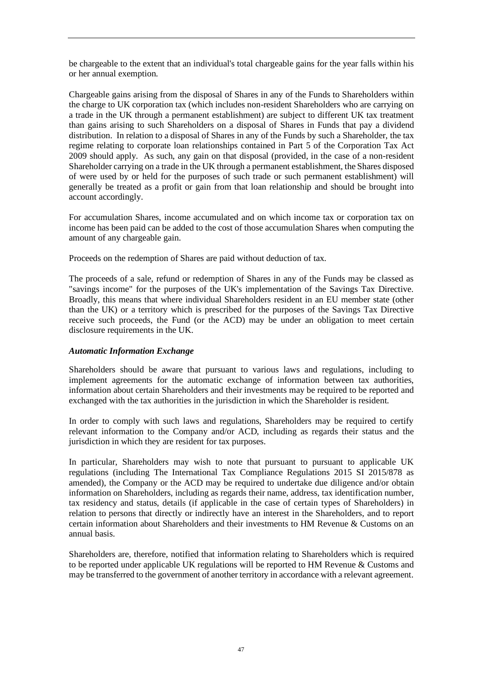be chargeable to the extent that an individual's total chargeable gains for the year falls within his or her annual exemption.

Chargeable gains arising from the disposal of Shares in any of the Funds to Shareholders within the charge to UK corporation tax (which includes non-resident Shareholders who are carrying on a trade in the UK through a permanent establishment) are subject to different UK tax treatment than gains arising to such Shareholders on a disposal of Shares in Funds that pay a dividend distribution. In relation to a disposal of Shares in any of the Funds by such a Shareholder, the tax regime relating to corporate loan relationships contained in Part 5 of the Corporation Tax Act 2009 should apply. As such, any gain on that disposal (provided, in the case of a non-resident Shareholder carrying on a trade in the UK through a permanent establishment, the Shares disposed of were used by or held for the purposes of such trade or such permanent establishment) will generally be treated as a profit or gain from that loan relationship and should be brought into account accordingly.

For accumulation Shares, income accumulated and on which income tax or corporation tax on income has been paid can be added to the cost of those accumulation Shares when computing the amount of any chargeable gain.

Proceeds on the redemption of Shares are paid without deduction of tax.

The proceeds of a sale, refund or redemption of Shares in any of the Funds may be classed as "savings income" for the purposes of the UK's implementation of the Savings Tax Directive. Broadly, this means that where individual Shareholders resident in an EU member state (other than the UK) or a territory which is prescribed for the purposes of the Savings Tax Directive receive such proceeds, the Fund (or the ACD) may be under an obligation to meet certain disclosure requirements in the UK.

## *Automatic Information Exchange*

Shareholders should be aware that pursuant to various laws and regulations, including to implement agreements for the automatic exchange of information between tax authorities, information about certain Shareholders and their investments may be required to be reported and exchanged with the tax authorities in the jurisdiction in which the Shareholder is resident.

In order to comply with such laws and regulations, Shareholders may be required to certify relevant information to the Company and/or ACD, including as regards their status and the jurisdiction in which they are resident for tax purposes.

In particular, Shareholders may wish to note that pursuant to pursuant to applicable UK regulations (including The International Tax Compliance Regulations 2015 SI 2015/878 as amended), the Company or the ACD may be required to undertake due diligence and/or obtain information on Shareholders, including as regards their name, address, tax identification number, tax residency and status, details (if applicable in the case of certain types of Shareholders) in relation to persons that directly or indirectly have an interest in the Shareholders, and to report certain information about Shareholders and their investments to HM Revenue  $\&$  Customs on an annual basis.

Shareholders are, therefore, notified that information relating to Shareholders which is required to be reported under applicable UK regulations will be reported to HM Revenue & Customs and may be transferred to the government of another territory in accordance with a relevant agreement.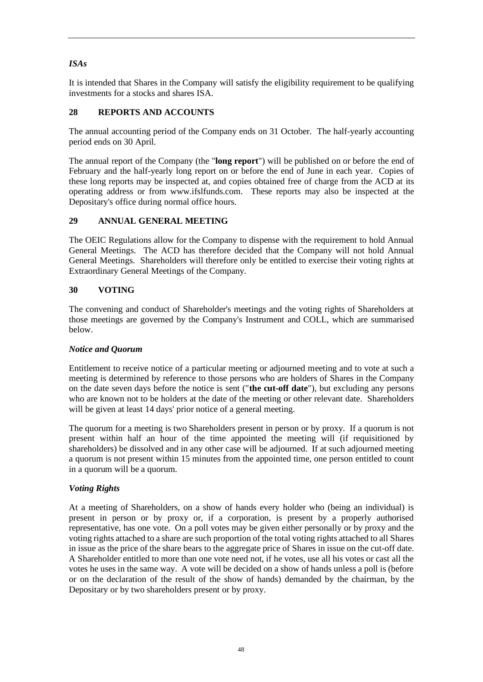# *ISAs*

It is intended that Shares in the Company will satisfy the eligibility requirement to be qualifying investments for a stocks and shares ISA.

## **28 REPORTS AND ACCOUNTS**

The annual accounting period of the Company ends on 31 October. The half-yearly accounting period ends on 30 April.

The annual report of the Company (the "**long report**") will be published on or before the end of February and the half-yearly long report on or before the end of June in each year. Copies of these long reports may be inspected at, and copies obtained free of charge from the ACD at its operating address or from www.ifslfunds.com. These reports may also be inspected at the Depositary's office during normal office hours.

## **29 ANNUAL GENERAL MEETING**

The OEIC Regulations allow for the Company to dispense with the requirement to hold Annual General Meetings. The ACD has therefore decided that the Company will not hold Annual General Meetings. Shareholders will therefore only be entitled to exercise their voting rights at Extraordinary General Meetings of the Company.

## **30 VOTING**

The convening and conduct of Shareholder's meetings and the voting rights of Shareholders at those meetings are governed by the Company's Instrument and COLL, which are summarised below.

## *Notice and Quorum*

Entitlement to receive notice of a particular meeting or adjourned meeting and to vote at such a meeting is determined by reference to those persons who are holders of Shares in the Company on the date seven days before the notice is sent ("**the cut-off date**"), but excluding any persons who are known not to be holders at the date of the meeting or other relevant date. Shareholders will be given at least 14 days' prior notice of a general meeting.

The quorum for a meeting is two Shareholders present in person or by proxy. If a quorum is not present within half an hour of the time appointed the meeting will (if requisitioned by shareholders) be dissolved and in any other case will be adjourned. If at such adjourned meeting a quorum is not present within 15 minutes from the appointed time, one person entitled to count in a quorum will be a quorum.

## *Voting Rights*

At a meeting of Shareholders, on a show of hands every holder who (being an individual) is present in person or by proxy or, if a corporation, is present by a properly authorised representative, has one vote. On a poll votes may be given either personally or by proxy and the voting rights attached to a share are such proportion of the total voting rights attached to all Shares in issue as the price of the share bears to the aggregate price of Shares in issue on the cut-off date. A Shareholder entitled to more than one vote need not, if he votes, use all his votes or cast all the votes he uses in the same way. A vote will be decided on a show of hands unless a poll is (before or on the declaration of the result of the show of hands) demanded by the chairman, by the Depositary or by two shareholders present or by proxy.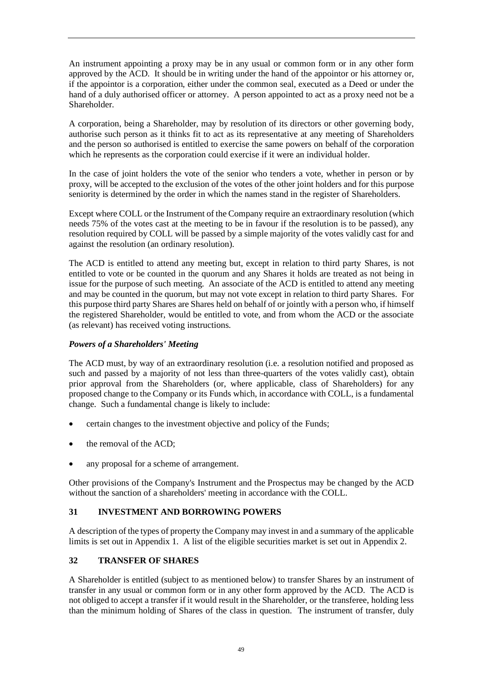An instrument appointing a proxy may be in any usual or common form or in any other form approved by the ACD. It should be in writing under the hand of the appointor or his attorney or, if the appointor is a corporation, either under the common seal, executed as a Deed or under the hand of a duly authorised officer or attorney. A person appointed to act as a proxy need not be a Shareholder.

A corporation, being a Shareholder, may by resolution of its directors or other governing body, authorise such person as it thinks fit to act as its representative at any meeting of Shareholders and the person so authorised is entitled to exercise the same powers on behalf of the corporation which he represents as the corporation could exercise if it were an individual holder.

In the case of joint holders the vote of the senior who tenders a vote, whether in person or by proxy, will be accepted to the exclusion of the votes of the other joint holders and for this purpose seniority is determined by the order in which the names stand in the register of Shareholders.

Except where COLL or the Instrument of the Company require an extraordinary resolution (which needs 75% of the votes cast at the meeting to be in favour if the resolution is to be passed), any resolution required by COLL will be passed by a simple majority of the votes validly cast for and against the resolution (an ordinary resolution).

The ACD is entitled to attend any meeting but, except in relation to third party Shares, is not entitled to vote or be counted in the quorum and any Shares it holds are treated as not being in issue for the purpose of such meeting. An associate of the ACD is entitled to attend any meeting and may be counted in the quorum, but may not vote except in relation to third party Shares. For this purpose third party Shares are Shares held on behalf of or jointly with a person who, if himself the registered Shareholder, would be entitled to vote, and from whom the ACD or the associate (as relevant) has received voting instructions.

## *Powers of a Shareholders' Meeting*

The ACD must, by way of an extraordinary resolution (i.e. a resolution notified and proposed as such and passed by a majority of not less than three-quarters of the votes validly cast), obtain prior approval from the Shareholders (or, where applicable, class of Shareholders) for any proposed change to the Company or its Funds which, in accordance with COLL, is a fundamental change. Such a fundamental change is likely to include:

- certain changes to the investment objective and policy of the Funds;
- the removal of the ACD;
- any proposal for a scheme of arrangement.

Other provisions of the Company's Instrument and the Prospectus may be changed by the ACD without the sanction of a shareholders' meeting in accordance with the COLL.

## **31 INVESTMENT AND BORROWING POWERS**

A description of the types of property the Company may invest in and a summary of the applicable limits is set out in Appendix 1. A list of the eligible securities market is set out in Appendix 2.

## **32 TRANSFER OF SHARES**

A Shareholder is entitled (subject to as mentioned below) to transfer Shares by an instrument of transfer in any usual or common form or in any other form approved by the ACD. The ACD is not obliged to accept a transfer if it would result in the Shareholder, or the transferee, holding less than the minimum holding of Shares of the class in question. The instrument of transfer, duly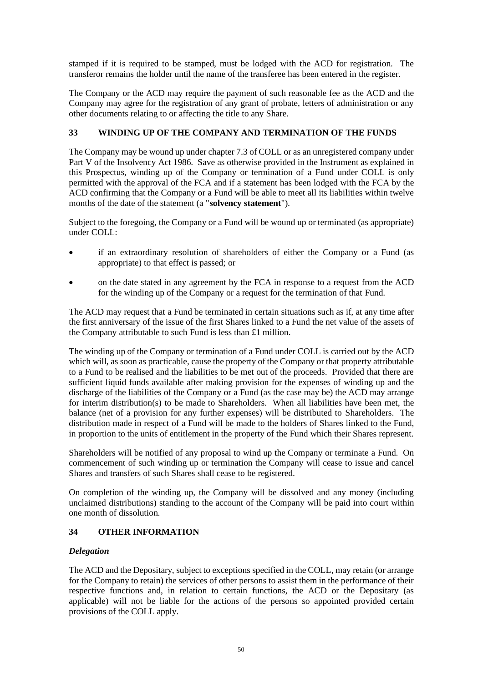stamped if it is required to be stamped, must be lodged with the ACD for registration. The transferor remains the holder until the name of the transferee has been entered in the register.

The Company or the ACD may require the payment of such reasonable fee as the ACD and the Company may agree for the registration of any grant of probate, letters of administration or any other documents relating to or affecting the title to any Share.

## **33 WINDING UP OF THE COMPANY AND TERMINATION OF THE FUNDS**

The Company may be wound up under chapter 7.3 of COLL or as an unregistered company under Part V of the Insolvency Act 1986. Save as otherwise provided in the Instrument as explained in this Prospectus, winding up of the Company or termination of a Fund under COLL is only permitted with the approval of the FCA and if a statement has been lodged with the FCA by the ACD confirming that the Company or a Fund will be able to meet all its liabilities within twelve months of the date of the statement (a "**solvency statement**").

Subject to the foregoing, the Company or a Fund will be wound up or terminated (as appropriate) under COLL:

- if an extraordinary resolution of shareholders of either the Company or a Fund (as appropriate) to that effect is passed; or
- on the date stated in any agreement by the FCA in response to a request from the ACD for the winding up of the Company or a request for the termination of that Fund.

The ACD may request that a Fund be terminated in certain situations such as if, at any time after the first anniversary of the issue of the first Shares linked to a Fund the net value of the assets of the Company attributable to such Fund is less than £1 million.

The winding up of the Company or termination of a Fund under COLL is carried out by the ACD which will, as soon as practicable, cause the property of the Company or that property attributable to a Fund to be realised and the liabilities to be met out of the proceeds. Provided that there are sufficient liquid funds available after making provision for the expenses of winding up and the discharge of the liabilities of the Company or a Fund (as the case may be) the ACD may arrange for interim distribution(s) to be made to Shareholders. When all liabilities have been met, the balance (net of a provision for any further expenses) will be distributed to Shareholders. The distribution made in respect of a Fund will be made to the holders of Shares linked to the Fund, in proportion to the units of entitlement in the property of the Fund which their Shares represent.

Shareholders will be notified of any proposal to wind up the Company or terminate a Fund. On commencement of such winding up or termination the Company will cease to issue and cancel Shares and transfers of such Shares shall cease to be registered.

On completion of the winding up, the Company will be dissolved and any money (including unclaimed distributions) standing to the account of the Company will be paid into court within one month of dissolution.

## **34 OTHER INFORMATION**

## *Delegation*

The ACD and the Depositary, subject to exceptions specified in the COLL, may retain (or arrange for the Company to retain) the services of other persons to assist them in the performance of their respective functions and, in relation to certain functions, the ACD or the Depositary (as applicable) will not be liable for the actions of the persons so appointed provided certain provisions of the COLL apply.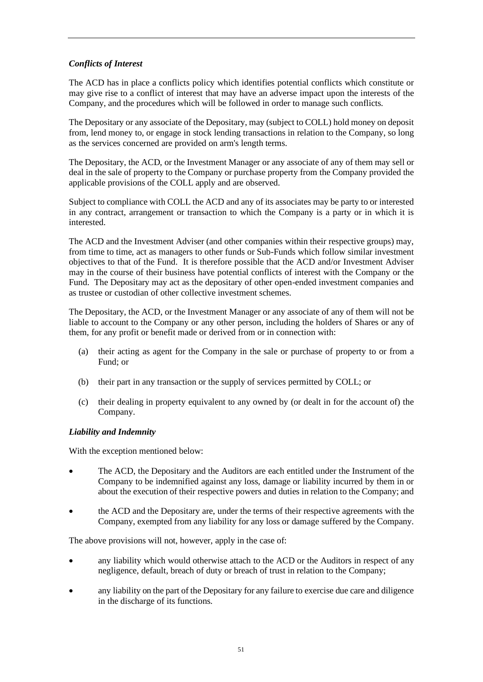## *Conflicts of Interest*

The ACD has in place a conflicts policy which identifies potential conflicts which constitute or may give rise to a conflict of interest that may have an adverse impact upon the interests of the Company, and the procedures which will be followed in order to manage such conflicts.

The Depositary or any associate of the Depositary, may (subject to COLL) hold money on deposit from, lend money to, or engage in stock lending transactions in relation to the Company, so long as the services concerned are provided on arm's length terms.

The Depositary, the ACD, or the Investment Manager or any associate of any of them may sell or deal in the sale of property to the Company or purchase property from the Company provided the applicable provisions of the COLL apply and are observed.

Subject to compliance with COLL the ACD and any of its associates may be party to or interested in any contract, arrangement or transaction to which the Company is a party or in which it is interested.

The ACD and the Investment Adviser (and other companies within their respective groups) may, from time to time, act as managers to other funds or Sub-Funds which follow similar investment objectives to that of the Fund. It is therefore possible that the ACD and/or Investment Adviser may in the course of their business have potential conflicts of interest with the Company or the Fund. The Depositary may act as the depositary of other open-ended investment companies and as trustee or custodian of other collective investment schemes.

The Depositary, the ACD, or the Investment Manager or any associate of any of them will not be liable to account to the Company or any other person, including the holders of Shares or any of them, for any profit or benefit made or derived from or in connection with:

- (a) their acting as agent for the Company in the sale or purchase of property to or from a Fund; or
- (b) their part in any transaction or the supply of services permitted by COLL; or
- (c) their dealing in property equivalent to any owned by (or dealt in for the account of) the Company.

### *Liability and Indemnity*

With the exception mentioned below:

- The ACD, the Depositary and the Auditors are each entitled under the Instrument of the Company to be indemnified against any loss, damage or liability incurred by them in or about the execution of their respective powers and duties in relation to the Company; and
- the ACD and the Depositary are, under the terms of their respective agreements with the Company, exempted from any liability for any loss or damage suffered by the Company.

The above provisions will not, however, apply in the case of:

- any liability which would otherwise attach to the ACD or the Auditors in respect of any negligence, default, breach of duty or breach of trust in relation to the Company;
- any liability on the part of the Depositary for any failure to exercise due care and diligence in the discharge of its functions.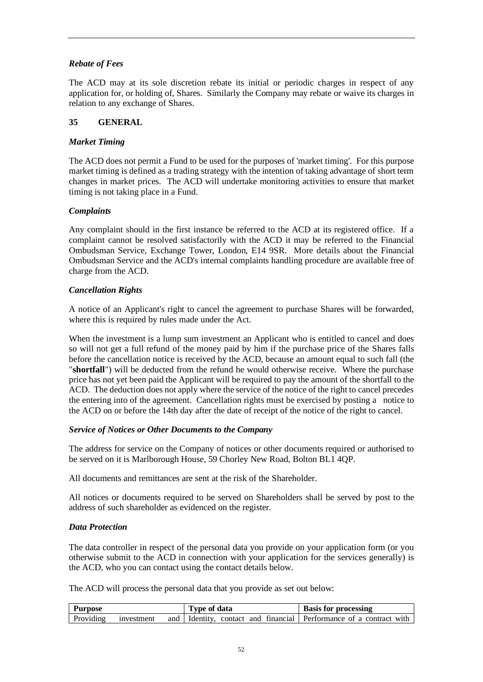## *Rebate of Fees*

The ACD may at its sole discretion rebate its initial or periodic charges in respect of any application for, or holding of, Shares. Similarly the Company may rebate or waive its charges in relation to any exchange of Shares.

### **35 GENERAL**

### *Market Timing*

The ACD does not permit a Fund to be used for the purposes of 'market timing'. For this purpose market timing is defined as a trading strategy with the intention of taking advantage of short term changes in market prices. The ACD will undertake monitoring activities to ensure that market timing is not taking place in a Fund.

### *Complaints*

Any complaint should in the first instance be referred to the ACD at its registered office. If a complaint cannot be resolved satisfactorily with the ACD it may be referred to the Financial Ombudsman Service, Exchange Tower, London, E14 9SR. More details about the Financial Ombudsman Service and the ACD's internal complaints handling procedure are available free of charge from the ACD.

### *Cancellation Rights*

A notice of an Applicant's right to cancel the agreement to purchase Shares will be forwarded, where this is required by rules made under the Act.

When the investment is a lump sum investment an Applicant who is entitled to cancel and does so will not get a full refund of the money paid by him if the purchase price of the Shares falls before the cancellation notice is received by the ACD, because an amount equal to such fall (the "**shortfall**") will be deducted from the refund he would otherwise receive. Where the purchase price has not yet been paid the Applicant will be required to pay the amount of the shortfall to the ACD. The deduction does not apply where the service of the notice of the right to cancel precedes the entering into of the agreement. Cancellation rights must be exercised by posting a notice to the ACD on or before the 14th day after the date of receipt of the notice of the right to cancel.

### *Service of Notices or Other Documents to the Company*

The address for service on the Company of notices or other documents required or authorised to be served on it is Marlborough House, 59 Chorley New Road, Bolton BL1 4QP.

All documents and remittances are sent at the risk of the Shareholder.

All notices or documents required to be served on Shareholders shall be served by post to the address of such shareholder as evidenced on the register.

### *Data Protection*

The data controller in respect of the personal data you provide on your application form (or you otherwise submit to the ACD in connection with your application for the services generally) is the ACD, who you can contact using the contact details below.

The ACD will process the personal data that you provide as set out below:

| Purpose   |            | Type of data | <b>Basis for processing</b>                                            |
|-----------|------------|--------------|------------------------------------------------------------------------|
| Providing | investment |              | and   Identity, contact and financial   Performance of a contract with |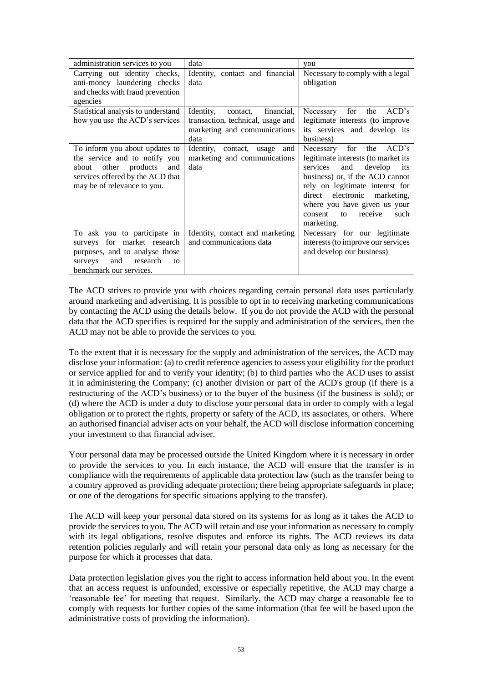| administration services to you                                                                                                                                         | data                                                                                                          | you                                                                                                                                                                                                                                                                                      |
|------------------------------------------------------------------------------------------------------------------------------------------------------------------------|---------------------------------------------------------------------------------------------------------------|------------------------------------------------------------------------------------------------------------------------------------------------------------------------------------------------------------------------------------------------------------------------------------------|
| Carrying out identity checks,<br>anti-money laundering checks<br>and checks with fraud prevention                                                                      | Identity, contact and financial<br>data                                                                       | Necessary to comply with a legal<br>obligation                                                                                                                                                                                                                                           |
| agencies                                                                                                                                                               |                                                                                                               |                                                                                                                                                                                                                                                                                          |
| Statistical analysis to understand<br>how you use the ACD's services                                                                                                   | Identity,<br>contact, financial,<br>transaction, technical, usage and<br>marketing and communications<br>data | Necessary for<br>the<br>ACD's<br>legitimate interests (to improve<br>its services and develop its<br>business)                                                                                                                                                                           |
| To inform you about updates to<br>the service and to notify you<br>other products<br>about<br>and<br>services offered by the ACD that<br>may be of relevance to you.   | Identity, contact, usage and<br>marketing and communications<br>data                                          | Necessary for the ACD's<br>legitimate interests (to market its<br>and<br>develop<br>services<br>its<br>business) or, if the ACD cannot<br>rely on legitimate interest for<br>direct electronic marketing,<br>where you have given us your<br>to receive<br>such<br>consent<br>marketing. |
| To ask you to participate in<br>surveys for market research<br>purposes, and to analyse those<br>and<br>research<br>surveys<br>$\mathsf{f}$<br>benchmark our services. | Identity, contact and marketing<br>and communications data                                                    | Necessary for our legitimate<br>interests (to improve our services<br>and develop our business)                                                                                                                                                                                          |

The ACD strives to provide you with choices regarding certain personal data uses particularly around marketing and advertising. It is possible to opt in to receiving marketing communications by contacting the ACD using the details below. If you do not provide the ACD with the personal data that the ACD specifies is required for the supply and administration of the services, then the ACD may not be able to provide the services to you.

To the extent that it is necessary for the supply and administration of the services, the ACD may disclose your information: (a) to credit reference agencies to assess your eligibility for the product or service applied for and to verify your identity; (b) to third parties who the ACD uses to assist it in administering the Company; (c) another division or part of the ACD's group (if there is a restructuring of the ACD's business) or to the buyer of the business (if the business is sold); or (d) where the ACD is under a duty to disclose your personal data in order to comply with a legal obligation or to protect the rights, property or safety of the ACD, its associates, or others. Where an authorised financial adviser acts on your behalf, the ACD will disclose information concerning your investment to that financial adviser.

Your personal data may be processed outside the United Kingdom where it is necessary in order to provide the services to you. In each instance, the ACD will ensure that the transfer is in compliance with the requirements of applicable data protection law (such as the transfer being to a country approved as providing adequate protection; there being appropriate safeguards in place; or one of the derogations for specific situations applying to the transfer).

The ACD will keep your personal data stored on its systems for as long as it takes the ACD to provide the services to you. The ACD will retain and use your information as necessary to comply with its legal obligations, resolve disputes and enforce its rights. The ACD reviews its data retention policies regularly and will retain your personal data only as long as necessary for the purpose for which it processes that data.

Data protection legislation gives you the right to access information held about you. In the event that an access request is unfounded, excessive or especially repetitive, the ACD may charge a 'reasonable fee' for meeting that request. Similarly, the ACD may charge a reasonable fee to comply with requests for further copies of the same information (that fee will be based upon the administrative costs of providing the information).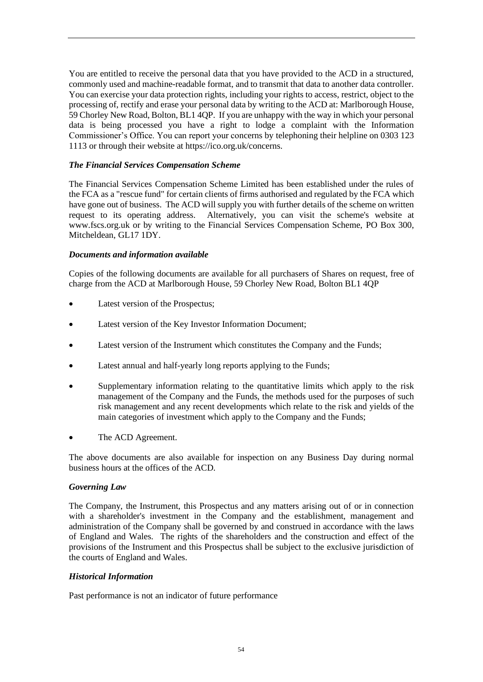You are entitled to receive the personal data that you have provided to the ACD in a structured, commonly used and machine-readable format, and to transmit that data to another data controller. You can exercise your data protection rights, including your rights to access, restrict, object to the processing of, rectify and erase your personal data by writing to the ACD at: Marlborough House, 59 Chorley New Road, Bolton, BL1 4QP. If you are unhappy with the way in which your personal data is being processed you have a right to lodge a complaint with the Information Commissioner's Office. You can report your concerns by telephoning their helpline on 0303 123 1113 or through their website at https://ico.org.uk/concerns.

### *The Financial Services Compensation Scheme*

The Financial Services Compensation Scheme Limited has been established under the rules of the FCA as a "rescue fund" for certain clients of firms authorised and regulated by the FCA which have gone out of business. The ACD will supply you with further details of the scheme on written request to its operating address. Alternatively, you can visit the scheme's website at www.fscs.org.uk or by writing to the Financial Services Compensation Scheme, PO Box 300, Mitcheldean, GL17 1DY.

### *Documents and information available*

Copies of the following documents are available for all purchasers of Shares on request, free of charge from the ACD at Marlborough House, 59 Chorley New Road, Bolton BL1 4QP

- Latest version of the Prospectus;
- Latest version of the Key Investor Information Document;
- Latest version of the Instrument which constitutes the Company and the Funds;
- Latest annual and half-yearly long reports applying to the Funds;
- Supplementary information relating to the quantitative limits which apply to the risk management of the Company and the Funds, the methods used for the purposes of such risk management and any recent developments which relate to the risk and yields of the main categories of investment which apply to the Company and the Funds;
- The ACD Agreement.

The above documents are also available for inspection on any Business Day during normal business hours at the offices of the ACD.

### *Governing Law*

The Company, the Instrument, this Prospectus and any matters arising out of or in connection with a shareholder's investment in the Company and the establishment, management and administration of the Company shall be governed by and construed in accordance with the laws of England and Wales. The rights of the shareholders and the construction and effect of the provisions of the Instrument and this Prospectus shall be subject to the exclusive jurisdiction of the courts of England and Wales.

### *Historical Information*

Past performance is not an indicator of future performance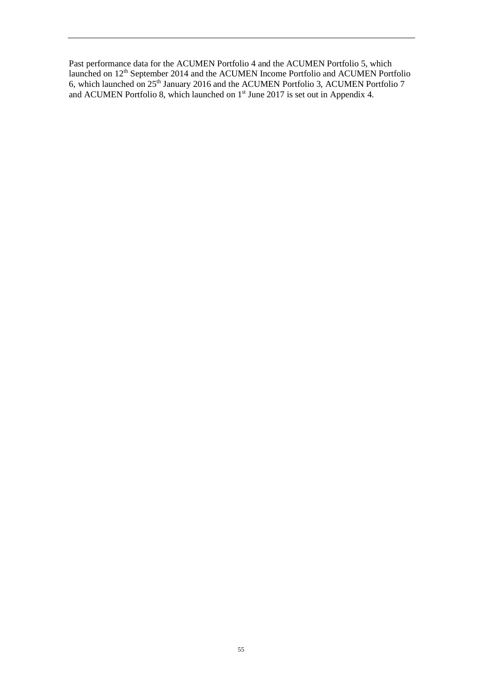Past performance data for the ACUMEN Portfolio 4 and the ACUMEN Portfolio 5, which launched on 12<sup>th</sup> September 2014 and the ACUMEN Income Portfolio and ACUMEN Portfolio 6, which launched on 25<sup>th</sup> January 2016 and the ACUMEN Portfolio 3, ACUMEN Portfolio 7 and ACUMEN Portfolio 8, which launched on  $1<sup>st</sup>$  June 2017 is set out in Appendix 4.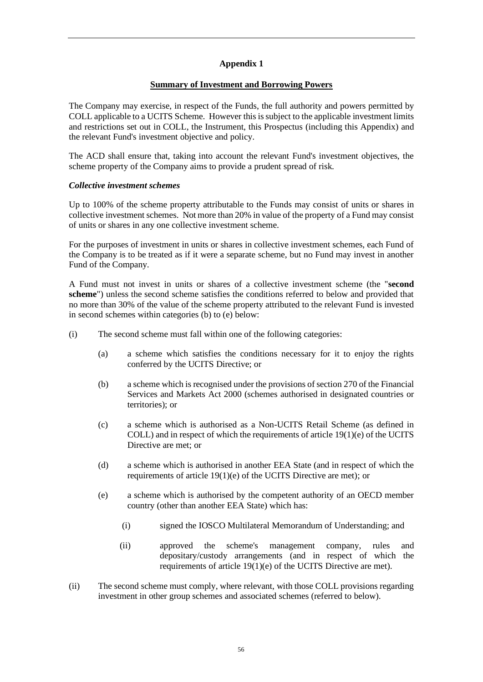## **Appendix 1**

### **Summary of Investment and Borrowing Powers**

The Company may exercise, in respect of the Funds, the full authority and powers permitted by COLL applicable to a UCITS Scheme. However this is subject to the applicable investment limits and restrictions set out in COLL, the Instrument, this Prospectus (including this Appendix) and the relevant Fund's investment objective and policy.

The ACD shall ensure that, taking into account the relevant Fund's investment objectives, the scheme property of the Company aims to provide a prudent spread of risk.

### *Collective investment schemes*

Up to 100% of the scheme property attributable to the Funds may consist of units or shares in collective investment schemes. Not more than 20% in value of the property of a Fund may consist of units or shares in any one collective investment scheme.

For the purposes of investment in units or shares in collective investment schemes, each Fund of the Company is to be treated as if it were a separate scheme, but no Fund may invest in another Fund of the Company.

A Fund must not invest in units or shares of a collective investment scheme (the "**second scheme**") unless the second scheme satisfies the conditions referred to below and provided that no more than 30% of the value of the scheme property attributed to the relevant Fund is invested in second schemes within categories (b) to (e) below:

- (i) The second scheme must fall within one of the following categories:
	- (a) a scheme which satisfies the conditions necessary for it to enjoy the rights conferred by the UCITS Directive; or
	- (b) a scheme which is recognised under the provisions of section 270 of the Financial Services and Markets Act 2000 (schemes authorised in designated countries or territories); or
	- (c) a scheme which is authorised as a Non-UCITS Retail Scheme (as defined in COLL) and in respect of which the requirements of article 19(1)(e) of the UCITS Directive are met; or
	- (d) a scheme which is authorised in another EEA State (and in respect of which the requirements of article 19(1)(e) of the UCITS Directive are met); or
	- (e) a scheme which is authorised by the competent authority of an OECD member country (other than another EEA State) which has:
		- (i) signed the IOSCO Multilateral Memorandum of Understanding; and
		- (ii) approved the scheme's management company, rules and depositary/custody arrangements (and in respect of which the requirements of article 19(1)(e) of the UCITS Directive are met).
- (ii) The second scheme must comply, where relevant, with those COLL provisions regarding investment in other group schemes and associated schemes (referred to below).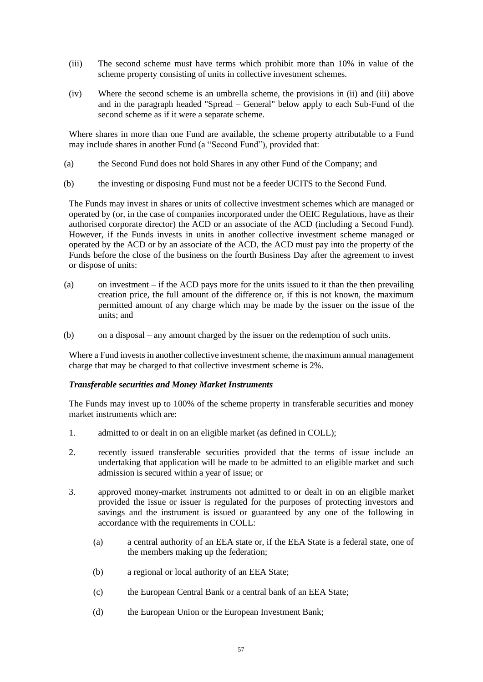- (iii) The second scheme must have terms which prohibit more than 10% in value of the scheme property consisting of units in collective investment schemes.
- (iv) Where the second scheme is an umbrella scheme, the provisions in (ii) and (iii) above and in the paragraph headed "Spread – General" below apply to each Sub-Fund of the second scheme as if it were a separate scheme.

Where shares in more than one Fund are available, the scheme property attributable to a Fund may include shares in another Fund (a "Second Fund"), provided that:

- (a) the Second Fund does not hold Shares in any other Fund of the Company; and
- (b) the investing or disposing Fund must not be a feeder UCITS to the Second Fund.

The Funds may invest in shares or units of collective investment schemes which are managed or operated by (or, in the case of companies incorporated under the OEIC Regulations, have as their authorised corporate director) the ACD or an associate of the ACD (including a Second Fund). However, if the Funds invests in units in another collective investment scheme managed or operated by the ACD or by an associate of the ACD, the ACD must pay into the property of the Funds before the close of the business on the fourth Business Day after the agreement to invest or dispose of units:

- (a) on investment if the ACD pays more for the units issued to it than the then prevailing creation price, the full amount of the difference or, if this is not known, the maximum permitted amount of any charge which may be made by the issuer on the issue of the units; and
- (b) on a disposal any amount charged by the issuer on the redemption of such units.

Where a Fund invests in another collective investment scheme, the maximum annual management charge that may be charged to that collective investment scheme is 2%.

## *Transferable securities and Money Market Instruments*

The Funds may invest up to 100% of the scheme property in transferable securities and money market instruments which are:

- 1. admitted to or dealt in on an eligible market (as defined in COLL);
- 2. recently issued transferable securities provided that the terms of issue include an undertaking that application will be made to be admitted to an eligible market and such admission is secured within a year of issue; or
- 3. approved money-market instruments not admitted to or dealt in on an eligible market provided the issue or issuer is regulated for the purposes of protecting investors and savings and the instrument is issued or guaranteed by any one of the following in accordance with the requirements in COLL:
	- (a) a central authority of an EEA state or, if the EEA State is a federal state, one of the members making up the federation;
	- (b) a regional or local authority of an EEA State;
	- (c) the European Central Bank or a central bank of an EEA State;
	- (d) the European Union or the European Investment Bank;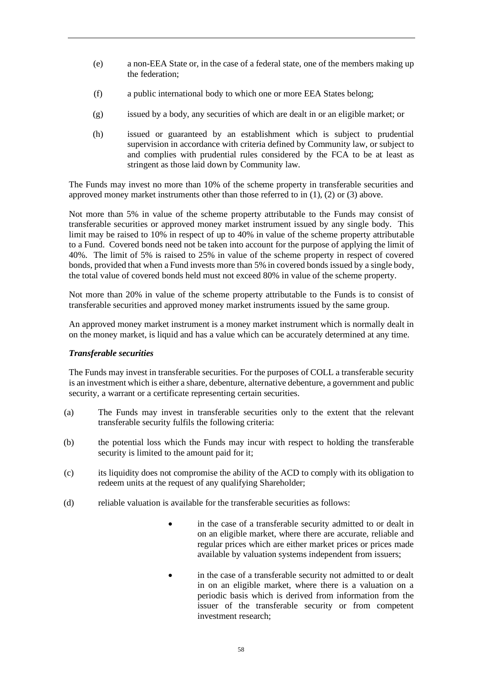- (e) a non-EEA State or, in the case of a federal state, one of the members making up the federation;
- (f) a public international body to which one or more EEA States belong;
- (g) issued by a body, any securities of which are dealt in or an eligible market; or
- (h) issued or guaranteed by an establishment which is subject to prudential supervision in accordance with criteria defined by Community law, or subject to and complies with prudential rules considered by the FCA to be at least as stringent as those laid down by Community law.

The Funds may invest no more than 10% of the scheme property in transferable securities and approved money market instruments other than those referred to in (1), (2) or (3) above.

Not more than 5% in value of the scheme property attributable to the Funds may consist of transferable securities or approved money market instrument issued by any single body. This limit may be raised to 10% in respect of up to 40% in value of the scheme property attributable to a Fund. Covered bonds need not be taken into account for the purpose of applying the limit of 40%. The limit of 5% is raised to 25% in value of the scheme property in respect of covered bonds, provided that when a Fund invests more than 5% in covered bonds issued by a single body, the total value of covered bonds held must not exceed 80% in value of the scheme property.

Not more than 20% in value of the scheme property attributable to the Funds is to consist of transferable securities and approved money market instruments issued by the same group.

An approved money market instrument is a money market instrument which is normally dealt in on the money market, is liquid and has a value which can be accurately determined at any time.

### *Transferable securities*

The Funds may invest in transferable securities. For the purposes of COLL a transferable security is an investment which is either a share, debenture, alternative debenture, a government and public security, a warrant or a certificate representing certain securities.

- (a) The Funds may invest in transferable securities only to the extent that the relevant transferable security fulfils the following criteria:
- (b) the potential loss which the Funds may incur with respect to holding the transferable security is limited to the amount paid for it;
- (c) its liquidity does not compromise the ability of the ACD to comply with its obligation to redeem units at the request of any qualifying Shareholder;
- (d) reliable valuation is available for the transferable securities as follows:
	- in the case of a transferable security admitted to or dealt in on an eligible market, where there are accurate, reliable and regular prices which are either market prices or prices made available by valuation systems independent from issuers;
	- in the case of a transferable security not admitted to or dealt in on an eligible market, where there is a valuation on a periodic basis which is derived from information from the issuer of the transferable security or from competent investment research;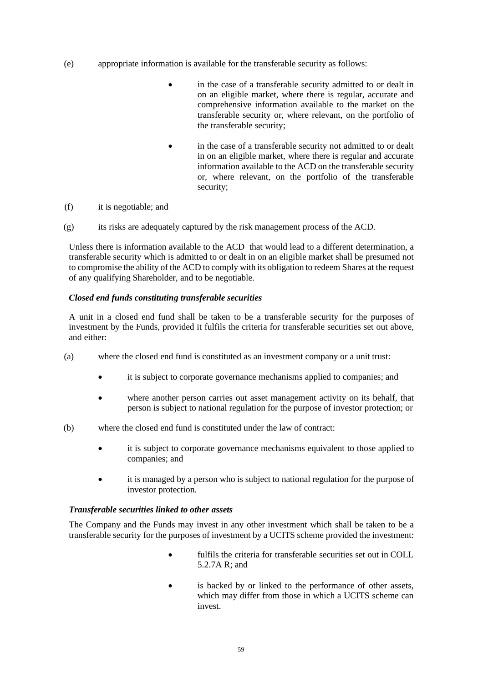- (e) appropriate information is available for the transferable security as follows:
	- in the case of a transferable security admitted to or dealt in on an eligible market, where there is regular, accurate and comprehensive information available to the market on the transferable security or, where relevant, on the portfolio of the transferable security;
	- in the case of a transferable security not admitted to or dealt in on an eligible market, where there is regular and accurate information available to the ACD on the transferable security or, where relevant, on the portfolio of the transferable security;
- (f) it is negotiable; and
- (g) its risks are adequately captured by the risk management process of the ACD.

Unless there is information available to the ACD that would lead to a different determination, a transferable security which is admitted to or dealt in on an eligible market shall be presumed not to compromise the ability of the ACD to comply with its obligation to redeem Shares at the request of any qualifying Shareholder, and to be negotiable.

### *Closed end funds constituting transferable securities*

A unit in a closed end fund shall be taken to be a transferable security for the purposes of investment by the Funds, provided it fulfils the criteria for transferable securities set out above, and either:

- (a) where the closed end fund is constituted as an investment company or a unit trust:
	- it is subject to corporate governance mechanisms applied to companies; and
	- where another person carries out asset management activity on its behalf, that person is subject to national regulation for the purpose of investor protection; or
- (b) where the closed end fund is constituted under the law of contract:
	- it is subject to corporate governance mechanisms equivalent to those applied to companies; and
	- it is managed by a person who is subject to national regulation for the purpose of investor protection.

### *Transferable securities linked to other assets*

The Company and the Funds may invest in any other investment which shall be taken to be a transferable security for the purposes of investment by a UCITS scheme provided the investment:

- fulfils the criteria for transferable securities set out in COLL 5.2.7A R; and
- is backed by or linked to the performance of other assets, which may differ from those in which a UCITS scheme can invest.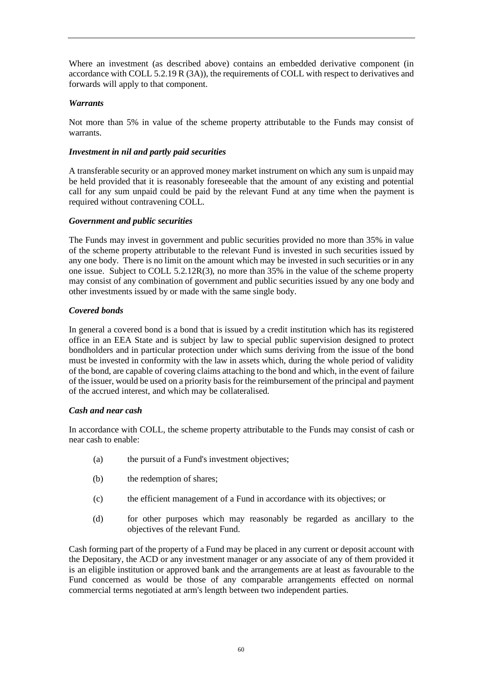Where an investment (as described above) contains an embedded derivative component (in accordance with COLL 5.2.19 R (3A)), the requirements of COLL with respect to derivatives and forwards will apply to that component.

### *Warrants*

Not more than 5% in value of the scheme property attributable to the Funds may consist of warrants.

### *Investment in nil and partly paid securities*

A transferable security or an approved money market instrument on which any sum is unpaid may be held provided that it is reasonably foreseeable that the amount of any existing and potential call for any sum unpaid could be paid by the relevant Fund at any time when the payment is required without contravening COLL.

### *Government and public securities*

The Funds may invest in government and public securities provided no more than 35% in value of the scheme property attributable to the relevant Fund is invested in such securities issued by any one body. There is no limit on the amount which may be invested in such securities or in any one issue. Subject to COLL 5.2.12R(3), no more than 35% in the value of the scheme property may consist of any combination of government and public securities issued by any one body and other investments issued by or made with the same single body.

### *Covered bonds*

In general a covered bond is a bond that is issued by a credit institution which has its registered office in an EEA State and is subject by law to special public supervision designed to protect bondholders and in particular protection under which sums deriving from the issue of the bond must be invested in conformity with the law in assets which, during the whole period of validity of the bond, are capable of covering claims attaching to the bond and which, in the event of failure of the issuer, would be used on a priority basis for the reimbursement of the principal and payment of the accrued interest, and which may be collateralised.

### *Cash and near cash*

In accordance with COLL, the scheme property attributable to the Funds may consist of cash or near cash to enable:

- (a) the pursuit of a Fund's investment objectives;
- (b) the redemption of shares;
- (c) the efficient management of a Fund in accordance with its objectives; or
- (d) for other purposes which may reasonably be regarded as ancillary to the objectives of the relevant Fund.

Cash forming part of the property of a Fund may be placed in any current or deposit account with the Depositary, the ACD or any investment manager or any associate of any of them provided it is an eligible institution or approved bank and the arrangements are at least as favourable to the Fund concerned as would be those of any comparable arrangements effected on normal commercial terms negotiated at arm's length between two independent parties.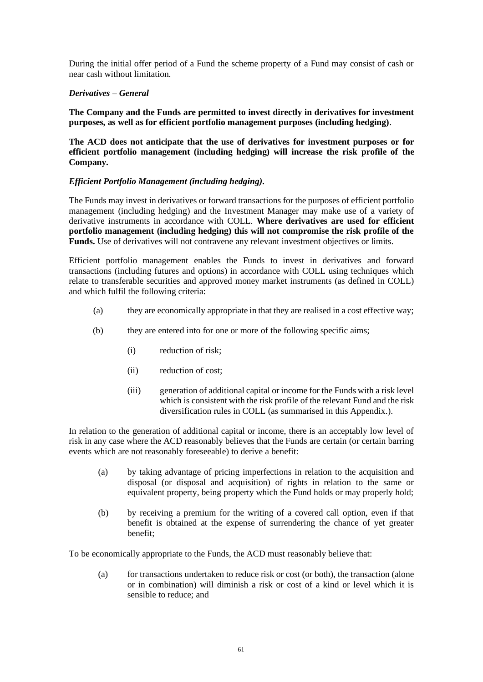During the initial offer period of a Fund the scheme property of a Fund may consist of cash or near cash without limitation.

### *Derivatives – General*

**The Company and the Funds are permitted to invest directly in derivatives for investment purposes, as well as for efficient portfolio management purposes (including hedging)**.

**The ACD does not anticipate that the use of derivatives for investment purposes or for efficient portfolio management (including hedging) will increase the risk profile of the Company.**

### *Efficient Portfolio Management (including hedging)***.**

The Funds may invest in derivatives or forward transactions for the purposes of efficient portfolio management (including hedging) and the Investment Manager may make use of a variety of derivative instruments in accordance with COLL. **Where derivatives are used for efficient portfolio management (including hedging) this will not compromise the risk profile of the Funds.** Use of derivatives will not contravene any relevant investment objectives or limits.

Efficient portfolio management enables the Funds to invest in derivatives and forward transactions (including futures and options) in accordance with COLL using techniques which relate to transferable securities and approved money market instruments (as defined in COLL) and which fulfil the following criteria:

- (a) they are economically appropriate in that they are realised in a cost effective way;
- (b) they are entered into for one or more of the following specific aims;
	- (i) reduction of risk;
	- (ii) reduction of cost;
	- (iii) generation of additional capital or income for the Funds with a risk level which is consistent with the risk profile of the relevant Fund and the risk diversification rules in COLL (as summarised in this Appendix.).

In relation to the generation of additional capital or income, there is an acceptably low level of risk in any case where the ACD reasonably believes that the Funds are certain (or certain barring events which are not reasonably foreseeable) to derive a benefit:

- (a) by taking advantage of pricing imperfections in relation to the acquisition and disposal (or disposal and acquisition) of rights in relation to the same or equivalent property, being property which the Fund holds or may properly hold;
- (b) by receiving a premium for the writing of a covered call option, even if that benefit is obtained at the expense of surrendering the chance of yet greater benefit;

To be economically appropriate to the Funds, the ACD must reasonably believe that:

(a) for transactions undertaken to reduce risk or cost (or both), the transaction (alone or in combination) will diminish a risk or cost of a kind or level which it is sensible to reduce; and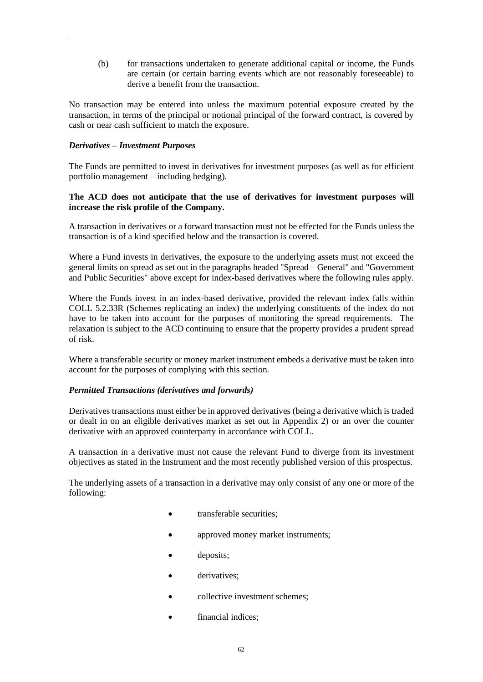(b) for transactions undertaken to generate additional capital or income, the Funds are certain (or certain barring events which are not reasonably foreseeable) to derive a benefit from the transaction.

No transaction may be entered into unless the maximum potential exposure created by the transaction, in terms of the principal or notional principal of the forward contract, is covered by cash or near cash sufficient to match the exposure.

### *Derivatives – Investment Purposes*

The Funds are permitted to invest in derivatives for investment purposes (as well as for efficient portfolio management – including hedging).

### **The ACD does not anticipate that the use of derivatives for investment purposes will increase the risk profile of the Company.**

A transaction in derivatives or a forward transaction must not be effected for the Funds unless the transaction is of a kind specified below and the transaction is covered.

Where a Fund invests in derivatives, the exposure to the underlying assets must not exceed the general limits on spread as set out in the paragraphs headed "Spread – General" and "Government and Public Securities" above except for index-based derivatives where the following rules apply.

Where the Funds invest in an index-based derivative, provided the relevant index falls within COLL 5.2.33R (Schemes replicating an index) the underlying constituents of the index do not have to be taken into account for the purposes of monitoring the spread requirements. The relaxation is subject to the ACD continuing to ensure that the property provides a prudent spread of risk.

Where a transferable security or money market instrument embeds a derivative must be taken into account for the purposes of complying with this section.

### *Permitted Transactions (derivatives and forwards)*

Derivatives transactions must either be in approved derivatives (being a derivative which is traded or dealt in on an eligible derivatives market as set out in Appendix 2) or an over the counter derivative with an approved counterparty in accordance with COLL.

A transaction in a derivative must not cause the relevant Fund to diverge from its investment objectives as stated in the Instrument and the most recently published version of this prospectus.

The underlying assets of a transaction in a derivative may only consist of any one or more of the following:

- transferable securities:
- approved money market instruments;
- deposits;
- derivatives:
- collective investment schemes;
- financial indices: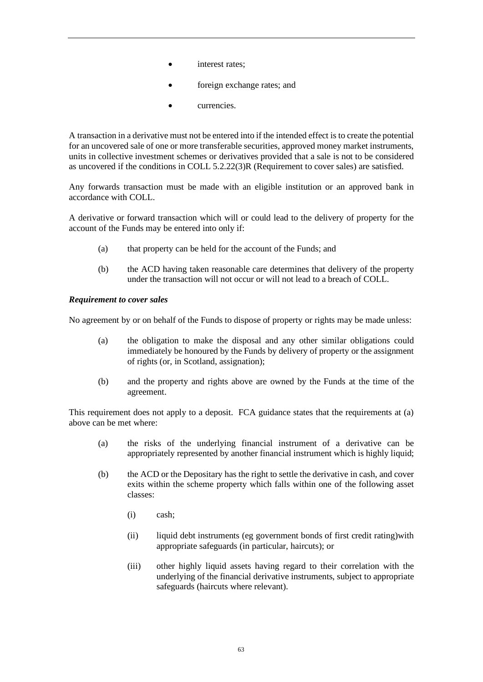- interest rates;
- foreign exchange rates; and
- currencies.

A transaction in a derivative must not be entered into if the intended effect is to create the potential for an uncovered sale of one or more transferable securities, approved money market instruments, units in collective investment schemes or derivatives provided that a sale is not to be considered as uncovered if the conditions in COLL 5.2.22(3)R (Requirement to cover sales) are satisfied.

Any forwards transaction must be made with an eligible institution or an approved bank in accordance with COLL.

A derivative or forward transaction which will or could lead to the delivery of property for the account of the Funds may be entered into only if:

- (a) that property can be held for the account of the Funds; and
- (b) the ACD having taken reasonable care determines that delivery of the property under the transaction will not occur or will not lead to a breach of COLL.

### *Requirement to cover sales*

No agreement by or on behalf of the Funds to dispose of property or rights may be made unless:

- (a) the obligation to make the disposal and any other similar obligations could immediately be honoured by the Funds by delivery of property or the assignment of rights (or, in Scotland, assignation);
- (b) and the property and rights above are owned by the Funds at the time of the agreement.

This requirement does not apply to a deposit. FCA guidance states that the requirements at (a) above can be met where:

- (a) the risks of the underlying financial instrument of a derivative can be appropriately represented by another financial instrument which is highly liquid;
- (b) the ACD or the Depositary has the right to settle the derivative in cash, and cover exits within the scheme property which falls within one of the following asset classes:
	- (i) cash;
	- (ii) liquid debt instruments (eg government bonds of first credit rating)with appropriate safeguards (in particular, haircuts); or
	- (iii) other highly liquid assets having regard to their correlation with the underlying of the financial derivative instruments, subject to appropriate safeguards (haircuts where relevant).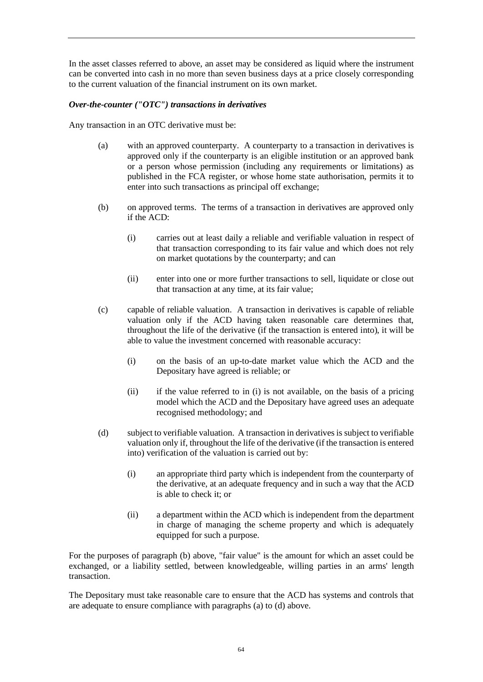In the asset classes referred to above, an asset may be considered as liquid where the instrument can be converted into cash in no more than seven business days at a price closely corresponding to the current valuation of the financial instrument on its own market.

### *Over-the-counter ("OTC") transactions in derivatives*

Any transaction in an OTC derivative must be:

- (a) with an approved counterparty. A counterparty to a transaction in derivatives is approved only if the counterparty is an eligible institution or an approved bank or a person whose permission (including any requirements or limitations) as published in the FCA register, or whose home state authorisation, permits it to enter into such transactions as principal off exchange;
- (b) on approved terms. The terms of a transaction in derivatives are approved only if the ACD:
	- (i) carries out at least daily a reliable and verifiable valuation in respect of that transaction corresponding to its fair value and which does not rely on market quotations by the counterparty; and can
	- (ii) enter into one or more further transactions to sell, liquidate or close out that transaction at any time, at its fair value;
- (c) capable of reliable valuation. A transaction in derivatives is capable of reliable valuation only if the ACD having taken reasonable care determines that, throughout the life of the derivative (if the transaction is entered into), it will be able to value the investment concerned with reasonable accuracy:
	- (i) on the basis of an up-to-date market value which the ACD and the Depositary have agreed is reliable; or
	- (ii) if the value referred to in (i) is not available, on the basis of a pricing model which the ACD and the Depositary have agreed uses an adequate recognised methodology; and
- (d) subject to verifiable valuation. A transaction in derivatives is subject to verifiable valuation only if, throughout the life of the derivative (if the transaction is entered into) verification of the valuation is carried out by:
	- (i) an appropriate third party which is independent from the counterparty of the derivative, at an adequate frequency and in such a way that the ACD is able to check it; or
	- (ii) a department within the ACD which is independent from the department in charge of managing the scheme property and which is adequately equipped for such a purpose.

For the purposes of paragraph (b) above, "fair value" is the amount for which an asset could be exchanged, or a liability settled, between knowledgeable, willing parties in an arms' length transaction.

The Depositary must take reasonable care to ensure that the ACD has systems and controls that are adequate to ensure compliance with paragraphs (a) to (d) above.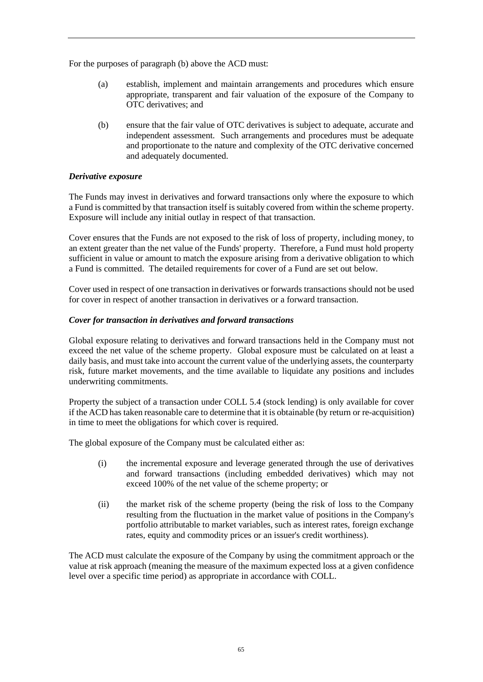For the purposes of paragraph (b) above the ACD must:

- (a) establish, implement and maintain arrangements and procedures which ensure appropriate, transparent and fair valuation of the exposure of the Company to OTC derivatives; and
- (b) ensure that the fair value of OTC derivatives is subject to adequate, accurate and independent assessment. Such arrangements and procedures must be adequate and proportionate to the nature and complexity of the OTC derivative concerned and adequately documented.

### *Derivative exposure*

The Funds may invest in derivatives and forward transactions only where the exposure to which a Fund is committed by that transaction itself is suitably covered from within the scheme property. Exposure will include any initial outlay in respect of that transaction.

Cover ensures that the Funds are not exposed to the risk of loss of property, including money, to an extent greater than the net value of the Funds' property. Therefore, a Fund must hold property sufficient in value or amount to match the exposure arising from a derivative obligation to which a Fund is committed. The detailed requirements for cover of a Fund are set out below.

Cover used in respect of one transaction in derivatives or forwards transactions should not be used for cover in respect of another transaction in derivatives or a forward transaction.

### *Cover for transaction in derivatives and forward transactions*

Global exposure relating to derivatives and forward transactions held in the Company must not exceed the net value of the scheme property. Global exposure must be calculated on at least a daily basis, and must take into account the current value of the underlying assets, the counterparty risk, future market movements, and the time available to liquidate any positions and includes underwriting commitments.

Property the subject of a transaction under COLL 5.4 (stock lending) is only available for cover if the ACD has taken reasonable care to determine that it is obtainable (by return or re-acquisition) in time to meet the obligations for which cover is required.

The global exposure of the Company must be calculated either as:

- (i) the incremental exposure and leverage generated through the use of derivatives and forward transactions (including embedded derivatives) which may not exceed 100% of the net value of the scheme property; or
- (ii) the market risk of the scheme property (being the risk of loss to the Company resulting from the fluctuation in the market value of positions in the Company's portfolio attributable to market variables, such as interest rates, foreign exchange rates, equity and commodity prices or an issuer's credit worthiness).

The ACD must calculate the exposure of the Company by using the commitment approach or the value at risk approach (meaning the measure of the maximum expected loss at a given confidence level over a specific time period) as appropriate in accordance with COLL.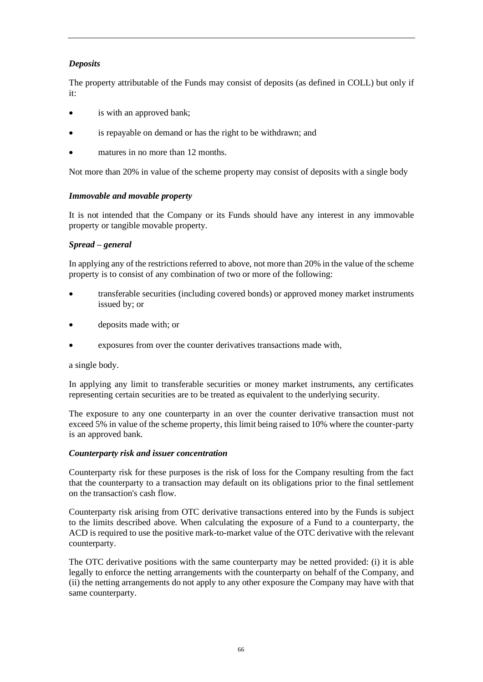## *Deposits*

The property attributable of the Funds may consist of deposits (as defined in COLL) but only if it:

- is with an approved bank;
- is repayable on demand or has the right to be withdrawn; and
- matures in no more than 12 months.

Not more than 20% in value of the scheme property may consist of deposits with a single body

### *Immovable and movable property*

It is not intended that the Company or its Funds should have any interest in any immovable property or tangible movable property.

## *Spread – general*

In applying any of the restrictions referred to above, not more than 20% in the value of the scheme property is to consist of any combination of two or more of the following:

- transferable securities (including covered bonds) or approved money market instruments issued by; or
- deposits made with; or
- exposures from over the counter derivatives transactions made with,

a single body.

In applying any limit to transferable securities or money market instruments, any certificates representing certain securities are to be treated as equivalent to the underlying security.

The exposure to any one counterparty in an over the counter derivative transaction must not exceed 5% in value of the scheme property, this limit being raised to 10% where the counter-party is an approved bank.

### *Counterparty risk and issuer concentration*

Counterparty risk for these purposes is the risk of loss for the Company resulting from the fact that the counterparty to a transaction may default on its obligations prior to the final settlement on the transaction's cash flow.

Counterparty risk arising from OTC derivative transactions entered into by the Funds is subject to the limits described above. When calculating the exposure of a Fund to a counterparty, the ACD is required to use the positive mark-to-market value of the OTC derivative with the relevant counterparty.

The OTC derivative positions with the same counterparty may be netted provided: (i) it is able legally to enforce the netting arrangements with the counterparty on behalf of the Company, and (ii) the netting arrangements do not apply to any other exposure the Company may have with that same counterparty.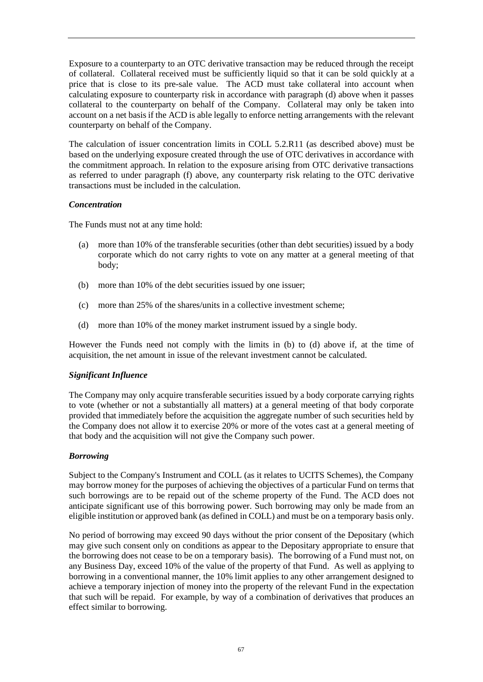Exposure to a counterparty to an OTC derivative transaction may be reduced through the receipt of collateral. Collateral received must be sufficiently liquid so that it can be sold quickly at a price that is close to its pre-sale value. The ACD must take collateral into account when calculating exposure to counterparty risk in accordance with paragraph (d) above when it passes collateral to the counterparty on behalf of the Company. Collateral may only be taken into account on a net basis if the ACD is able legally to enforce netting arrangements with the relevant counterparty on behalf of the Company.

The calculation of issuer concentration limits in COLL 5.2.R11 (as described above) must be based on the underlying exposure created through the use of OTC derivatives in accordance with the commitment approach. In relation to the exposure arising from OTC derivative transactions as referred to under paragraph (f) above, any counterparty risk relating to the OTC derivative transactions must be included in the calculation.

### *Concentration*

The Funds must not at any time hold:

- (a) more than 10% of the transferable securities (other than debt securities) issued by a body corporate which do not carry rights to vote on any matter at a general meeting of that body;
- (b) more than 10% of the debt securities issued by one issuer;
- (c) more than 25% of the shares/units in a collective investment scheme;
- (d) more than 10% of the money market instrument issued by a single body.

However the Funds need not comply with the limits in (b) to (d) above if, at the time of acquisition, the net amount in issue of the relevant investment cannot be calculated.

### *Significant Influence*

The Company may only acquire transferable securities issued by a body corporate carrying rights to vote (whether or not a substantially all matters) at a general meeting of that body corporate provided that immediately before the acquisition the aggregate number of such securities held by the Company does not allow it to exercise 20% or more of the votes cast at a general meeting of that body and the acquisition will not give the Company such power.

### *Borrowing*

Subject to the Company's Instrument and COLL (as it relates to UCITS Schemes), the Company may borrow money for the purposes of achieving the objectives of a particular Fund on terms that such borrowings are to be repaid out of the scheme property of the Fund. The ACD does not anticipate significant use of this borrowing power. Such borrowing may only be made from an eligible institution or approved bank (as defined in COLL) and must be on a temporary basis only.

No period of borrowing may exceed 90 days without the prior consent of the Depositary (which may give such consent only on conditions as appear to the Depositary appropriate to ensure that the borrowing does not cease to be on a temporary basis). The borrowing of a Fund must not, on any Business Day, exceed 10% of the value of the property of that Fund. As well as applying to borrowing in a conventional manner, the 10% limit applies to any other arrangement designed to achieve a temporary injection of money into the property of the relevant Fund in the expectation that such will be repaid. For example, by way of a combination of derivatives that produces an effect similar to borrowing.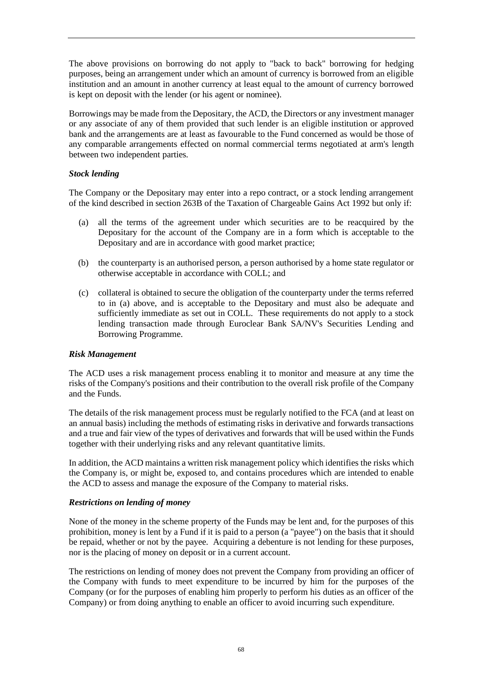The above provisions on borrowing do not apply to "back to back" borrowing for hedging purposes, being an arrangement under which an amount of currency is borrowed from an eligible institution and an amount in another currency at least equal to the amount of currency borrowed is kept on deposit with the lender (or his agent or nominee).

Borrowings may be made from the Depositary, the ACD, the Directors or any investment manager or any associate of any of them provided that such lender is an eligible institution or approved bank and the arrangements are at least as favourable to the Fund concerned as would be those of any comparable arrangements effected on normal commercial terms negotiated at arm's length between two independent parties.

### *Stock lending*

The Company or the Depositary may enter into a repo contract, or a stock lending arrangement of the kind described in section 263B of the Taxation of Chargeable Gains Act 1992 but only if:

- (a) all the terms of the agreement under which securities are to be reacquired by the Depositary for the account of the Company are in a form which is acceptable to the Depositary and are in accordance with good market practice;
- (b) the counterparty is an authorised person, a person authorised by a home state regulator or otherwise acceptable in accordance with COLL; and
- (c) collateral is obtained to secure the obligation of the counterparty under the terms referred to in (a) above, and is acceptable to the Depositary and must also be adequate and sufficiently immediate as set out in COLL. These requirements do not apply to a stock lending transaction made through Euroclear Bank SA/NV's Securities Lending and Borrowing Programme.

### *Risk Management*

The ACD uses a risk management process enabling it to monitor and measure at any time the risks of the Company's positions and their contribution to the overall risk profile of the Company and the Funds.

The details of the risk management process must be regularly notified to the FCA (and at least on an annual basis) including the methods of estimating risks in derivative and forwards transactions and a true and fair view of the types of derivatives and forwards that will be used within the Funds together with their underlying risks and any relevant quantitative limits.

In addition, the ACD maintains a written risk management policy which identifies the risks which the Company is, or might be, exposed to, and contains procedures which are intended to enable the ACD to assess and manage the exposure of the Company to material risks.

### *Restrictions on lending of money*

None of the money in the scheme property of the Funds may be lent and, for the purposes of this prohibition, money is lent by a Fund if it is paid to a person (a "payee") on the basis that it should be repaid, whether or not by the payee. Acquiring a debenture is not lending for these purposes, nor is the placing of money on deposit or in a current account.

The restrictions on lending of money does not prevent the Company from providing an officer of the Company with funds to meet expenditure to be incurred by him for the purposes of the Company (or for the purposes of enabling him properly to perform his duties as an officer of the Company) or from doing anything to enable an officer to avoid incurring such expenditure.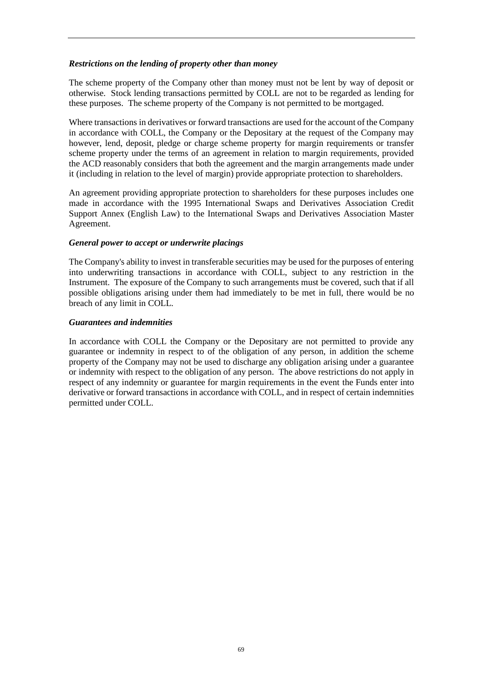### *Restrictions on the lending of property other than money*

The scheme property of the Company other than money must not be lent by way of deposit or otherwise. Stock lending transactions permitted by COLL are not to be regarded as lending for these purposes. The scheme property of the Company is not permitted to be mortgaged.

Where transactions in derivatives or forward transactions are used for the account of the Company in accordance with COLL, the Company or the Depositary at the request of the Company may however, lend, deposit, pledge or charge scheme property for margin requirements or transfer scheme property under the terms of an agreement in relation to margin requirements, provided the ACD reasonably considers that both the agreement and the margin arrangements made under it (including in relation to the level of margin) provide appropriate protection to shareholders.

An agreement providing appropriate protection to shareholders for these purposes includes one made in accordance with the 1995 International Swaps and Derivatives Association Credit Support Annex (English Law) to the International Swaps and Derivatives Association Master Agreement.

### *General power to accept or underwrite placings*

The Company's ability to invest in transferable securities may be used for the purposes of entering into underwriting transactions in accordance with COLL, subject to any restriction in the Instrument. The exposure of the Company to such arrangements must be covered, such that if all possible obligations arising under them had immediately to be met in full, there would be no breach of any limit in COLL.

### *Guarantees and indemnities*

In accordance with COLL the Company or the Depositary are not permitted to provide any guarantee or indemnity in respect to of the obligation of any person, in addition the scheme property of the Company may not be used to discharge any obligation arising under a guarantee or indemnity with respect to the obligation of any person. The above restrictions do not apply in respect of any indemnity or guarantee for margin requirements in the event the Funds enter into derivative or forward transactions in accordance with COLL, and in respect of certain indemnities permitted under COLL.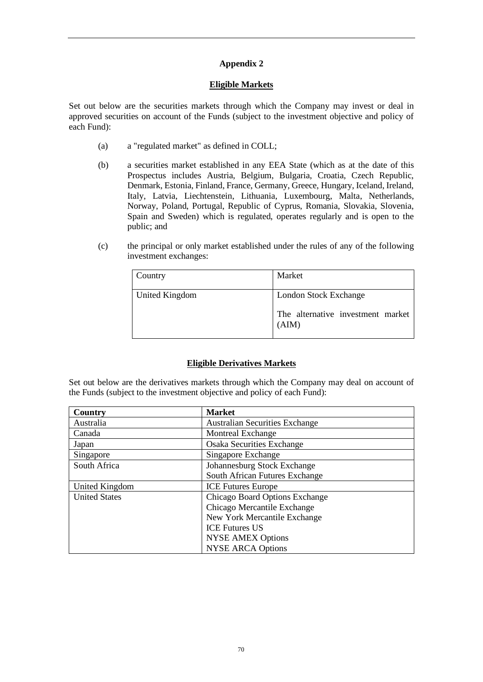### **Eligible Markets**

Set out below are the securities markets through which the Company may invest or deal in approved securities on account of the Funds (subject to the investment objective and policy of each Fund):

- (a) a "regulated market" as defined in COLL;
- (b) a securities market established in any EEA State (which as at the date of this Prospectus includes Austria, Belgium, Bulgaria, Croatia, Czech Republic, Denmark, Estonia, Finland, France, Germany, Greece, Hungary, Iceland, Ireland, Italy, Latvia, Liechtenstein, Lithuania, Luxembourg, Malta, Netherlands, Norway, Poland, Portugal, Republic of Cyprus, Romania, Slovakia, Slovenia, Spain and Sweden) which is regulated, operates regularly and is open to the public; and
- (c) the principal or only market established under the rules of any of the following investment exchanges:

| Country        | Market                                                              |
|----------------|---------------------------------------------------------------------|
| United Kingdom | London Stock Exchange<br>The alternative investment market<br>(AIM) |

## **Eligible Derivatives Markets**

Set out below are the derivatives markets through which the Company may deal on account of the Funds (subject to the investment objective and policy of each Fund):

| Country              | <b>Market</b>                    |
|----------------------|----------------------------------|
| Australia            | Australian Securities Exchange   |
| Canada               | <b>Montreal Exchange</b>         |
| Japan                | <b>Osaka Securities Exchange</b> |
| Singapore            | Singapore Exchange               |
| South Africa         | Johannesburg Stock Exchange      |
|                      | South African Futures Exchange   |
| United Kingdom       | <b>ICE Futures Europe</b>        |
| <b>United States</b> | Chicago Board Options Exchange   |
|                      | Chicago Mercantile Exchange      |
|                      | New York Mercantile Exchange     |
|                      | <b>ICE Futures US</b>            |
|                      | <b>NYSE AMEX Options</b>         |
|                      | <b>NYSE ARCA Options</b>         |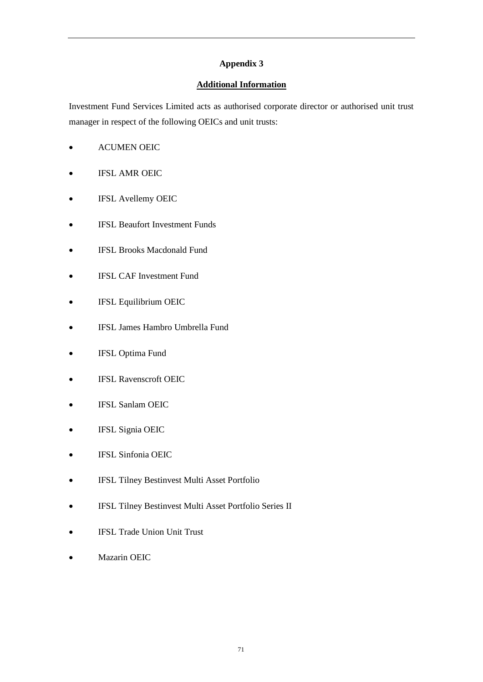## **Additional Information**

Investment Fund Services Limited acts as authorised corporate director or authorised unit trust manager in respect of the following OEICs and unit trusts:

- ACUMEN OEIC
- **IFSL AMR OEIC**
- IFSL Avellemy OEIC
- **IFSL Beaufort Investment Funds**
- IFSL Brooks Macdonald Fund
- IFSL CAF Investment Fund
- IFSL Equilibrium OEIC
- IFSL James Hambro Umbrella Fund
- IFSL Optima Fund
- **IFSL Ravenscroft OEIC**
- IFSL Sanlam OEIC
- IFSL Signia OEIC
- IFSL Sinfonia OEIC
- IFSL Tilney Bestinvest Multi Asset Portfolio
- IFSL Tilney Bestinvest Multi Asset Portfolio Series II
- IFSL Trade Union Unit Trust
- Mazarin OEIC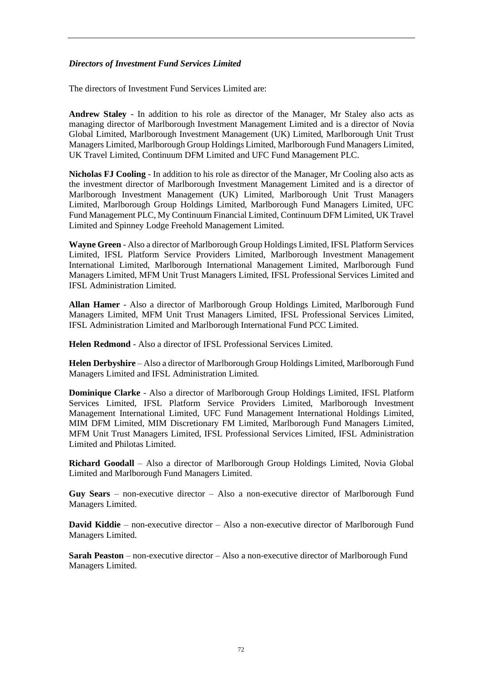### *Directors of Investment Fund Services Limited*

The directors of Investment Fund Services Limited are:

**Andrew Staley** - In addition to his role as director of the Manager, Mr Staley also acts as managing director of Marlborough Investment Management Limited and is a director of Novia Global Limited, Marlborough Investment Management (UK) Limited, Marlborough Unit Trust Managers Limited, Marlborough Group Holdings Limited, Marlborough Fund Managers Limited, UK Travel Limited, Continuum DFM Limited and UFC Fund Management PLC.

**Nicholas FJ Cooling** - In addition to his role as director of the Manager, Mr Cooling also acts as the investment director of Marlborough Investment Management Limited and is a director of Marlborough Investment Management (UK) Limited, Marlborough Unit Trust Managers Limited, Marlborough Group Holdings Limited, Marlborough Fund Managers Limited, UFC Fund Management PLC, My Continuum Financial Limited, Continuum DFM Limited, UK Travel Limited and Spinney Lodge Freehold Management Limited.

**Wayne Green** - Also a director of Marlborough Group Holdings Limited, IFSL Platform Services Limited, IFSL Platform Service Providers Limited, Marlborough Investment Management International Limited, Marlborough International Management Limited, Marlborough Fund Managers Limited, MFM Unit Trust Managers Limited, IFSL Professional Services Limited and IFSL Administration Limited.

**Allan Hamer** - Also a director of Marlborough Group Holdings Limited, Marlborough Fund Managers Limited, MFM Unit Trust Managers Limited, IFSL Professional Services Limited, IFSL Administration Limited and Marlborough International Fund PCC Limited.

**Helen Redmond** - Also a director of IFSL Professional Services Limited.

**Helen Derbyshire** – Also a director of Marlborough Group Holdings Limited, Marlborough Fund Managers Limited and IFSL Administration Limited.

**Dominique Clarke** - Also a director of Marlborough Group Holdings Limited, IFSL Platform Services Limited, IFSL Platform Service Providers Limited, Marlborough Investment Management International Limited, UFC Fund Management International Holdings Limited, MIM DFM Limited, MIM Discretionary FM Limited, Marlborough Fund Managers Limited, MFM Unit Trust Managers Limited, IFSL Professional Services Limited, IFSL Administration Limited and Philotas Limited.

**Richard Goodall** – Also a director of Marlborough Group Holdings Limited, Novia Global Limited and Marlborough Fund Managers Limited.

**Guy Sears** – non-executive director – Also a non-executive director of Marlborough Fund Managers Limited.

**David Kiddie** – non-executive director – Also a non-executive director of Marlborough Fund Managers Limited.

**Sarah Peaston** – non-executive director – Also a non-executive director of Marlborough Fund Managers Limited.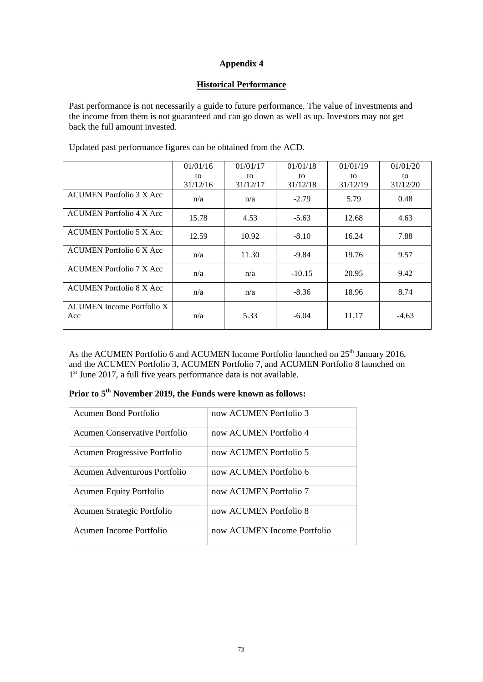## **Historical Performance**

Past performance is not necessarily a guide to future performance. The value of investments and the income from them is not guaranteed and can go down as well as up. Investors may not get back the full amount invested.

|                                         | 01/01/16 | 01/01/17 | 01/01/18 | 01/01/19 | 01/01/20 |
|-----------------------------------------|----------|----------|----------|----------|----------|
|                                         | to       | to       | to       | to       | to       |
|                                         | 31/12/16 | 31/12/17 | 31/12/18 | 31/12/19 | 31/12/20 |
| <b>ACUMEN</b> Portfolio 3 X Acc         | n/a      | n/a      | $-2.79$  | 5.79     | 0.48     |
| <b>ACUMEN</b> Portfolio 4 X Acc         | 15.78    | 4.53     | $-5.63$  | 12.68    | 4.63     |
| <b>ACUMEN</b> Portfolio 5 X Acc         | 12.59    | 10.92    | $-8.10$  | 16.24    | 7.88     |
| <b>ACUMEN</b> Portfolio 6 X Acc         | n/a      | 11.30    | $-9.84$  | 19.76    | 9.57     |
| <b>ACUMEN</b> Portfolio 7 X Acc         | n/a      | n/a      | $-10.15$ | 20.95    | 9.42     |
| <b>ACUMEN</b> Portfolio 8 X Acc         | n/a      | n/a      | $-8.36$  | 18.96    | 8.74     |
| <b>ACUMEN</b> Income Portfolio X<br>Acc | n/a      | 5.33     | $-6.04$  | 11.17    | $-4.63$  |

Updated past performance figures can be obtained from the ACD.

As the ACUMEN Portfolio 6 and ACUMEN Income Portfolio launched on 25<sup>th</sup> January 2016, and the ACUMEN Portfolio 3, ACUMEN Portfolio 7, and ACUMEN Portfolio 8 launched on 1<sup>st</sup> June 2017, a full five years performance data is not available.

|  |  |  |  | Prior to 5 <sup>th</sup> November 2019, the Funds were known as follows: |  |
|--|--|--|--|--------------------------------------------------------------------------|--|
|--|--|--|--|--------------------------------------------------------------------------|--|

| Acumen Bond Portfolio          | now ACUMEN Portfolio 3      |
|--------------------------------|-----------------------------|
|                                |                             |
| Acumen Conservative Portfolio  | now ACUMEN Portfolio 4      |
|                                |                             |
| Acumen Progressive Portfolio   | now ACUMEN Portfolio 5      |
|                                |                             |
| Acumen Adventurous Portfolio   | now ACUMEN Portfolio 6      |
|                                |                             |
| <b>Acumen Equity Portfolio</b> | now ACUMEN Portfolio 7      |
|                                |                             |
| Acumen Strategic Portfolio     | now ACUMEN Portfolio 8      |
|                                |                             |
| Acumen Income Portfolio        | now ACUMEN Income Portfolio |
|                                |                             |
|                                |                             |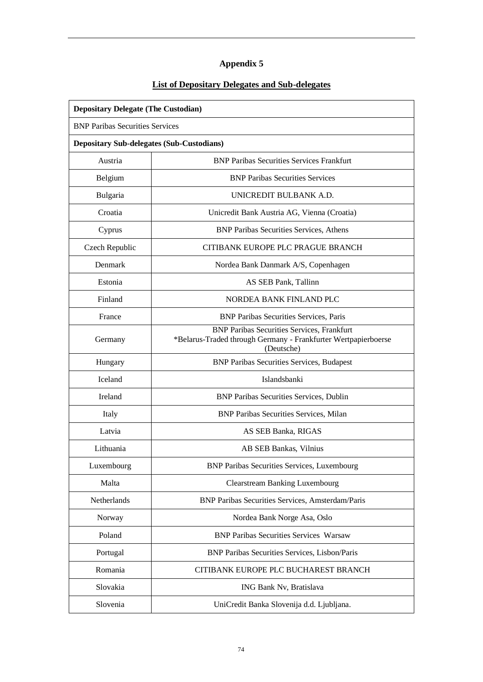# **List of Depositary Delegates and Sub-delegates**

| <b>Depositary Delegate (The Custodian)</b>       |                                                                                                                                   |  |  |
|--------------------------------------------------|-----------------------------------------------------------------------------------------------------------------------------------|--|--|
|                                                  | <b>BNP Paribas Securities Services</b>                                                                                            |  |  |
| <b>Depositary Sub-delegates (Sub-Custodians)</b> |                                                                                                                                   |  |  |
| Austria                                          | <b>BNP Paribas Securities Services Frankfurt</b>                                                                                  |  |  |
| Belgium                                          | <b>BNP Paribas Securities Services</b>                                                                                            |  |  |
| Bulgaria                                         | UNICREDIT BULBANK A.D.                                                                                                            |  |  |
| Croatia                                          | Unicredit Bank Austria AG, Vienna (Croatia)                                                                                       |  |  |
| Cyprus                                           | <b>BNP Paribas Securities Services, Athens</b>                                                                                    |  |  |
| Czech Republic                                   | CITIBANK EUROPE PLC PRAGUE BRANCH                                                                                                 |  |  |
| Denmark                                          | Nordea Bank Danmark A/S, Copenhagen                                                                                               |  |  |
| Estonia                                          | AS SEB Pank, Tallinn                                                                                                              |  |  |
| Finland                                          | NORDEA BANK FINLAND PLC                                                                                                           |  |  |
| France                                           | <b>BNP Paribas Securities Services, Paris</b>                                                                                     |  |  |
| Germany                                          | <b>BNP Paribas Securities Services, Frankfurt</b><br>*Belarus-Traded through Germany - Frankfurter Wertpapierboerse<br>(Deutsche) |  |  |
| Hungary                                          | <b>BNP Paribas Securities Services, Budapest</b>                                                                                  |  |  |
| Iceland                                          | Islandsbanki                                                                                                                      |  |  |
| Ireland                                          | <b>BNP Paribas Securities Services, Dublin</b>                                                                                    |  |  |
| Italy                                            | <b>BNP Paribas Securities Services, Milan</b>                                                                                     |  |  |
| Latvia                                           | AS SEB Banka, RIGAS                                                                                                               |  |  |
| Lithuania                                        | AB SEB Bankas, Vilnius                                                                                                            |  |  |
| Luxembourg                                       | <b>BNP Paribas Securities Services, Luxembourg</b>                                                                                |  |  |
| Malta                                            | <b>Clearstream Banking Luxembourg</b>                                                                                             |  |  |
| Netherlands                                      | <b>BNP Paribas Securities Services, Amsterdam/Paris</b>                                                                           |  |  |
| Norway                                           | Nordea Bank Norge Asa, Oslo                                                                                                       |  |  |
| Poland                                           | <b>BNP Paribas Securities Services Warsaw</b>                                                                                     |  |  |
| Portugal                                         | BNP Paribas Securities Services, Lisbon/Paris                                                                                     |  |  |
| Romania                                          | CITIBANK EUROPE PLC BUCHAREST BRANCH                                                                                              |  |  |
| Slovakia                                         | ING Bank Nv, Bratislava                                                                                                           |  |  |
| Slovenia                                         | UniCredit Banka Slovenija d.d. Ljubljana.                                                                                         |  |  |